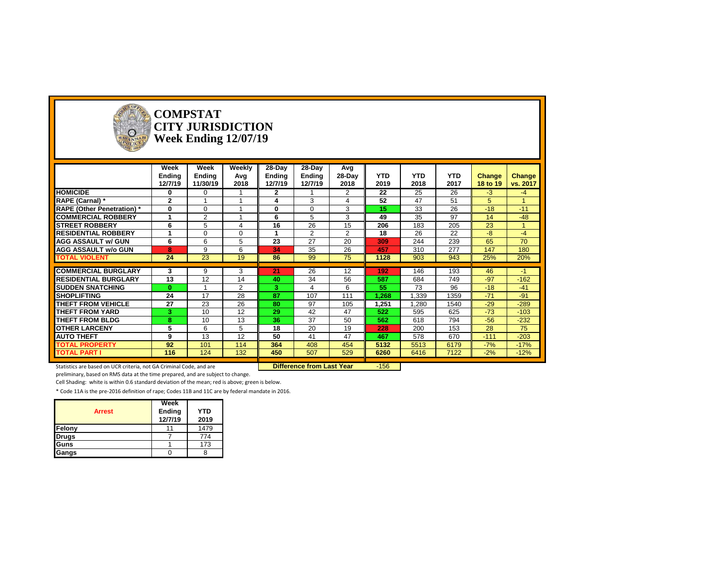

#### **COMPSTAT CITY JURISDICTION Week Ending 12/07/19**

|                                   | Week<br>Ending<br>12/7/19 | Week<br>Ending<br>11/30/19 | Weekly<br>Avg<br>2018 | 28-Day<br>Ending<br>12/7/19 | 28-Day<br>Ending<br>12/7/19 | Avg<br>28-Day<br>2018 | <b>YTD</b><br>2019 | <b>YTD</b><br>2018 | <b>YTD</b><br>2017 | Change<br>18 to 19 | Change<br>vs. 2017 |
|-----------------------------------|---------------------------|----------------------------|-----------------------|-----------------------------|-----------------------------|-----------------------|--------------------|--------------------|--------------------|--------------------|--------------------|
| <b>HOMICIDE</b>                   | 0                         | 0                          |                       | $\mathbf{2}$                |                             | $\overline{2}$        | 22                 | 25                 | 26                 | $-3$               | $-4$               |
| RAPE (Carnal) *                   | $\overline{2}$            |                            |                       |                             | 3                           |                       | 52                 | 47                 | 51                 | 5.                 |                    |
| <b>RAPE (Other Penetration)</b> * | 0                         | 0                          |                       | 0                           | $\mathbf 0$                 | 3                     | 15                 | 33                 | 26                 | $-18$              | $-11$              |
| <b>COMMERCIAL ROBBERY</b>         |                           | 2                          |                       | 6                           | 5                           | 3                     | 49                 | 35                 | 97                 | 14                 | $-48$              |
| <b>STREET ROBBERY</b>             | 6                         | 5                          | 4                     | 16                          | 26                          | 15                    | 206                | 183                | 205                | 23                 |                    |
| <b>RESIDENTIAL ROBBERY</b>        |                           | $\Omega$                   | $\Omega$              |                             | 2                           | $\overline{2}$        | 18                 | 26                 | 22                 | -8                 | $-4$               |
| <b>AGG ASSAULT w/ GUN</b>         | 6                         | 6                          | 5                     | 23                          | 27                          | 20                    | 309                | 244                | 239                | 65                 | 70                 |
| <b>AGG ASSAULT w/o GUN</b>        | 8                         | 9                          | 6                     | 34                          | 35                          | 26                    | 457                | 310                | 277                | 147                | 180                |
| <b>TOTAL VIOLENT</b>              | 24                        | 23                         | 19                    | 86                          | 99                          | 75                    | 1128               | 903                | 943                | 25%                | 20%                |
|                                   |                           |                            |                       |                             |                             |                       |                    |                    |                    |                    |                    |
| <b>COMMERCIAL BURGLARY</b>        | 3                         | 9                          | 3                     | 21                          | 26                          | 12                    | 192                | 146                | 193                | 46                 | -1                 |
| <b>RESIDENTIAL BURGLARY</b>       | 13                        | 12                         | 14                    | 40                          | 34                          | 56                    | 587                | 684                | 749                | $-97$              | $-162$             |
| <b>SUDDEN SNATCHING</b>           | $\bf{0}$                  |                            | $\overline{2}$        | 3                           | 4                           | 6                     | 55                 | 73                 | 96                 | $-18$              | $-41$              |
| <b>SHOPLIFTING</b>                | 24                        | 17                         | 28                    | 87                          | 107                         | 111                   | 1,268              | 1,339              | 1359               | $-71$              | $-91$              |
| THEFT FROM VEHICLE                | 27                        | 23                         | 26                    | 80                          | 97                          | 105                   | 1.251              | 1,280              | 1540               | $-29$              | $-289$             |
| <b>THEFT FROM YARD</b>            | 3                         | 10                         | 12                    | 29                          | 42                          | 47                    | 522                | 595                | 625                | $-73$              | $-103$             |
| <b>THEFT FROM BLDG</b>            | 8                         | 10                         | 13                    | 36                          | 37                          | 50                    | 562                | 618                | 794                | $-56$              | $-232$             |
| <b>OTHER LARCENY</b>              | 5                         | 6                          | 5                     | 18                          | 20                          | 19                    | 228                | 200                | 153                | 28                 | 75                 |
| <b>AUTO THEFT</b>                 | 9                         | 13                         | 12                    | 50                          | 41                          | 47                    | 467                | 578                | 670                | $-111$             | $-203$             |
| <b>TOTAL PROPERTY</b>             | 92                        | 101                        | 114                   | 364                         | 408                         | 454                   | 5132               | 5513               | 6179               | $-7%$              | $-17%$             |
| <b>TOTAL PART I</b>               | 116                       | 124                        | 132                   | 450                         | 507                         | 529                   | 6260               | 6416               | 7122               | $-2%$              | $-12%$             |

Statistics are based on UCR criteria, not GA Criminal Code, and are **Difference from Last Year** -156

preliminary, based on RMS data at the time prepared, and are subject to change.

Cell Shading: white is within 0.6 standard deviation of the mean; red is above; green is below.

| <b>Arrest</b> | Week<br>Ending<br>12/7/19 | <b>YTD</b><br>2019 |
|---------------|---------------------------|--------------------|
| Felony        |                           | 1479               |
| <b>Drugs</b>  |                           | 774                |
| Guns          |                           | 173                |
| Gangs         |                           |                    |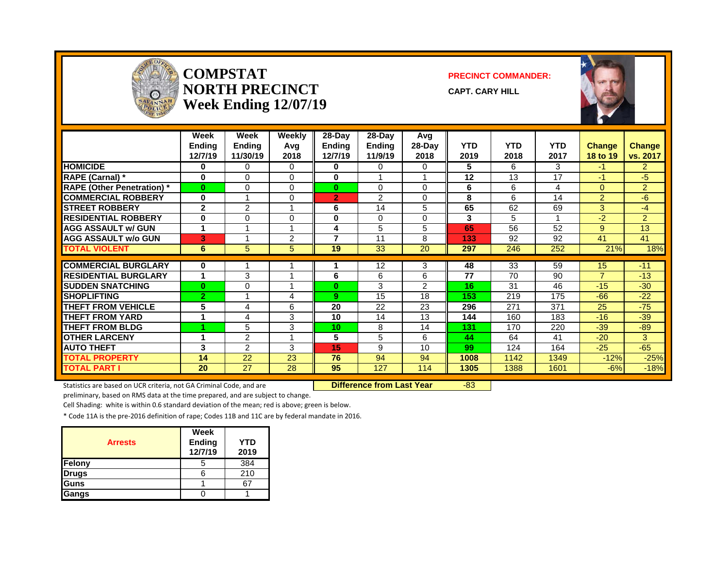

#### **COMPSTAT PRECINCT COMMANDER: NORTH PRECINCT CAPT. CARY HILL Week Ending 12/07/19**



|                                   | Week<br><b>Endina</b><br>12/7/19 | Week<br>Ending<br>11/30/19 | Weekly<br>Avq<br>2018    | $28-Day$<br>Endina<br>12/7/19 | $28$ -Day<br><b>Endina</b><br>11/9/19 | Avg<br>28-Day<br>2018 | <b>YTD</b><br>2019 | <b>YTD</b><br>2018 | <b>YTD</b><br>2017 | <b>Change</b><br>18 to 19 | Change<br>vs. 2017 |
|-----------------------------------|----------------------------------|----------------------------|--------------------------|-------------------------------|---------------------------------------|-----------------------|--------------------|--------------------|--------------------|---------------------------|--------------------|
| <b>HOMICIDE</b>                   | 0                                | 0                          | $\Omega$                 | 0                             | $\Omega$                              | $\Omega$              | 5                  | 6                  | 3                  | -1                        | $\overline{2}$     |
| RAPE (Carnal) *                   | $\bf{0}$                         | 0                          | $\Omega$                 | $\bf{0}$                      |                                       |                       | 12                 | 13                 | 17                 | $-1$                      | $-5$               |
| <b>RAPE (Other Penetration)</b> * | $\bf{0}$                         | 0                          | $\Omega$                 | $\bf{0}$                      | $\Omega$                              | $\Omega$              | 6                  | 6                  | 4                  | $\Omega$                  | $\overline{2}$     |
| <b>COMMERCIAL ROBBERY</b>         | $\bf{0}$                         |                            | $\Omega$                 | $\overline{2}$                | $\overline{2}$                        | 0                     | 8                  | 6                  | 14                 | $\overline{2}$            | $-6$               |
| <b>STREET ROBBERY</b>             | $\mathbf{2}$                     | 2                          |                          | 6                             | 14                                    | 5                     | 65                 | 62                 | 69                 | 3                         | $-4$               |
| <b>RESIDENTIAL ROBBERY</b>        | $\bf{0}$                         | 0                          | 0                        | $\bf{0}$                      | $\Omega$                              | $\Omega$              | 3                  | 5                  |                    | $-2$                      | $\overline{2}$     |
| <b>AGG ASSAULT w/ GUN</b>         | 1                                |                            |                          | 4                             | 5                                     | 5                     | 65                 | 56                 | 52                 | 9                         | 13                 |
| <b>AGG ASSAULT w/o GUN</b>        | 3                                |                            | $\overline{2}$           | 7                             | 11                                    | 8                     | 133                | 92                 | 92                 | 41                        | 41                 |
| <b>TOTAL VIOLENT</b>              | 6                                | 5                          | 5                        | 19                            | 33                                    | 20                    | 297                | 246                | 252                | 21%                       | 18%                |
| <b>COMMERCIAL BURGLARY</b>        | 0                                |                            |                          |                               | 12                                    | 3                     | 48                 | 33                 | 59                 | 15                        | $-11$              |
| <b>RESIDENTIAL BURGLARY</b>       | 1                                | 3                          |                          | 6                             | 6                                     | 6                     | 77                 | 70                 | 90                 | $\overline{7}$            | $-13$              |
| <b>SUDDEN SNATCHING</b>           | $\bf{0}$                         | 0                          |                          | 0                             | 3                                     | $\mathcal{P}$         | 16                 | 31                 | 46                 | $-15$                     | $-30$              |
| <b>SHOPLIFTING</b>                | $\overline{2}$                   | и                          | 4                        | 9                             | 15                                    | 18                    | 153                | 219                | 175                | $-66$                     | $-22$              |
| THEFT FROM VEHICLE                | 5                                | 4                          | 6                        | 20                            | 22                                    | 23                    | 296                | 271                | 371                | 25                        | $-75$              |
| <b>THEFT FROM YARD</b>            | 4                                | 4                          | 3                        | 10                            | 14                                    | 13                    | 144                | 160                | 183                | $-16$                     | $-39$              |
| <b>THEFT FROM BLDG</b>            |                                  | 5                          | 3                        | 10 <sup>1</sup>               | 8                                     | 14                    | 131                | 170                | 220                | $-39$                     | $-89$              |
| <b>OTHER LARCENY</b>              | 1                                | $\overline{2}$             | $\overline{\phantom{a}}$ | 5                             | 5                                     | 6                     | 44                 | 64                 | 41                 | $-20$                     | 3                  |
| <b>AUTO THEFT</b>                 | 3                                | $\overline{2}$             | 3                        | 15                            | 9                                     | 10                    | 99                 | 124                | 164                | $-25$                     | $-65$              |
| TOTAL PROPERTY                    | 14                               | 22                         | 23                       | 76                            | 94                                    | 94                    | 1008               | 1142               | 1349               | $-12%$                    | $-25%$             |
| <b>TOTAL PART I</b>               | 20                               | 27                         | 28                       | 95                            | 127                                   | 114                   | 1305               | 1388               | 1601               | $-6%$                     | $-18%$             |

Statistics are based on UCR criteria, not GA Criminal Code, and are **Difference from Last Year** -83

preliminary, based on RMS data at the time prepared, and are subject to change.

Cell Shading: white is within 0.6 standard deviation of the mean; red is above; green is below.

| <b>Arrests</b> | Week<br>Ending<br>12/7/19 | YTD<br>2019 |
|----------------|---------------------------|-------------|
| Felony         |                           | 384         |
| <b>Drugs</b>   |                           | 210         |
| Guns           |                           |             |
| Gangs          |                           |             |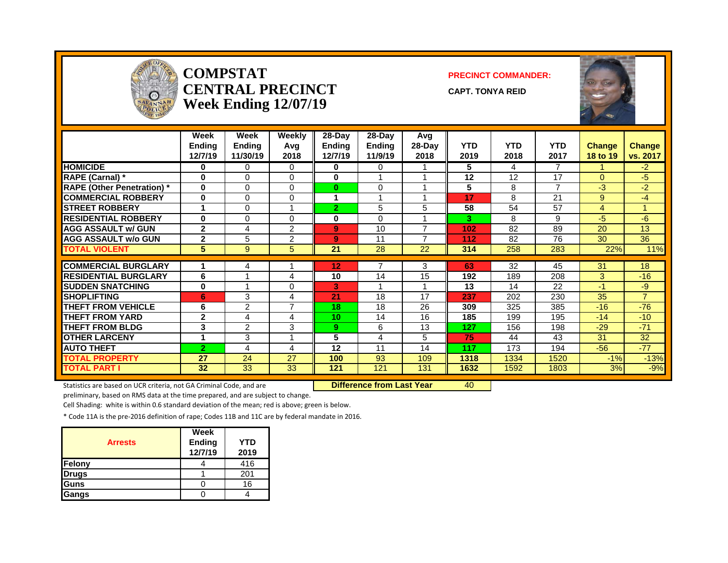

#### **COMPSTAT PRECINCT COMMANDER: CENTRAL PRECINCT** CAPT. TONYA REID **Week Ending 12/07/19**



|                                  | Week<br><b>Endina</b><br>12/7/19 | Week<br><b>Endina</b><br>11/30/19 | Weekly<br>Avg<br>2018 | $28-Day$<br><b>Endina</b><br>12/7/19 | 28-Dav<br><b>Endina</b><br>11/9/19 | Avg<br>28-Day<br>2018 | <b>YTD</b><br>2019 | <b>YTD</b><br>2018 | <b>YTD</b><br>2017 | <b>Change</b><br>18 to 19 | <b>Change</b><br>vs. 2017 |
|----------------------------------|----------------------------------|-----------------------------------|-----------------------|--------------------------------------|------------------------------------|-----------------------|--------------------|--------------------|--------------------|---------------------------|---------------------------|
| <b>HOMICIDE</b>                  | 0                                | 0                                 | 0                     | 0                                    | $\Omega$                           |                       | 5                  | 4                  | $\overline{7}$     | 1                         | $-2$                      |
| RAPE (Carnal) *                  | $\bf{0}$                         | 0                                 | 0                     | $\bf{0}$                             |                                    |                       | 12                 | 12                 | 17                 | $\Omega$                  | $-5$                      |
| <b>RAPE (Other Penetration)*</b> | $\bf{0}$                         | 0                                 | 0                     | 0                                    | $\Omega$                           |                       | 5                  | 8                  | $\overline{ }$     | -3                        | $-2$                      |
| <b>COMMERCIAL ROBBERY</b>        | $\bf{0}$                         | $\Omega$                          | 0                     |                                      |                                    |                       | 17                 | 8                  | 21                 | 9                         | $-4$                      |
| <b>STREET ROBBERY</b>            | 4                                | $\Omega$                          | и                     | $\overline{2}$                       | 5                                  | 5                     | 58                 | 54                 | 57                 | 4                         | и                         |
| <b>RESIDENTIAL ROBBERY</b>       | $\bf{0}$                         | 0                                 | 0                     | 0                                    | $\Omega$                           |                       | 3                  | 8                  | 9                  | -5                        | $-6$                      |
| <b>AGG ASSAULT w/ GUN</b>        | $\mathbf{2}$                     | 4                                 | 2                     | 9                                    | 10                                 | 7                     | 102                | 82                 | 89                 | 20                        | 13                        |
| <b>AGG ASSAULT w/o GUN</b>       | $\mathbf{2}$                     | 5                                 | 2                     | 9                                    | 11                                 | $\overline{ }$        | 112                | 82                 | 76                 | 30                        | 36                        |
| <b>TOTAL VIOLENT</b>             | 5                                | 9                                 | 5                     | 21                                   | 28                                 | 22                    | 314                | 258                | 283                | 22%                       | 11%                       |
|                                  |                                  |                                   |                       |                                      |                                    |                       |                    |                    |                    |                           |                           |
| <b>COMMERCIAL BURGLARY</b>       |                                  | 4                                 |                       | 12                                   |                                    | 3                     | 63                 | 32                 | 45                 | 31                        | 18                        |
| <b>RESIDENTIAL BURGLARY</b>      | 6                                |                                   | 4                     | 10                                   | 14                                 | 15                    | 192                | 189                | 208                | 3                         | $-16$                     |
| <b>SUDDEN SNATCHING</b>          | 0                                |                                   | 0                     | 3.                                   |                                    |                       | 13                 | 14                 | 22                 | $-1$                      | $-9$                      |
| <b>SHOPLIFTING</b>               | 6                                | 3                                 | 4                     | 21                                   | 18                                 | 17                    | 237                | 202                | 230                | 35                        | $\overline{7}$            |
| THEFT FROM VEHICLE               | 6                                | $\overline{2}$                    | 7                     | 18                                   | 18                                 | 26                    | 309                | 325                | 385                | $-16$                     | $-76$                     |
| THEFT FROM YARD                  | $\mathbf{2}$                     | 4                                 | 4                     | 10                                   | 14                                 | 16                    | 185                | 199                | 195                | $-14$                     | $-10$                     |
| <b>THEFT FROM BLDG</b>           | 3                                | $\overline{2}$                    | 3                     | 9.                                   | 6                                  | 13                    | 127                | 156                | 198                | $-29$                     | $-71$                     |
| <b>OTHER LARCENY</b>             | 4                                | 3                                 | 4                     | 5                                    | $\overline{\mathbf{4}}$            | 5                     | 75                 | 44                 | 43                 | 31                        | 32                        |
| <b>AUTO THEFT</b>                | $\overline{2}$                   | 4                                 | 4                     | 12                                   | 11                                 | 14                    | 117                | 173                | 194                | $-56$                     | $-77$                     |
| TOTAL PROPERTY                   | 27                               | 24                                | 27                    | 100                                  | 93                                 | 109                   | 1318               | 1334               | 1520               | $-1%$                     | $-13%$                    |
| <b>TOTAL PART I</b>              | 32                               | 33                                | 33                    | 121                                  | 121                                | 131                   | 1632               | 1592               | 1803               | 3%                        | $-9%$                     |

Statistics are based on UCR criteria, not GA Criminal Code, and are **Difference from Last Year** 40

preliminary, based on RMS data at the time prepared, and are subject to change.

Cell Shading: white is within 0.6 standard deviation of the mean; red is above; green is below.

| <b>Arrests</b> | Week<br>Ending<br>12/7/19 | YTD<br>2019 |
|----------------|---------------------------|-------------|
| Felony         |                           | 416         |
| <b>Drugs</b>   |                           | 201         |
| <b>I</b> Guns  |                           | 16          |
| Gangs          |                           |             |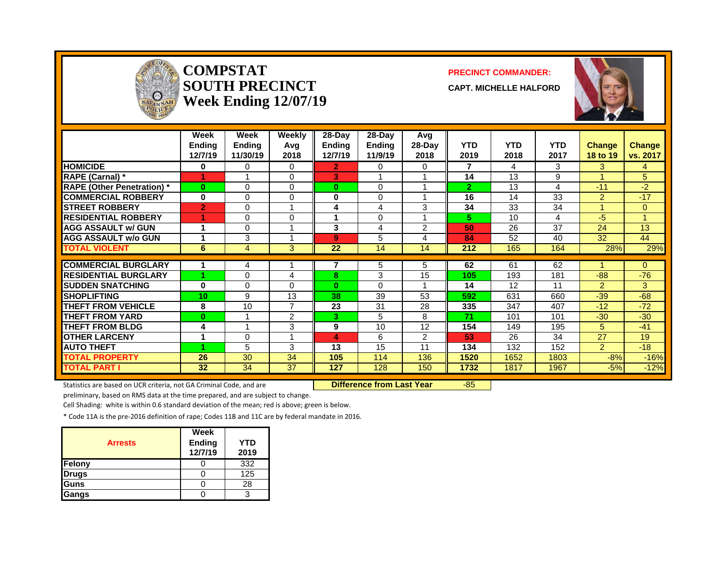

#### **COMPSTAT PRECINCT COMMANDER: SOUTH PRECINCT CAPT. MICHELLE HALFORD Week Ending 12/07/19**



|                                  | Week<br><b>Ending</b><br>12/7/19 | Week<br><b>Endina</b><br>11/30/19 | Weekly<br>Avg<br>2018 | $28-Day$<br><b>Endina</b><br>12/7/19 | $28-Day$<br>Endina<br>11/9/19 | Avg<br>$28-Day$<br>2018 | <b>YTD</b><br>2019 | <b>YTD</b><br>2018 | <b>YTD</b><br>2017 | <b>Change</b><br>18 to 19 | <b>Change</b><br>vs. 2017 |
|----------------------------------|----------------------------------|-----------------------------------|-----------------------|--------------------------------------|-------------------------------|-------------------------|--------------------|--------------------|--------------------|---------------------------|---------------------------|
| <b>HOMICIDE</b>                  | 0                                | 0                                 | $\Omega$              | $\mathbf{2}$                         | $\Omega$                      | 0                       | 7                  | 4                  | 3                  | 3                         | 4                         |
| RAPE (Carnal) *                  |                                  |                                   | $\Omega$              | 3                                    |                               |                         | 14                 | 13                 | 9                  |                           | 5                         |
| <b>RAPE (Other Penetration)*</b> | $\mathbf{0}$                     | $\Omega$                          | $\Omega$              | $\bf{0}$                             | $\Omega$                      |                         | $\overline{2}$     | 13                 | 4                  | $-11$                     | $-2$                      |
| <b>COMMERCIAL ROBBERY</b>        | $\bf{0}$                         | $\Omega$                          | $\Omega$              | 0                                    | $\Omega$                      |                         | 16                 | 14                 | 33                 | 2                         | $-17$                     |
| <b>STREET ROBBERY</b>            | $\overline{2}$                   | $\Omega$                          |                       | 4                                    | 4                             | 3                       | 34                 | 33                 | 34                 |                           | $\Omega$                  |
| <b>RESIDENTIAL ROBBERY</b>       |                                  | $\Omega$                          | 0                     | 1                                    | $\Omega$                      |                         | 5.                 | 10                 | 4                  | -5                        |                           |
| <b>AGG ASSAULT w/ GUN</b>        |                                  | 0                                 |                       | 3                                    | 4                             | 2                       | 50                 | 26                 | 37                 | 24                        | 13                        |
| <b>AGG ASSAULT w/o GUN</b>       |                                  | 3                                 |                       | 9                                    | 5                             | 4                       | 84                 | 52                 | 40                 | 32                        | 44                        |
| <b>TOTAL VIOLENT</b>             | 6                                | 4                                 | 3                     | 22                                   | 14                            | 14                      | 212                | 165                | 164                | 28%                       | 29%                       |
|                                  |                                  |                                   |                       |                                      |                               |                         |                    |                    |                    |                           |                           |
| <b>COMMERCIAL BURGLARY</b>       |                                  | 4                                 |                       | 7                                    | 5                             | 5                       | 62                 | 61                 | 62                 |                           | $\Omega$                  |
| <b>RESIDENTIAL BURGLARY</b>      |                                  | 0                                 | 4                     | 8                                    | 3                             | 15                      | 105                | 193                | 181                | $-88-$                    | $-76$                     |
| <b>SUDDEN SNATCHING</b>          | $\bf{0}$                         | $\Omega$                          | $\Omega$              | $\bf{0}$                             | $\Omega$                      |                         | 14                 | 12                 | 11                 | $\mathcal{P}$             | 3                         |
| <b>SHOPLIFTING</b>               | 10                               | 9                                 | 13                    | 38                                   | 39                            | 53                      | 592                | 631                | 660                | $-39$                     | $-68$                     |
| <b>THEFT FROM VEHICLE</b>        | 8                                | 10                                | 7                     | 23                                   | 31                            | 28                      | 335                | 347                | 407                | $-12$                     | $-72$                     |
| <b>THEFT FROM YARD</b>           | $\mathbf{0}$                     |                                   | 2                     | 3.                                   | 5                             | 8                       | 71                 | 101                | 101                | $-30$                     | $-30$                     |
| <b>THEFT FROM BLDG</b>           | 4                                |                                   | 3                     | 9                                    | 10                            | 12                      | 154                | 149                | 195                | 5                         | $-41$                     |
| <b>OTHER LARCENY</b>             |                                  | $\Omega$                          |                       | 4                                    | 6                             | $\mathcal{P}$           | 53                 | 26                 | 34                 | 27                        | 19                        |
| <b>AUTO THEFT</b>                | 4                                | 5                                 | 3                     | 13                                   | 15                            | 11                      | 134                | 132                | 152                | $\mathcal{P}$             | $-18$                     |
| TOTAL PROPERTY                   | 26                               | 30                                | 34                    | 105                                  | 114                           | 136                     | 1520               | 1652               | 1803               | $-8%$                     | $-16%$                    |
| TOTAL PART I                     | 32                               | 34                                | 37                    | 127                                  | 128                           | 150                     | 1732               | 1817               | 1967               | $-5%$                     | $-12%$                    |

Statistics are based on UCR criteria, not GA Criminal Code, and are **Difference from Last Year** -85

preliminary, based on RMS data at the time prepared, and are subject to change.

Cell Shading: white is within 0.6 standard deviation of the mean; red is above; green is below.

| <b>Arrests</b> | Week<br><b>Ending</b><br>12/7/19 | YTD<br>2019 |
|----------------|----------------------------------|-------------|
| Felony         |                                  | 332         |
| <b>Drugs</b>   |                                  | 125         |
| Guns           |                                  | 28          |
| Gangs          |                                  | ว           |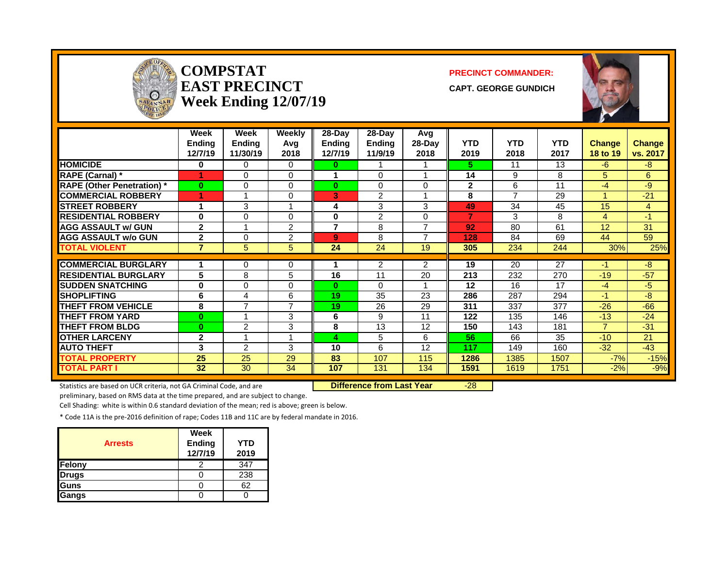| <b>ICE OFFICA</b><br>$\Omega$<br>SAVANNAH |                                  | <b>COMPSTAT</b><br><b>EAST PRECINCT</b><br><b>Week Ending 12/07/19</b> |                         |                             | <b>PRECINCT COMMANDER:</b><br><b>CAPT. GEORGE GUNDICH</b> |                       |                    |                    |                    |                           |                           |
|-------------------------------------------|----------------------------------|------------------------------------------------------------------------|-------------------------|-----------------------------|-----------------------------------------------------------|-----------------------|--------------------|--------------------|--------------------|---------------------------|---------------------------|
|                                           | Week<br><b>Endina</b><br>12/7/19 | <b>Week</b><br>Ending<br>11/30/19                                      | Weekly<br>Avg<br>2018   | 28-Day<br>Ending<br>12/7/19 | $28-Day$<br><b>Ending</b><br>11/9/19                      | Avg<br>28-Day<br>2018 | <b>YTD</b><br>2019 | <b>YTD</b><br>2018 | <b>YTD</b><br>2017 | <b>Change</b><br>18 to 19 | <b>Change</b><br>vs. 2017 |
| <b>HOMICIDE</b>                           | $\bf{0}$                         | $\Omega$                                                               | $\Omega$                | 0                           | 1                                                         | -1                    | 5.                 | 11                 | 13                 | -6                        | $-8$                      |
| <b>RAPE (Carnal)</b> *                    | 1                                | $\Omega$                                                               | $\Omega$                | 1                           | 0                                                         | 1                     | 14                 | 9                  | 8                  | 5                         | 6                         |
| <b>RAPE (Other Penetration)*</b>          | $\mathbf{0}$                     | $\Omega$                                                               | $\Omega$                | $\mathbf{0}$                | 0                                                         | $\mathbf{0}$          | $\mathbf{2}$       | 6                  | 11                 | $-4$                      | -9                        |
| <b>COMMERCIAL ROBBERY</b>                 | 1                                | 1                                                                      | $\Omega$                | 3                           | $\overline{2}$                                            | $\overline{1}$        | 8                  | $\overline{7}$     | 29                 | $\blacktriangleleft$      | $-21$                     |
| <b>STREET ROBBERY</b>                     | 1                                | 3                                                                      | $\overline{\mathbf{A}}$ | 4                           | 3                                                         | 3                     | 49                 | 34                 | 45                 | 15                        | $\overline{4}$            |
| <b>RESIDENTIAL ROBBERY</b>                | $\bf{0}$                         | $\Omega$                                                               | $\Omega$                | 0                           | $\overline{2}$                                            | $\Omega$              | $\overline{7}$     | 3                  | 8                  | $\overline{4}$            | $-1$                      |
| <b>AGG ASSAULT w/ GUN</b>                 | $\mathbf{2}$                     | 1                                                                      | $\overline{2}$          | $\overline{7}$              | 8                                                         | $\overline{7}$        | 92                 | 80                 | 61                 | 12                        | 31                        |
| <b>AGG ASSAULT w/o GUN</b>                | $\overline{2}$                   | 0                                                                      | $\overline{2}$          | 9                           | 8                                                         | $\overline{7}$        | 128                | 84                 | 69                 | 44                        | 59                        |
| <b>TOTAL VIOLENT</b>                      | $\overline{7}$                   | 5                                                                      | 5                       | 24                          | 24                                                        | 19                    | 305                | 234                | 244                | 30%                       | 25%                       |
| <b>COMMERCIAL BURGLARY</b>                | 1                                | 0                                                                      | 0                       |                             | 2                                                         | $\overline{2}$        | 19                 | 20                 | 27                 | -1                        | -8                        |
| <b>RESIDENTIAL BURGLARY</b>               | 5                                | 8                                                                      | 5                       | 16                          | 11                                                        | 20                    | 213                | 232                | 270                | $-19$                     | $-57$                     |
| <b>SUDDEN SNATCHING</b>                   | $\bf{0}$                         | $\Omega$                                                               | $\Omega$                | $\mathbf{0}$                | $\Omega$                                                  |                       | 12                 | 16                 | 17                 | $-4$                      | $-5$                      |
| <b>SHOPLIFTING</b>                        | 6                                | 4                                                                      | 6                       | 19                          | 35                                                        | 23                    | 286                | 287                | 294                | $-1$                      | -8                        |
| <b>THEFT FROM VEHICLE</b>                 | 8                                | $\overline{7}$                                                         | $\overline{7}$          | 19                          | 26                                                        | 29                    | 311                | 337                | 377                | $-26$                     | $-66$                     |
| <b>THEFT FROM YARD</b>                    | $\mathbf{0}$                     | 1                                                                      | 3                       | 6                           | 9                                                         | 11                    | 122                | 135                | 146                | $-13$                     | $-24$                     |
| <b>THEFT FROM BLDG</b>                    | $\mathbf{0}$                     | $\overline{2}$                                                         | 3                       | 8                           | 13                                                        | 12                    | 150                | 143                | 181                | $\overline{7}$            | $-31$                     |
| <b>OTHER LARCENY</b>                      | $\mathbf{2}$                     | 1                                                                      |                         | 4                           | 5                                                         | 6                     | 56                 | 66                 | 35                 | $-10$                     | 21                        |
| <b>AUTO THEFT</b>                         | 3                                | $\overline{2}$                                                         | 3                       | 10                          | 6                                                         | 12                    | 117                | 149                | 160                | $-32$                     | $-43$                     |
| <b>TOTAL PROPERTY</b>                     | $\overline{25}$                  | 25                                                                     | 29                      | 83                          | 107                                                       | 115                   | 1286               | 1385               | 1507               | $-7%$                     | $-15%$                    |
| <b>TOTAL PART I</b>                       | $\overline{32}$                  | $\overline{30}$                                                        | $\overline{34}$         | 107                         | 131                                                       | 134                   | 1591               | 1619               | 1751               | $-2%$                     | $-9%$                     |

Statistics are based on UCR criteria, not GA Criminal Code, and are **Difference from Last Year** -28

÷.

**SAV** 

preliminary, based on RMS data at the time prepared, and are subject to change.

Cell Shading: white is within 0.6 standard deviation of the mean; red is above; green is below.

| <b>Arrests</b> | Week<br><b>Ending</b><br>12/7/19 | YTD<br>2019 |
|----------------|----------------------------------|-------------|
| Felony         |                                  | 347         |
| <b>Drugs</b>   |                                  | 238         |
| Guns           |                                  | 62          |
| Gangs          |                                  |             |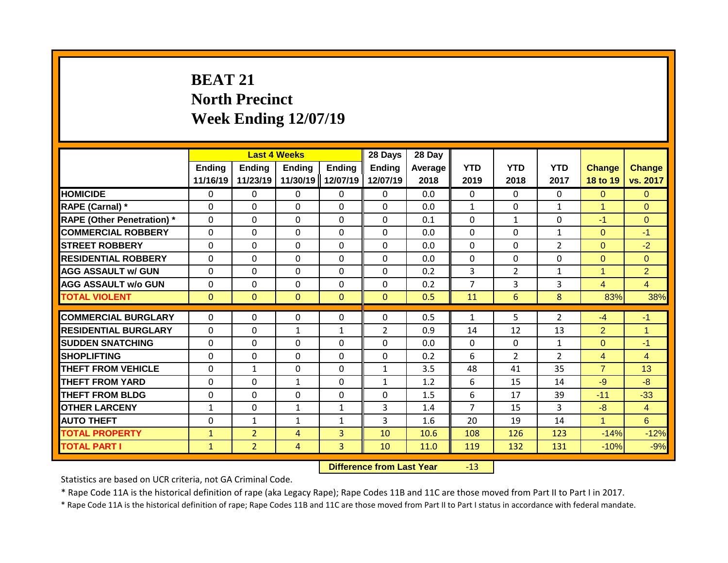# **BEAT 21 North Precinct Week Ending 12/07/19**

|                                   |                           | <b>Last 4 Weeks</b> |                           |                           | 28 Days            | 28 Day          |                    |                    |                    |                           |                           |
|-----------------------------------|---------------------------|---------------------|---------------------------|---------------------------|--------------------|-----------------|--------------------|--------------------|--------------------|---------------------------|---------------------------|
|                                   | <b>Ending</b><br>11/16/19 | Ending<br>11/23/19  | <b>Ending</b><br>11/30/19 | <b>Ending</b><br>12/07/19 | Ending<br>12/07/19 | Average<br>2018 | <b>YTD</b><br>2019 | <b>YTD</b><br>2018 | <b>YTD</b><br>2017 | <b>Change</b><br>18 to 19 | <b>Change</b><br>vs. 2017 |
| <b>HOMICIDE</b>                   | 0                         | 0                   | 0                         | $\mathbf{0}$              | $\mathbf{0}$       | 0.0             | $\mathbf{0}$       | $\Omega$           | $\Omega$           | $\Omega$                  | $\overline{0}$            |
| RAPE (Carnal) *                   | $\Omega$                  | $\Omega$            | 0                         | $\Omega$                  | $\Omega$           | 0.0             | $\mathbf{1}$       | $\Omega$           | $\mathbf{1}$       | 1                         | $\Omega$                  |
| <b>RAPE (Other Penetration)</b> * | $\mathbf{0}$              | $\Omega$            | 0                         | $\mathbf{0}$              | $\mathbf 0$        | 0.1             | $\Omega$           | $\mathbf{1}$       | $\Omega$           | $-1$                      | $\Omega$                  |
| <b>COMMERCIAL ROBBERY</b>         | $\Omega$                  | $\Omega$            | $\Omega$                  | $\Omega$                  | $\Omega$           | 0.0             | $\Omega$           | $\Omega$           | 1                  | $\Omega$                  | $-1$                      |
| <b>STREET ROBBERY</b>             | $\Omega$                  | $\Omega$            | $\Omega$                  | $\Omega$                  | $\Omega$           | 0.0             | $\Omega$           | $\Omega$           | $\overline{2}$     | $\Omega$                  | $-2$                      |
| <b>RESIDENTIAL ROBBERY</b>        | $\Omega$                  | $\Omega$            | $\Omega$                  | $\mathbf{0}$              | $\Omega$           | 0.0             | $\mathbf{0}$       | $\Omega$           | $\Omega$           | $\Omega$                  | $\Omega$                  |
| <b>AGG ASSAULT w/ GUN</b>         | $\mathbf{0}$              | $\Omega$            | $\Omega$                  | $\mathbf{0}$              | $\Omega$           | 0.2             | 3                  | $\overline{2}$     | $\mathbf{1}$       | 1                         | $\overline{2}$            |
| <b>AGG ASSAULT w/o GUN</b>        | $\mathbf{0}$              | $\Omega$            | $\Omega$                  | $\mathbf{0}$              | $\Omega$           | 0.2             | $\overline{7}$     | $\mathbf{3}$       | 3                  | $\overline{4}$            | $\overline{4}$            |
| <b>TOTAL VIOLENT</b>              | $\mathbf{0}$              | $\Omega$            | $\Omega$                  | $\mathbf{0}$              | $\mathbf{0}$       | 0.5             | 11                 | 6                  | 8                  | 83%                       | 38%                       |
|                                   |                           |                     |                           |                           |                    |                 |                    |                    |                    |                           |                           |
| <b>COMMERCIAL BURGLARY</b>        | $\mathbf{0}$              | 0                   | 0                         | $\Omega$                  | 0                  | 0.5             | $\mathbf{1}$       | 5                  | $\overline{2}$     | $-4$                      | $-1$                      |
| <b>RESIDENTIAL BURGLARY</b>       | $\mathbf{0}$              | $\Omega$            | $\mathbf{1}$              | $\mathbf{1}$              | $\overline{2}$     | 0.9             | 14                 | 12                 | 13                 | $\overline{2}$            | $\mathbf{1}$              |
| <b>SUDDEN SNATCHING</b>           | $\Omega$                  | 0                   | 0                         | $\mathbf{0}$              | 0                  | 0.0             | $\Omega$           | $\Omega$           | $\mathbf{1}$       | $\Omega$                  | $-1$                      |
| <b>SHOPLIFTING</b>                | $\Omega$                  | 0                   | 0                         | $\mathbf{0}$              | $\mathbf{0}$       | 0.2             | 6                  | $\mathcal{P}$      | $\overline{2}$     | $\overline{4}$            | $\overline{4}$            |
| THEFT FROM VEHICLE                | $\Omega$                  | $\mathbf{1}$        | $\Omega$                  | $\mathbf{0}$              | $\mathbf{1}$       | 3.5             | 48                 | 41                 | 35                 | $\overline{7}$            | 13                        |
| <b>THEFT FROM YARD</b>            | 0                         | 0                   | $\mathbf{1}$              | 0                         | 1                  | 1.2             | 6                  | 15                 | 14                 | $-9$                      | $-8$                      |
| <b>THEFT FROM BLDG</b>            | $\Omega$                  | 0                   | 0                         | $\Omega$                  | $\Omega$           | 1.5             | 6                  | 17                 | 39                 | $-11$                     | $-33$                     |
| <b>OTHER LARCENY</b>              | $\mathbf{1}$              | 0                   | $\mathbf{1}$              | 1                         | 3                  | 1.4             | $\overline{7}$     | 15                 | 3                  | $-8$                      | $\overline{4}$            |
| <b>AUTO THEFT</b>                 | 0                         | $\mathbf{1}$        | $\mathbf{1}$              | 1                         | 3                  | 1.6             | 20                 | 19                 | 14                 | 1                         | 6                         |
| <b>TOTAL PROPERTY</b>             | 1                         | $\overline{2}$      | 4                         | 3                         | 10                 | 10.6            | 108                | 126                | 123                | $-14%$                    | $-12%$                    |
| <b>TOTAL PART I</b>               | $\mathbf{1}$              | $\overline{2}$      | 4                         | $\mathbf{3}$              | 10                 | 11.0            | 119                | 132                | 131                | $-10%$                    | $-9%$                     |

**Difference from Last Year** -13

Statistics are based on UCR criteria, not GA Criminal Code.

\* Rape Code 11A is the historical definition of rape (aka Legacy Rape); Rape Codes 11B and 11C are those moved from Part II to Part I in 2017.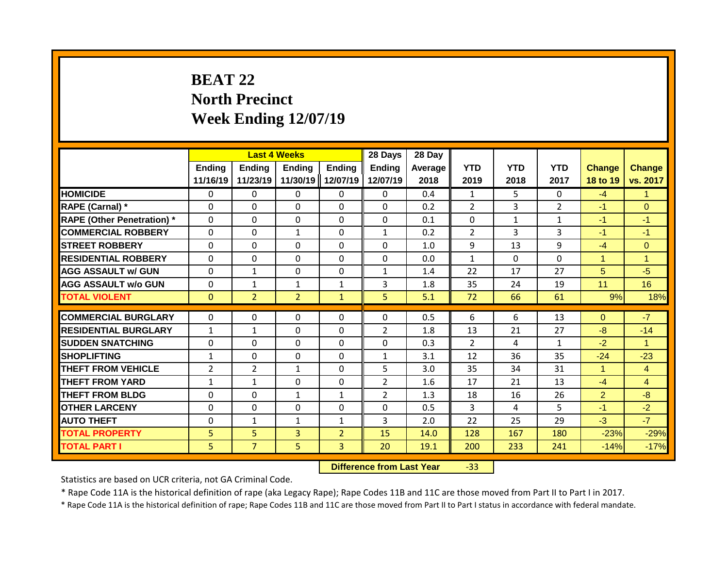# **BEAT 22 North Precinct Week Ending 12/07/19**

|                                   |                           | <b>Last 4 Weeks</b> |                           |                           | 28 Days            | 28 Day          |                    |                    |                    |                           |                           |
|-----------------------------------|---------------------------|---------------------|---------------------------|---------------------------|--------------------|-----------------|--------------------|--------------------|--------------------|---------------------------|---------------------------|
|                                   | <b>Ending</b><br>11/16/19 | Ending<br>11/23/19  | <b>Ending</b><br>11/30/19 | <b>Ending</b><br>12/07/19 | Ending<br>12/07/19 | Average<br>2018 | <b>YTD</b><br>2019 | <b>YTD</b><br>2018 | <b>YTD</b><br>2017 | <b>Change</b><br>18 to 19 | <b>Change</b><br>vs. 2017 |
| <b>HOMICIDE</b>                   | 0                         | 0                   | 0                         | $\mathbf{0}$              | $\mathbf{0}$       | 0.4             | $\mathbf{1}$       | 5                  | $\Omega$           | $-4$                      | $\mathbf{1}$              |
| RAPE (Carnal) *                   | $\Omega$                  | $\Omega$            | 0                         | $\Omega$                  | $\Omega$           | 0.2             | $\overline{2}$     | 3                  | $\overline{2}$     | $-1$                      | $\Omega$                  |
| <b>RAPE (Other Penetration) *</b> | $\mathbf{0}$              | $\Omega$            | 0                         | $\mathbf{0}$              | $\Omega$           | 0.1             | $\Omega$           | $\mathbf{1}$       | 1                  | $-1$                      | $-1$                      |
| <b>COMMERCIAL ROBBERY</b>         | $\mathbf{0}$              | $\Omega$            | $\mathbf{1}$              | $\mathbf{0}$              | $\mathbf{1}$       | 0.2             | $\overline{2}$     | 3                  | 3                  | $-1$                      | $-1$                      |
| <b>STREET ROBBERY</b>             | $\Omega$                  | $\Omega$            | $\Omega$                  | $\mathbf{0}$              | $\Omega$           | 1.0             | 9                  | 13                 | 9                  | $-4$                      | $\Omega$                  |
| <b>RESIDENTIAL ROBBERY</b>        | $\Omega$                  | 0                   | 0                         | $\mathbf{0}$              | 0                  | 0.0             | $\mathbf{1}$       | $\Omega$           | 0                  | 1                         | $\blacktriangleleft$      |
| <b>AGG ASSAULT w/ GUN</b>         | $\mathbf{0}$              | 1                   | 0                         | $\mathbf{0}$              | $\mathbf{1}$       | 1.4             | 22                 | 17                 | 27                 | 5                         | $-5$                      |
| <b>AGG ASSAULT w/o GUN</b>        | $\mathbf{0}$              | $\mathbf{1}$        | $\mathbf{1}$              | $\mathbf{1}$              | 3                  | 1.8             | 35                 | 24                 | 19                 | 11                        | 16                        |
| <b>TOTAL VIOLENT</b>              | $\mathbf{0}$              | $\overline{2}$      | $\overline{2}$            | $\mathbf{1}$              | 5                  | 5.1             | 72                 | 66                 | 61                 | 9%                        | 18%                       |
| <b>COMMERCIAL BURGLARY</b>        |                           |                     |                           |                           | $\Omega$           | 0.5             | 6                  | 6                  | 13                 |                           | $-7$                      |
|                                   | 0                         | 0                   | 0                         | $\mathbf{0}$              |                    |                 |                    |                    |                    | $\Omega$                  |                           |
| <b>RESIDENTIAL BURGLARY</b>       | $\mathbf{1}$              | 1                   | $\Omega$                  | $\mathbf{0}$              | $\overline{2}$     | 1.8             | 13                 | 21                 | 27                 | $-8$                      | $-14$                     |
| <b>SUDDEN SNATCHING</b>           | $\Omega$                  | 0                   | $\Omega$                  | $\Omega$                  | $\Omega$           | 0.3             | $\mathcal{P}$      | 4                  | $\mathbf{1}$       | $-2$                      | -1                        |
| <b>SHOPLIFTING</b>                | $\mathbf{1}$              | 0                   | 0                         | $\mathbf{0}$              | $\mathbf{1}$       | 3.1             | 12                 | 36                 | 35                 | $-24$                     | $-23$                     |
| THEFT FROM VEHICLE                | 2                         | $\overline{2}$      | $\mathbf{1}$              | 0                         | 5                  | 3.0             | 35                 | 34                 | 31                 | 4                         | $\overline{4}$            |
| <b>THEFT FROM YARD</b>            | $\mathbf{1}$              | $\mathbf{1}$        | $\Omega$                  | $\Omega$                  | $\overline{2}$     | 1.6             | 17                 | 21                 | 13                 | $-4$                      | $\overline{4}$            |
| <b>THEFT FROM BLDG</b>            | 0                         | 0                   | $\mathbf{1}$              | 1                         | $\overline{2}$     | 1.3             | 18                 | 16                 | 26                 | $\overline{2}$            | $-8-$                     |
| <b>OTHER LARCENY</b>              | 0                         | 0                   | 0                         | 0                         | 0                  | 0.5             | 3                  | 4                  | 5                  | $-1$                      | $-2$                      |
| <b>AUTO THEFT</b>                 | 0                         | 1                   | $\mathbf{1}$              | 1                         | 3                  | 2.0             | 22                 | 25                 | 29                 | $-3$                      | $-7$                      |
| <b>TOTAL PROPERTY</b>             | 5                         | 5                   | 3                         | $\overline{2}$            | 15                 | 14.0            | 128                | 167                | 180                | $-23%$                    | $-29%$                    |
| <b>TOTAL PART I</b>               | 5                         | $\overline{7}$      | 5                         | 3                         | 20                 | 19.1            | 200                | 233                | 241                | $-14%$                    | $-17%$                    |

**Difference from Last Year** -33

Statistics are based on UCR criteria, not GA Criminal Code.

\* Rape Code 11A is the historical definition of rape (aka Legacy Rape); Rape Codes 11B and 11C are those moved from Part II to Part I in 2017.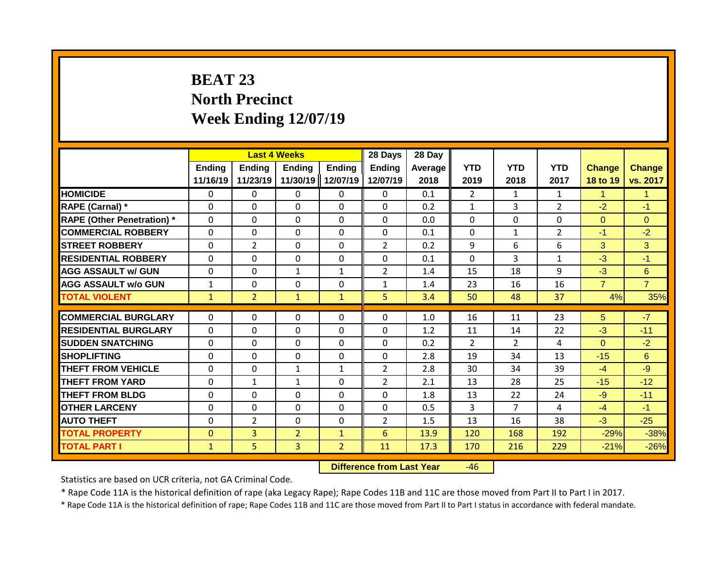# **BEAT 23 North Precinct Week Ending 12/07/19**

|                                   |                    |                           | <b>Last 4 Weeks</b> |                           | 28 Days                   | 28 Day          |                    |                    |                    |                           |                           |
|-----------------------------------|--------------------|---------------------------|---------------------|---------------------------|---------------------------|-----------------|--------------------|--------------------|--------------------|---------------------------|---------------------------|
|                                   | Ending<br>11/16/19 | <b>Ending</b><br>11/23/19 | Ending<br>11/30/19  | <b>Ending</b><br>12/07/19 | <b>Ending</b><br>12/07/19 | Average<br>2018 | <b>YTD</b><br>2019 | <b>YTD</b><br>2018 | <b>YTD</b><br>2017 | <b>Change</b><br>18 to 19 | <b>Change</b><br>vs. 2017 |
| <b>HOMICIDE</b>                   | $\mathbf{0}$       | 0                         | 0                   | 0                         | $\mathbf{0}$              | 0.1             | $\overline{2}$     | $\mathbf{1}$       | 1                  | 1                         | $\mathbf{1}$              |
| RAPE (Carnal) *                   | $\Omega$           | 0                         | 0                   | $\Omega$                  | $\Omega$                  | 0.2             | $\mathbf{1}$       | 3                  | $\overline{2}$     | $-2$                      | $-1$                      |
| <b>RAPE (Other Penetration) *</b> | $\Omega$           | 0                         | $\Omega$            | $\Omega$                  | $\Omega$                  | 0.0             | $\mathbf{0}$       | $\Omega$           | $\Omega$           | $\Omega$                  | $\Omega$                  |
| <b>COMMERCIAL ROBBERY</b>         | $\Omega$           | 0                         | $\Omega$            | $\Omega$                  | $\Omega$                  | 0.1             | $\Omega$           | $\mathbf{1}$       | $\overline{2}$     | $-1$                      | $-2$                      |
| <b>STREET ROBBERY</b>             | $\Omega$           | $\overline{2}$            | $\Omega$            | $\Omega$                  | $\overline{2}$            | 0.2             | 9                  | 6                  | 6                  | 3                         | 3                         |
| <b>RESIDENTIAL ROBBERY</b>        | $\Omega$           | 0                         | $\mathbf{0}$        | 0                         | 0                         | 0.1             | $\mathbf{0}$       | 3                  | $\mathbf{1}$       | $-3$                      | $-1$                      |
| <b>AGG ASSAULT w/ GUN</b>         | $\Omega$           | 0                         | 1                   | $\mathbf{1}$              | $\overline{2}$            | 1.4             | 15                 | 18                 | 9                  | $-3$                      | 6                         |
| <b>AGG ASSAULT w/o GUN</b>        | $\mathbf{1}$       | 0                         | $\Omega$            | 0                         | $\mathbf{1}$              | 1.4             | 23                 | 16                 | 16                 | $\overline{7}$            | $\overline{7}$            |
| <b>TOTAL VIOLENT</b>              | $\mathbf{1}$       | $\overline{2}$            | $\mathbf{1}$        | $\mathbf{1}$              | 5                         | 3.4             | 50                 | 48                 | 37                 | 4%                        | 35%                       |
| <b>COMMERCIAL BURGLARY</b>        |                    |                           |                     |                           |                           | 1.0             | 16                 | 11                 | 23                 |                           | $-7$                      |
|                                   | $\Omega$           | 0                         | $\mathbf{0}$        | 0                         | 0                         |                 |                    |                    |                    | 5                         |                           |
| <b>RESIDENTIAL BURGLARY</b>       | $\Omega$           | 0                         | $\Omega$            | $\Omega$                  | $\Omega$                  | 1.2             | 11                 | 14                 | 22                 | $-3$                      | $-11$                     |
| <b>SUDDEN SNATCHING</b>           | $\Omega$           | 0                         | $\Omega$            | 0                         | $\Omega$                  | 0.2             | $\overline{2}$     | $\mathcal{P}$      | 4                  | $\Omega$                  | $-2$                      |
| <b>SHOPLIFTING</b>                | $\Omega$           | 0                         | $\mathbf{0}$        | 0                         | $\Omega$                  | 2.8             | 19                 | 34                 | 13                 | $-15$                     | 6                         |
| <b>THEFT FROM VEHICLE</b>         | $\Omega$           | 0                         | $\mathbf{1}$        | $\mathbf{1}$              | $\overline{2}$            | 2.8             | 30                 | 34                 | 39                 | $-4$                      | -9                        |
| <b>THEFT FROM YARD</b>            | 0                  | $\mathbf{1}$              | $\mathbf{1}$        | 0                         | $\overline{2}$            | 2.1             | 13                 | 28                 | 25                 | $-15$                     | $-12$                     |
| <b>THEFT FROM BLDG</b>            | 0                  | 0                         | $\Omega$            | 0                         | $\Omega$                  | 1.8             | 13                 | 22                 | 24                 | $-9$                      | $-11$                     |
| <b>OTHER LARCENY</b>              | 0                  | 0                         | $\mathbf{0}$        | 0                         | 0                         | 0.5             | 3                  | $\overline{7}$     | 4                  | $-4$                      | $-1$                      |
| <b>AUTO THEFT</b>                 | 0                  | 2                         | $\Omega$            | 0                         | $\overline{2}$            | 1.5             | 13                 | 16                 | 38                 | $-3$                      | $-25$                     |
| <b>TOTAL PROPERTY</b>             | $\Omega$           | $\overline{3}$            | $\overline{2}$      | $\mathbf{1}$              | 6                         | 13.9            | 120                | 168                | 192                | $-29%$                    | $-38%$                    |
| <b>TOTAL PART I</b>               | $\mathbf{1}$       | 5                         | $\overline{3}$      | $\overline{2}$            | 11                        | 17.3            | 170                | 216                | 229                | $-21%$                    | $-26%$                    |

**Difference from Last Year** -46

Statistics are based on UCR criteria, not GA Criminal Code.

\* Rape Code 11A is the historical definition of rape (aka Legacy Rape); Rape Codes 11B and 11C are those moved from Part II to Part I in 2017.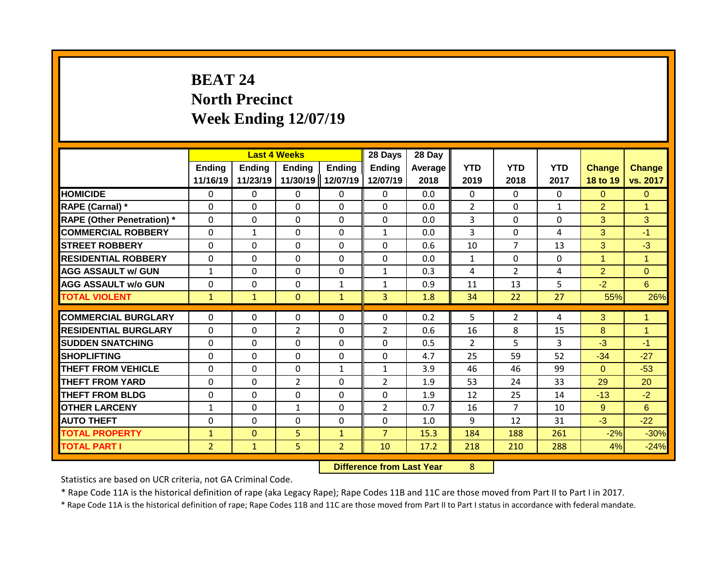# **BEAT 24 North Precinct Week Ending 12/07/19**

|                                   |                           | <b>Last 4 Weeks</b> |                           |                           | 28 Days            | 28 Day          |                    |                    |                    |                           |                           |
|-----------------------------------|---------------------------|---------------------|---------------------------|---------------------------|--------------------|-----------------|--------------------|--------------------|--------------------|---------------------------|---------------------------|
|                                   | <b>Ending</b><br>11/16/19 | Ending<br>11/23/19  | <b>Ending</b><br>11/30/19 | <b>Ending</b><br>12/07/19 | Ending<br>12/07/19 | Average<br>2018 | <b>YTD</b><br>2019 | <b>YTD</b><br>2018 | <b>YTD</b><br>2017 | <b>Change</b><br>18 to 19 | <b>Change</b><br>vs. 2017 |
| <b>HOMICIDE</b>                   | 0                         | 0                   | 0                         | $\mathbf{0}$              | $\mathbf{0}$       | 0.0             | $\Omega$           | $\Omega$           | $\Omega$           | $\Omega$                  | $\Omega$                  |
| RAPE (Carnal) *                   | $\Omega$                  | $\Omega$            | 0                         | $\Omega$                  | $\Omega$           | 0.0             | $\overline{2}$     | $\Omega$           | $\mathbf{1}$       | $\overline{2}$            | $\overline{1}$            |
| <b>RAPE (Other Penetration) *</b> | $\mathbf{0}$              | $\Omega$            | 0                         | $\Omega$                  | $\Omega$           | 0.0             | 3                  | $\Omega$           | $\Omega$           | 3                         | 3                         |
| <b>COMMERCIAL ROBBERY</b>         | $\mathbf{0}$              | $\mathbf{1}$        | $\Omega$                  | $\mathbf{0}$              | $\mathbf{1}$       | 0.0             | 3                  | $\Omega$           | 4                  | 3                         | $-1$                      |
| <b>STREET ROBBERY</b>             | $\Omega$                  | 0                   | $\Omega$                  | $\mathbf{0}$              | 0                  | 0.6             | 10                 | 7                  | 13                 | 3                         | $-3$                      |
| <b>RESIDENTIAL ROBBERY</b>        | 0                         | 0                   | 0                         | $\mathbf{0}$              | 0                  | 0.0             | $\mathbf{1}$       | 0                  | 0                  | 1                         | $\blacktriangleleft$      |
| <b>AGG ASSAULT w/ GUN</b>         | $\mathbf{1}$              | 0                   | 0                         | $\mathbf{0}$              | $\mathbf{1}$       | 0.3             | 4                  | $\overline{2}$     | 4                  | $\overline{2}$            | $\Omega$                  |
| <b>AGG ASSAULT w/o GUN</b>        | $\Omega$                  | 0                   | $\Omega$                  | $\mathbf{1}$              | $\mathbf{1}$       | 0.9             | 11                 | 13                 | 5                  | $-2$                      | 6                         |
| <b>TOTAL VIOLENT</b>              | $\mathbf{1}$              | $\mathbf{1}$        | $\mathbf{0}$              | $\mathbf{1}$              | $\overline{3}$     | 1.8             | 34                 | 22                 | 27                 | 55%                       | 26%                       |
| <b>COMMERCIAL BURGLARY</b>        |                           |                     |                           |                           | $\Omega$           | 0.2             | 5                  |                    |                    |                           | $\mathbf{1}$              |
|                                   | 0                         | 0                   | 0                         | $\mathbf{0}$              |                    |                 |                    | $\overline{2}$     | 4                  | 3                         |                           |
| <b>RESIDENTIAL BURGLARY</b>       | $\Omega$                  | $\Omega$            | $\overline{2}$            | $\mathbf{0}$              | $\overline{2}$     | 0.6             | 16                 | 8                  | 15                 | 8                         | $\overline{1}$            |
| <b>SUDDEN SNATCHING</b>           | $\Omega$                  | 0                   | $\Omega$                  | $\Omega$                  | $\Omega$           | 0.5             | $\mathcal{P}$      | 5                  | 3                  | $-3$                      | $-1$                      |
| <b>SHOPLIFTING</b>                | $\Omega$                  | 0                   | 0                         | $\mathbf{0}$              | $\Omega$           | 4.7             | 25                 | 59                 | 52                 | $-34$                     | $-27$                     |
| THEFT FROM VEHICLE                | $\Omega$                  | $\Omega$            | $\Omega$                  | $\mathbf{1}$              | $\mathbf{1}$       | 3.9             | 46                 | 46                 | 99                 | $\Omega$                  | $-53$                     |
| <b>THEFT FROM YARD</b>            | 0                         | $\Omega$            | $\overline{2}$            | $\Omega$                  | $\overline{2}$     | 1.9             | 53                 | 24                 | 33                 | 29                        | 20                        |
| <b>THEFT FROM BLDG</b>            | $\Omega$                  | 0                   | 0                         | $\Omega$                  | $\Omega$           | 1.9             | 12                 | 25                 | 14                 | $-13$                     | $-2$                      |
| <b>OTHER LARCENY</b>              | $\mathbf{1}$              | 0                   | $\mathbf{1}$              | 0                         | $\overline{2}$     | 0.7             | 16                 | 7                  | 10                 | 9                         | 6                         |
| <b>AUTO THEFT</b>                 | 0                         | 0                   | 0                         | 0                         | 0                  | 1.0             | 9                  | 12                 | 31                 | $-3$                      | $-22$                     |
| <b>TOTAL PROPERTY</b>             | $\mathbf{1}$              | $\mathbf{0}$        | 5                         | $\mathbf{1}$              | $\overline{7}$     | 15.3            | 184                | 188                | 261                | $-2%$                     | $-30%$                    |
| <b>TOTAL PART I</b>               | $\overline{2}$            | $\mathbf{1}$        | 5                         | $\overline{2}$            | 10                 | 17.2            | 218                | 210                | 288                | 4%                        | $-24%$                    |

**Difference from Last Year** 8

Statistics are based on UCR criteria, not GA Criminal Code.

\* Rape Code 11A is the historical definition of rape (aka Legacy Rape); Rape Codes 11B and 11C are those moved from Part II to Part I in 2017.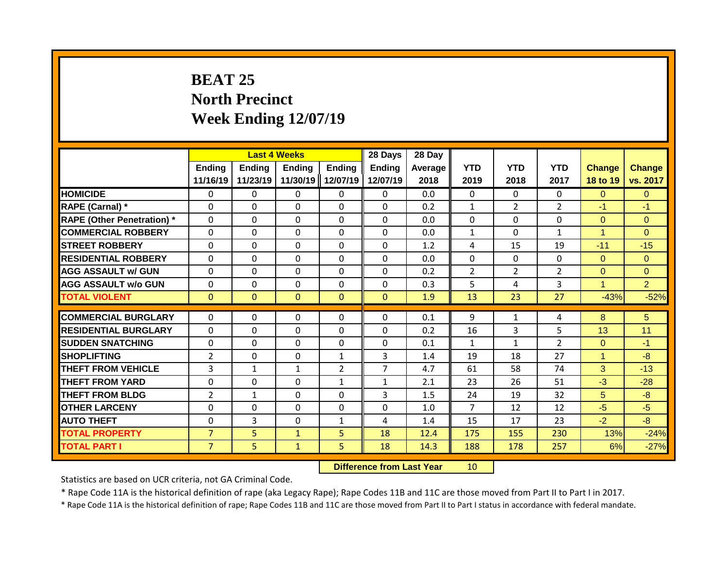# **BEAT 25 North Precinct Week Ending 12/07/19**

|                                   |                    |                    | <b>Last 4 Weeks</b>       |                           | 28 Days                   | 28 Day          |                    |                    |                    |                           |                           |
|-----------------------------------|--------------------|--------------------|---------------------------|---------------------------|---------------------------|-----------------|--------------------|--------------------|--------------------|---------------------------|---------------------------|
|                                   | Ending<br>11/16/19 | Ending<br>11/23/19 | <b>Ending</b><br>11/30/19 | <b>Ending</b><br>12/07/19 | <b>Ending</b><br>12/07/19 | Average<br>2018 | <b>YTD</b><br>2019 | <b>YTD</b><br>2018 | <b>YTD</b><br>2017 | <b>Change</b><br>18 to 19 | <b>Change</b><br>vs. 2017 |
| <b>HOMICIDE</b>                   | $\mathbf{0}$       | 0                  | $\mathbf{0}$              | $\mathbf{0}$              | $\mathbf{0}$              | 0.0             | $\Omega$           | $\Omega$           | 0                  | $\Omega$                  | $\Omega$                  |
| RAPE (Carnal) *                   | $\Omega$           | 0                  | $\Omega$                  | $\Omega$                  | $\Omega$                  | 0.2             | $\mathbf{1}$       | $\overline{2}$     | $\overline{2}$     | $-1$                      | $-1$                      |
| <b>RAPE (Other Penetration) *</b> | $\Omega$           | 0                  | $\Omega$                  | $\Omega$                  | $\Omega$                  | 0.0             | $\mathbf{0}$       | $\Omega$           | $\Omega$           | $\Omega$                  | $\Omega$                  |
| <b>COMMERCIAL ROBBERY</b>         | $\Omega$           | 0                  | $\Omega$                  | $\Omega$                  | $\Omega$                  | 0.0             | $\mathbf{1}$       | $\Omega$           | $\mathbf{1}$       | 1                         | $\Omega$                  |
| <b>STREET ROBBERY</b>             | $\Omega$           | 0                  | $\Omega$                  | $\Omega$                  | $\Omega$                  | 1.2             | 4                  | 15                 | 19                 | $-11$                     | $-15$                     |
| <b>RESIDENTIAL ROBBERY</b>        | $\Omega$           | 0                  | $\Omega$                  | 0                         | 0                         | 0.0             | $\mathbf{0}$       | $\Omega$           | 0                  | $\Omega$                  | $\Omega$                  |
| <b>AGG ASSAULT w/ GUN</b>         | $\Omega$           | 0                  | $\mathbf{0}$              | 0                         | 0                         | 0.2             | $\overline{2}$     | $\overline{2}$     | 2                  | $\overline{0}$            | $\Omega$                  |
| <b>AGG ASSAULT w/o GUN</b>        | $\Omega$           | 0                  | $\Omega$                  | 0                         | $\Omega$                  | 0.3             | 5                  | 4                  | 3                  | $\blacktriangleleft$      | $\overline{2}$            |
| <b>TOTAL VIOLENT</b>              | $\mathbf{0}$       | 0                  | $\mathbf{0}$              | $\mathbf{0}$              | $\Omega$                  | 1.9             | 13                 | 23                 | 27                 | $-43%$                    | $-52%$                    |
|                                   |                    |                    |                           |                           |                           |                 |                    |                    |                    |                           |                           |
| <b>COMMERCIAL BURGLARY</b>        | $\Omega$           | 0                  | $\mathbf{0}$              | 0                         | $\Omega$                  | 0.1             | 9                  | $\mathbf{1}$       | 4                  | 8                         | 5                         |
| <b>RESIDENTIAL BURGLARY</b>       | $\Omega$           | 0                  | $\Omega$                  | $\Omega$                  | $\Omega$                  | 0.2             | 16                 | 3                  | 5                  | 13                        | 11                        |
| <b>SUDDEN SNATCHING</b>           | $\Omega$           | 0                  | $\Omega$                  | 0                         | $\Omega$                  | 0.1             | $\mathbf{1}$       | $\mathbf{1}$       | $\mathcal{P}$      | $\Omega$                  | $-1$                      |
| <b>SHOPLIFTING</b>                | $\overline{2}$     | 0                  | $\mathbf{0}$              | $\mathbf{1}$              | 3                         | 1.4             | 19                 | 18                 | 27                 | 1                         | $-8$                      |
| <b>THEFT FROM VEHICLE</b>         | 3                  | $\mathbf{1}$       | $\mathbf{1}$              | $\overline{2}$            | $\overline{7}$            | 4.7             | 61                 | 58                 | 74                 | 3                         | $-13$                     |
| <b>THEFT FROM YARD</b>            | 0                  | 0                  | $\Omega$                  | $\mathbf{1}$              | $\mathbf{1}$              | 2.1             | 23                 | 26                 | 51                 | $-3$                      | $-28$                     |
| <b>THEFT FROM BLDG</b>            | $\overline{2}$     | 1                  | $\Omega$                  | 0                         | 3                         | 1.5             | 24                 | 19                 | 32                 | 5                         | $-8-$                     |
| <b>OTHER LARCENY</b>              | $\Omega$           | 0                  | $\mathbf{0}$              | 0                         | 0                         | 1.0             | $\overline{7}$     | 12                 | 12                 | $-5$                      | $-5$                      |
| <b>AUTO THEFT</b>                 | 0                  | 3                  | $\Omega$                  | $\mathbf{1}$              | 4                         | 1.4             | 15                 | 17                 | 23                 | $-2$                      | $-8$                      |
| <b>TOTAL PROPERTY</b>             | $\overline{7}$     | 5                  | $\mathbf{1}$              | 5                         | 18                        | 12.4            | 175                | 155                | 230                | 13%                       | $-24%$                    |
| <b>TOTAL PART I</b>               | $\overline{7}$     | 5                  | $\mathbf{1}$              | 5.                        | 18                        | 14.3            | 188                | 178                | 257                | 6%                        | $-27%$                    |

**Difference from Last Year** 10

Statistics are based on UCR criteria, not GA Criminal Code.

\* Rape Code 11A is the historical definition of rape (aka Legacy Rape); Rape Codes 11B and 11C are those moved from Part II to Part I in 2017.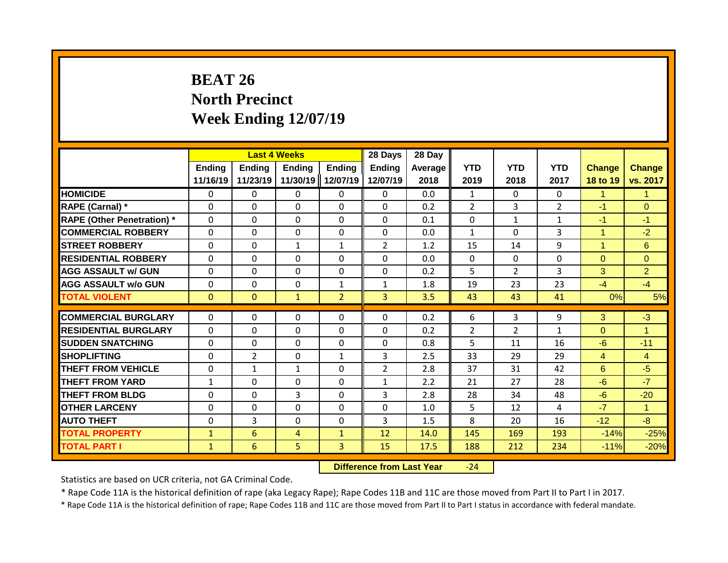# **BEAT 26 North Precinct Week Ending 12/07/19**

|                                   |                           | <b>Last 4 Weeks</b>       |                           |                           | 28 Days                   | 28 Day          |                    |                    |                    |                           |                           |
|-----------------------------------|---------------------------|---------------------------|---------------------------|---------------------------|---------------------------|-----------------|--------------------|--------------------|--------------------|---------------------------|---------------------------|
|                                   | <b>Ending</b><br>11/16/19 | <b>Ending</b><br>11/23/19 | <b>Ending</b><br>11/30/19 | <b>Ending</b><br>12/07/19 | <b>Ending</b><br>12/07/19 | Average<br>2018 | <b>YTD</b><br>2019 | <b>YTD</b><br>2018 | <b>YTD</b><br>2017 | <b>Change</b><br>18 to 19 | <b>Change</b><br>vs. 2017 |
| <b>HOMICIDE</b>                   | $\Omega$                  | 0                         | 0                         | $\mathbf{0}$              | $\Omega$                  | 0.0             | $\mathbf{1}$       | $\Omega$           | $\Omega$           | 1                         | $\mathbf{1}$              |
| RAPE (Carnal) *                   | $\Omega$                  | $\Omega$                  | 0                         | $\Omega$                  | $\Omega$                  | 0.2             | $\overline{2}$     | 3                  | $\overline{2}$     | $-1$                      | $\Omega$                  |
| <b>RAPE (Other Penetration) *</b> | $\mathbf{0}$              | $\Omega$                  | $\Omega$                  | $\mathbf{0}$              | $\Omega$                  | 0.1             | $\Omega$           | $\mathbf{1}$       | $\mathbf{1}$       | $-1$                      | $-1$                      |
| <b>COMMERCIAL ROBBERY</b>         | $\mathbf 0$               | $\Omega$                  | 0                         | $\mathbf 0$               | $\mathbf 0$               | 0.0             | $\mathbf{1}$       | $\Omega$           | 3                  | 1                         | $-2$                      |
| <b>STREET ROBBERY</b>             | $\mathbf{0}$              | 0                         | $\mathbf{1}$              | $\mathbf{1}$              | $\overline{2}$            | 1.2             | 15                 | 14                 | 9                  | 1                         | 6                         |
| <b>RESIDENTIAL ROBBERY</b>        | $\Omega$                  | 0                         | $\Omega$                  | $\Omega$                  | $\Omega$                  | 0.0             | $\Omega$           | $\Omega$           | $\Omega$           | $\Omega$                  | $\Omega$                  |
| <b>AGG ASSAULT w/ GUN</b>         | $\Omega$                  | 0                         | 0                         | $\mathbf{0}$              | $\Omega$                  | 0.2             | 5                  | $\overline{2}$     | 3                  | 3                         | $\overline{2}$            |
| <b>AGG ASSAULT w/o GUN</b>        | $\mathbf{0}$              | 0                         | $\Omega$                  | $\mathbf{1}$              | $\mathbf{1}$              | 1.8             | 19                 | 23                 | 23                 | $-4$                      | $-4$                      |
| <b>TOTAL VIOLENT</b>              | $\mathbf{0}$              | $\Omega$                  | $\mathbf{1}$              | $\overline{2}$            | 3 <sup>1</sup>            | 3.5             | 43                 | 43                 | 41                 | 0%                        | 5%                        |
| <b>COMMERCIAL BURGLARY</b>        | $\Omega$                  |                           | $\Omega$                  | $\Omega$                  | $\Omega$                  | 0.2             |                    |                    |                    |                           | $-3$                      |
|                                   |                           | 0                         |                           |                           |                           |                 | 6                  | 3                  | 9                  | 3                         |                           |
| <b>RESIDENTIAL BURGLARY</b>       | $\mathbf{0}$              | 0                         | $\Omega$                  | $\mathbf{0}$              | $\Omega$                  | 0.2             | $\overline{2}$     | $\overline{2}$     | $\mathbf{1}$       | $\Omega$                  | $\overline{1}$            |
| <b>SUDDEN SNATCHING</b>           | $\Omega$                  | 0                         | $\Omega$                  | $\mathbf{0}$              | $\Omega$                  | 0.8             | 5                  | 11                 | 16                 | $-6$                      | $-11$                     |
| <b>SHOPLIFTING</b>                | $\mathbf{0}$              | $\overline{2}$            | $\Omega$                  | $\mathbf{1}$              | 3                         | 2.5             | 33                 | 29                 | 29                 | $\overline{4}$            | $\overline{4}$            |
| <b>THEFT FROM VEHICLE</b>         | $\Omega$                  | $\mathbf{1}$              | $\mathbf{1}$              | $\Omega$                  | $\overline{2}$            | 2.8             | 37                 | 31                 | 42                 | 6                         | $-5$                      |
| <b>THEFT FROM YARD</b>            | 1                         | $\Omega$                  | 0                         | $\Omega$                  | 1                         | 2.2             | 21                 | 27                 | 28                 | $-6$                      | $-7$                      |
| <b>THEFT FROM BLDG</b>            | 0                         | 0                         | 3                         | $\Omega$                  | 3                         | 2.8             | 28                 | 34                 | 48                 | $-6$                      | $-20$                     |
| <b>OTHER LARCENY</b>              | $\Omega$                  | 0                         | 0                         | 0                         | $\Omega$                  | 1.0             | 5                  | 12                 | 4                  | $-7$                      | $\mathbf{1}$              |
| <b>AUTO THEFT</b>                 | $\Omega$                  | 3                         | 0                         | $\Omega$                  | 3                         | 1.5             | 8                  | 20                 | 16                 | $-12$                     | $-8$                      |
| <b>TOTAL PROPERTY</b>             | $\mathbf{1}$              | 6                         | 4                         | $\mathbf{1}$              | 12                        | 14.0            | 145                | 169                | 193                | $-14%$                    | $-25%$                    |
| <b>TOTAL PART I</b>               | $\mathbf{1}$              | 6                         | 5                         | 3                         | 15                        | 17.5            | 188                | 212                | 234                | $-11%$                    | $-20%$                    |

**Difference from Last Year** -24

Statistics are based on UCR criteria, not GA Criminal Code.

\* Rape Code 11A is the historical definition of rape (aka Legacy Rape); Rape Codes 11B and 11C are those moved from Part II to Part I in 2017.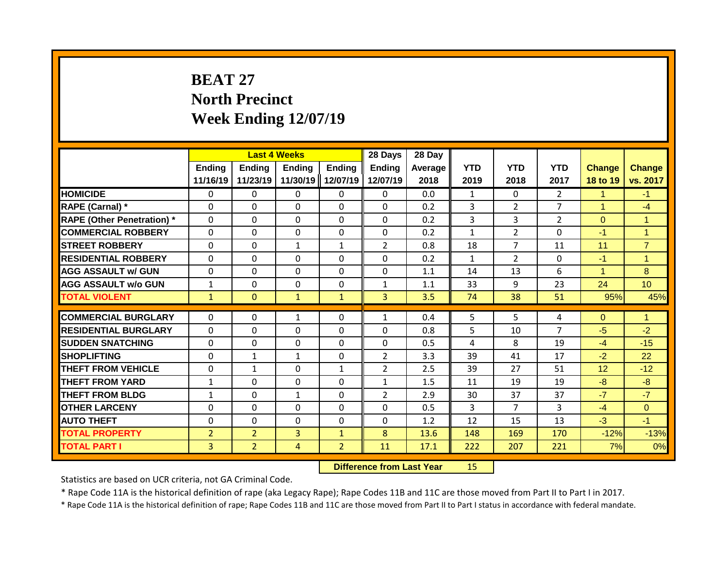# **BEAT 27 North Precinct Week Ending 12/07/19**

|                                   |                           | <b>Last 4 Weeks</b> |                           |                           | 28 Days            | 28 Day          |                    |                    |                    |                           |                           |
|-----------------------------------|---------------------------|---------------------|---------------------------|---------------------------|--------------------|-----------------|--------------------|--------------------|--------------------|---------------------------|---------------------------|
|                                   | <b>Ending</b><br>11/16/19 | Ending<br>11/23/19  | <b>Ending</b><br>11/30/19 | <b>Ending</b><br>12/07/19 | Ending<br>12/07/19 | Average<br>2018 | <b>YTD</b><br>2019 | <b>YTD</b><br>2018 | <b>YTD</b><br>2017 | <b>Change</b><br>18 to 19 | <b>Change</b><br>vs. 2017 |
| <b>HOMICIDE</b>                   | 0                         | 0                   | 0                         | $\mathbf{0}$              | $\mathbf{0}$       | 0.0             | $\mathbf{1}$       | $\Omega$           | $\overline{2}$     | 1                         | $-1$                      |
| RAPE (Carnal) *                   | $\Omega$                  | $\Omega$            | 0                         | $\Omega$                  | $\Omega$           | 0.2             | 3                  | $\overline{2}$     | $\overline{7}$     | 1                         | $-4$                      |
| <b>RAPE (Other Penetration) *</b> | $\mathbf{0}$              | $\Omega$            | 0                         | $\mathbf{0}$              | $\Omega$           | 0.2             | 3                  | 3                  | $\overline{2}$     | $\Omega$                  | $\mathbf{1}$              |
| <b>COMMERCIAL ROBBERY</b>         | $\mathbf{0}$              | $\Omega$            | 0                         | $\Omega$                  | $\Omega$           | 0.2             | $\mathbf{1}$       | $\overline{2}$     | $\Omega$           | $-1$                      | $\overline{1}$            |
| <b>STREET ROBBERY</b>             | $\Omega$                  | $\Omega$            | $\mathbf{1}$              | $\mathbf{1}$              | $\overline{2}$     | 0.8             | 18                 | 7                  | 11                 | 11                        | $\overline{7}$            |
| <b>RESIDENTIAL ROBBERY</b>        | $\Omega$                  | 0                   | 0                         | $\mathbf{0}$              | 0                  | 0.2             | $\mathbf{1}$       | $\overline{2}$     | 0                  | $-1$                      | $\overline{1}$            |
| <b>AGG ASSAULT w/ GUN</b>         | $\mathbf{0}$              | 0                   | 0                         | $\mathbf{0}$              | $\Omega$           | 1.1             | 14                 | 13                 | 6                  | 1                         | 8                         |
| <b>AGG ASSAULT w/o GUN</b>        | $\mathbf{1}$              | 0                   | $\Omega$                  | $\mathbf{0}$              | $\mathbf{1}$       | 1.1             | 33                 | 9                  | 23                 | 24                        | 10                        |
| <b>TOTAL VIOLENT</b>              | $\mathbf{1}$              | $\mathbf{0}$        | $\mathbf{1}$              | $\mathbf{1}$              | $\overline{3}$     | 3.5             | 74                 | 38                 | 51                 | 95%                       | 45%                       |
| <b>COMMERCIAL BURGLARY</b>        |                           |                     |                           |                           |                    | 0.4             |                    | 5                  |                    |                           | $\mathbf{1}$              |
|                                   | 0                         | 0                   | $\mathbf{1}$              | $\mathbf{0}$              | $\mathbf{1}$       |                 | 5                  |                    | 4<br>7             | $\Omega$                  |                           |
| <b>RESIDENTIAL BURGLARY</b>       | $\Omega$                  | $\Omega$            | $\Omega$                  | $\mathbf{0}$              | 0                  | 0.8             | 5                  | 10                 |                    | $-5$                      | $-2$                      |
| <b>SUDDEN SNATCHING</b>           | $\Omega$                  | 0                   | $\Omega$                  | $\Omega$                  | $\Omega$           | 0.5             | 4                  | 8                  | 19                 | $-4$                      | $-15$                     |
| <b>SHOPLIFTING</b>                | $\Omega$                  | 1                   | $\mathbf{1}$              | $\mathbf{0}$              | $\overline{2}$     | 3.3             | 39                 | 41                 | 17                 | $-2$                      | 22                        |
| THEFT FROM VEHICLE                | $\Omega$                  | $\mathbf{1}$        | $\Omega$                  | $\mathbf{1}$              | $\overline{2}$     | 2.5             | 39                 | 27                 | 51                 | 12                        | $-12$                     |
| <b>THEFT FROM YARD</b>            | $\mathbf{1}$              | $\Omega$            | $\Omega$                  | $\Omega$                  | $\mathbf{1}$       | 1.5             | 11                 | 19                 | 19                 | -8                        | $-8$                      |
| <b>THEFT FROM BLDG</b>            | 1                         | 0                   | $\mathbf{1}$              | $\Omega$                  | $\overline{2}$     | 2.9             | 30                 | 37                 | 37                 | $-7$                      | $-7$                      |
| <b>OTHER LARCENY</b>              | 0                         | 0                   | 0                         | 0                         | 0                  | 0.5             | 3                  | 7                  | 3                  | $-4$                      | $\overline{0}$            |
| <b>AUTO THEFT</b>                 | 0                         | 0                   | 0                         | 0                         | 0                  | 1.2             | 12                 | 15                 | 13                 | $-3$                      | $-1$                      |
| <b>TOTAL PROPERTY</b>             | $\overline{2}$            | $\overline{2}$      | 3                         | 1                         | 8                  | 13.6            | 148                | 169                | 170                | $-12%$                    | $-13%$                    |
| <b>TOTAL PART I</b>               | 3                         | $\overline{2}$      | 4                         | $\overline{2}$            | 11                 | 17.1            | 222                | 207                | 221                | 7%                        | 0%                        |

#### **Difference from Last Year** 15

Statistics are based on UCR criteria, not GA Criminal Code.

\* Rape Code 11A is the historical definition of rape (aka Legacy Rape); Rape Codes 11B and 11C are those moved from Part II to Part I in 2017.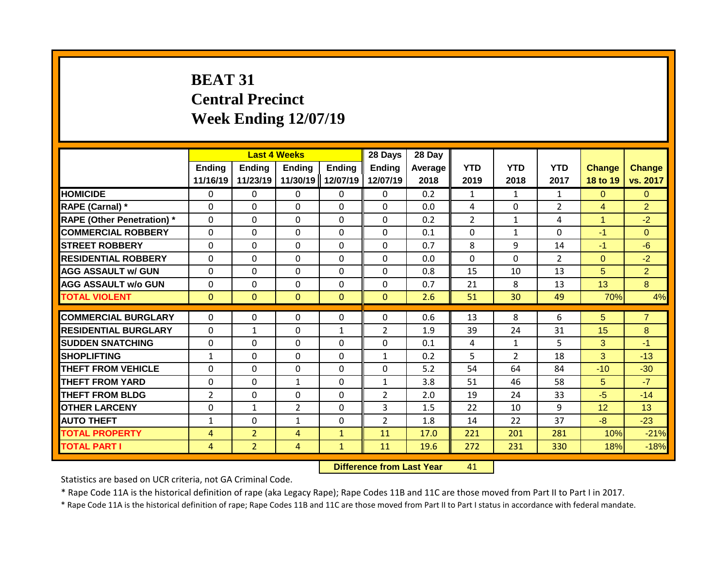# **BEAT 31 Central Precinct Week Ending 12/07/19**

|                                   |                           | <b>Last 4 Weeks</b> |                           |                           | 28 Days            | 28 Day          |                    |                    |                    |                           |                           |
|-----------------------------------|---------------------------|---------------------|---------------------------|---------------------------|--------------------|-----------------|--------------------|--------------------|--------------------|---------------------------|---------------------------|
|                                   | <b>Ending</b><br>11/16/19 | Ending<br>11/23/19  | <b>Ending</b><br>11/30/19 | <b>Ending</b><br>12/07/19 | Ending<br>12/07/19 | Average<br>2018 | <b>YTD</b><br>2019 | <b>YTD</b><br>2018 | <b>YTD</b><br>2017 | <b>Change</b><br>18 to 19 | <b>Change</b><br>vs. 2017 |
| <b>HOMICIDE</b>                   | 0                         | 0                   | 0                         | $\mathbf{0}$              | $\mathbf{0}$       | 0.2             | $\mathbf{1}$       | $\mathbf{1}$       | $\mathbf{1}$       | $\Omega$                  | $\mathbf{0}$              |
| RAPE (Carnal) *                   | $\Omega$                  | $\Omega$            | 0                         | $\Omega$                  | $\Omega$           | 0.0             | 4                  | $\Omega$           | $\overline{2}$     | $\overline{4}$            | $\overline{2}$            |
| <b>RAPE (Other Penetration) *</b> | $\mathbf{0}$              | $\Omega$            | 0                         | $\mathbf{0}$              | $\Omega$           | 0.2             | $\overline{2}$     | $\mathbf{1}$       | 4                  | $\mathbf{1}$              | $-2$                      |
| <b>COMMERCIAL ROBBERY</b>         | $\mathbf{0}$              | $\Omega$            | $\Omega$                  | $\Omega$                  | $\Omega$           | 0.1             | $\mathbf{0}$       | $\mathbf{1}$       | $\Omega$           | $-1$                      | $\Omega$                  |
| <b>STREET ROBBERY</b>             | $\Omega$                  | $\Omega$            | $\Omega$                  | $\mathbf{0}$              | $\Omega$           | 0.7             | 8                  | 9                  | 14                 | $-1$                      | $-6$                      |
| <b>RESIDENTIAL ROBBERY</b>        | $\Omega$                  | 0                   | 0                         | $\mathbf{0}$              | 0                  | 0.0             | $\Omega$           | $\Omega$           | $\overline{2}$     | $\mathbf{0}$              | $-2$                      |
| <b>AGG ASSAULT w/ GUN</b>         | 0                         | 0                   | 0                         | $\mathbf{0}$              | $\Omega$           | 0.8             | 15                 | 10                 | 13                 | 5                         | $\overline{2}$            |
| <b>AGG ASSAULT w/o GUN</b>        | $\mathbf{0}$              | 0                   | $\Omega$                  | $\mathbf{0}$              | $\Omega$           | 0.7             | 21                 | 8                  | 13                 | 13                        | 8                         |
| <b>TOTAL VIOLENT</b>              | $\mathbf{0}$              | $\mathbf{0}$        | $\mathbf{0}$              | $\mathbf{0}$              | $\mathbf{0}$       | 2.6             | 51                 | 30                 | 49                 | 70%                       | 4%                        |
|                                   |                           |                     |                           |                           |                    |                 |                    |                    |                    |                           |                           |
| <b>COMMERCIAL BURGLARY</b>        | 0                         | 0                   | 0                         | $\mathbf{0}$              | $\Omega$           | 0.6             | 13                 | 8                  | 6                  | 5                         | $\overline{7}$            |
| <b>RESIDENTIAL BURGLARY</b>       | $\Omega$                  | 1                   | $\Omega$                  | 1                         | $\overline{2}$     | 1.9             | 39                 | 24                 | 31                 | 15                        | 8                         |
| <b>SUDDEN SNATCHING</b>           | $\Omega$                  | 0                   | $\Omega$                  | $\mathbf{0}$              | $\Omega$           | 0.1             | 4                  | $\mathbf{1}$       | 5.                 | 3                         | $-1$                      |
| <b>SHOPLIFTING</b>                | $\mathbf{1}$              | 0                   | 0                         | $\mathbf{0}$              | $\mathbf{1}$       | 0.2             | 5                  | $\mathcal{P}$      | 18                 | 3                         | $-13$                     |
| THEFT FROM VEHICLE                | $\Omega$                  | $\Omega$            | $\Omega$                  | 0                         | 0                  | 5.2             | 54                 | 64                 | 84                 | $-10$                     | $-30$                     |
| <b>THEFT FROM YARD</b>            | 0                         | $\Omega$            | $\mathbf{1}$              | $\Omega$                  | $\mathbf{1}$       | 3.8             | 51                 | 46                 | 58                 | 5                         | $-7$                      |
| <b>THEFT FROM BLDG</b>            | 2                         | 0                   | 0                         | $\Omega$                  | $\overline{2}$     | 2.0             | 19                 | 24                 | 33                 | $-5$                      | $-14$                     |
| <b>OTHER LARCENY</b>              | 0                         | 1                   | $\overline{2}$            | 0                         | 3                  | 1.5             | 22                 | 10                 | 9                  | 12                        | 13                        |
| <b>AUTO THEFT</b>                 | 1                         | 0                   | $\mathbf{1}$              | 0                         | 2                  | 1.8             | 14                 | 22                 | 37                 | -8                        | $-23$                     |
| <b>TOTAL PROPERTY</b>             | 4                         | $\overline{2}$      | 4                         | $\mathbf{1}$              | 11                 | 17.0            | 221                | 201                | 281                | 10%                       | $-21%$                    |
| <b>TOTAL PART I</b>               | 4                         | $\overline{2}$      | 4                         | $\mathbf{1}$              | 11                 | 19.6            | 272                | 231                | 330                | 18%                       | $-18%$                    |

**Difference from Last Year** 41

Statistics are based on UCR criteria, not GA Criminal Code.

\* Rape Code 11A is the historical definition of rape (aka Legacy Rape); Rape Codes 11B and 11C are those moved from Part II to Part I in 2017.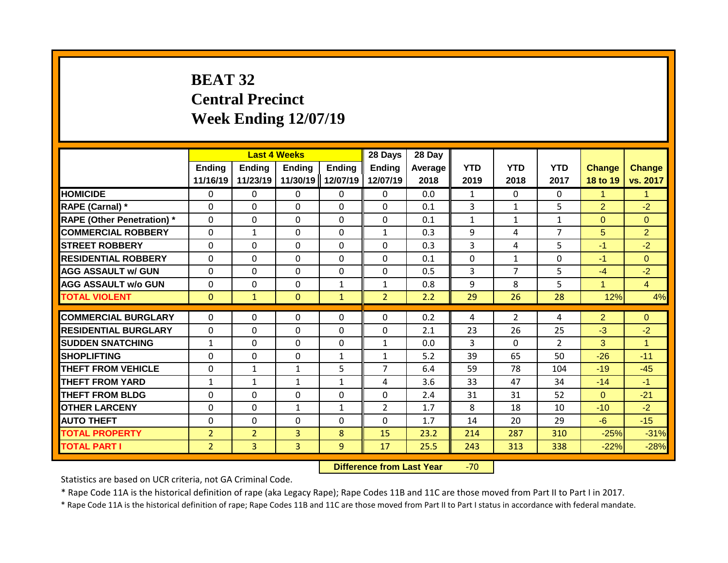# **BEAT 32 Central Precinct Week Ending 12/07/19**

|                                   |                | <b>Last 4 Weeks</b> |               |               | 28 Days        | 28 Day  |              |                |                |                |                      |
|-----------------------------------|----------------|---------------------|---------------|---------------|----------------|---------|--------------|----------------|----------------|----------------|----------------------|
|                                   | <b>Ending</b>  | <b>Ending</b>       | <b>Ending</b> | <b>Ending</b> | <b>Ending</b>  | Average | <b>YTD</b>   | <b>YTD</b>     | <b>YTD</b>     | <b>Change</b>  | <b>Change</b>        |
|                                   | 11/16/19       | 11/23/19            | 11/30/19      | 12/07/19      | 12/07/19       | 2018    | 2019         | 2018           | 2017           | 18 to 19       | vs. 2017             |
| <b>HOMICIDE</b>                   | $\Omega$       | 0                   | 0             | $\mathbf{0}$  | $\mathbf{0}$   | 0.0     | $\mathbf{1}$ | $\Omega$       | $\Omega$       | 1              | $\mathbf{1}$         |
| RAPE (Carnal) *                   | $\Omega$       | $\Omega$            | $\Omega$      | $\Omega$      | $\Omega$       | 0.1     | 3            | $\mathbf{1}$   | 5              | $\overline{2}$ | $-2$                 |
| <b>RAPE (Other Penetration) *</b> | $\Omega$       | $\Omega$            | $\Omega$      | $\Omega$      | $\Omega$       | 0.1     | $\mathbf{1}$ | $\mathbf{1}$   | $\mathbf{1}$   | $\Omega$       | $\Omega$             |
| <b>COMMERCIAL ROBBERY</b>         | $\Omega$       | $\mathbf{1}$        | $\Omega$      | $\mathbf{0}$  | $\mathbf{1}$   | 0.3     | 9            | 4              | 7              | 5              | $\overline{2}$       |
| <b>STREET ROBBERY</b>             | $\mathbf{0}$   | 0                   | 0             | $\mathbf{0}$  | $\Omega$       | 0.3     | 3            | 4              | 5              | $-1$           | $-2$                 |
| <b>RESIDENTIAL ROBBERY</b>        | $\mathbf{0}$   | $\Omega$            | $\Omega$      | $\mathbf{0}$  | $\Omega$       | 0.1     | $\Omega$     | $\mathbf{1}$   | $\Omega$       | $-1$           | $\Omega$             |
| <b>AGG ASSAULT w/ GUN</b>         | $\mathbf{0}$   | $\Omega$            | $\Omega$      | $\Omega$      | $\Omega$       | 0.5     | 3            | 7              | 5              | $-4$           | $-2$                 |
| <b>AGG ASSAULT w/o GUN</b>        | $\Omega$       | $\Omega$            | 0             | $\mathbf{1}$  | $\mathbf{1}$   | 0.8     | 9            | 8              | 5              | 4              | $\overline{4}$       |
| <b>TOTAL VIOLENT</b>              | $\mathbf{0}$   | $\mathbf{1}$        | $\Omega$      | $\mathbf{1}$  | $\overline{2}$ | 2.2     | 29           | 26             | 28             | 12%            | 4%                   |
|                                   |                |                     |               |               |                |         |              |                |                |                |                      |
| <b>COMMERCIAL BURGLARY</b>        | $\mathbf{0}$   | 0                   | 0             | $\mathbf{0}$  | $\Omega$       | 0.2     | 4            | $\overline{2}$ | 4              | $\overline{2}$ | $\Omega$             |
| <b>RESIDENTIAL BURGLARY</b>       | $\mathbf{0}$   | 0                   | $\Omega$      | $\mathbf{0}$  | $\Omega$       | 2.1     | 23           | 26             | 25             | $-3$           | $-2$                 |
| <b>SUDDEN SNATCHING</b>           | $\mathbf{1}$   | 0                   | 0             | $\Omega$      | $\mathbf{1}$   | 0.0     | 3            | $\Omega$       | $\overline{2}$ | 3              | $\blacktriangleleft$ |
| <b>SHOPLIFTING</b>                | $\mathbf{0}$   | $\Omega$            | $\Omega$      | $\mathbf{1}$  | $\mathbf{1}$   | 5.2     | 39           | 65             | 50             | $-26$          | $-11$                |
| <b>THEFT FROM VEHICLE</b>         | $\Omega$       | $\mathbf{1}$        | $\mathbf{1}$  | 5             | $\overline{7}$ | 6.4     | 59           | 78             | 104            | $-19$          | $-45$                |
| <b>THEFT FROM YARD</b>            | 1              | 1                   | $\mathbf{1}$  | 1             | 4              | 3.6     | 33           | 47             | 34             | $-14$          | $-1$                 |
| <b>THEFT FROM BLDG</b>            | $\Omega$       | 0                   | 0             | 0             | $\Omega$       | 2.4     | 31           | 31             | 52             | $\Omega$       | $-21$                |
| <b>OTHER LARCENY</b>              | $\Omega$       | $\Omega$            | $\mathbf{1}$  | 1             | $\overline{2}$ | 1.7     | 8            | 18             | 10             | $-10$          | $-2$                 |
| <b>AUTO THEFT</b>                 | $\Omega$       | $\Omega$            | 0             | $\Omega$      | $\Omega$       | 1.7     | 14           | 20             | 29             | $-6$           | $-15$                |
| <b>TOTAL PROPERTY</b>             | $\overline{2}$ | $\overline{2}$      | 3             | 8             | 15             | 23.2    | 214          | 287            | 310            | $-25%$         | $-31%$               |
| <b>TOTAL PART I</b>               | $\overline{2}$ | 3                   | 3             | 9             | 17             | 25.5    | 243          | 313            | 338            | $-22%$         | $-28%$               |

**Difference from Last Year -70** 

Statistics are based on UCR criteria, not GA Criminal Code.

\* Rape Code 11A is the historical definition of rape (aka Legacy Rape); Rape Codes 11B and 11C are those moved from Part II to Part I in 2017.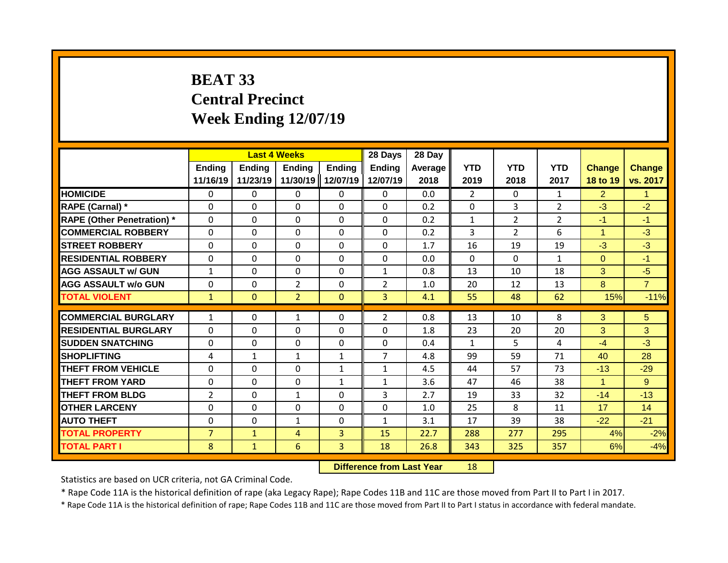# **BEAT 33 Central Precinct Week Ending 12/07/19**

|                                   |                | <b>Last 4 Weeks</b> |                |               | 28 Days        | 28 Day  |                |                |                |                |                |
|-----------------------------------|----------------|---------------------|----------------|---------------|----------------|---------|----------------|----------------|----------------|----------------|----------------|
|                                   | Ending         | <b>Ending</b>       | <b>Ending</b>  | <b>Ending</b> | <b>Ending</b>  | Average | <b>YTD</b>     | <b>YTD</b>     | <b>YTD</b>     | <b>Change</b>  | <b>Change</b>  |
|                                   | 11/16/19       | 11/23/19            | 11/30/19       | 12/07/19      | 12/07/19       | 2018    | 2019           | 2018           | 2017           | 18 to 19       | vs. 2017       |
| <b>HOMICIDE</b>                   | $\mathbf{0}$   | $\mathbf{0}$        | $\mathbf{0}$   | $\mathbf{0}$  | $\mathbf{0}$   | 0.0     | $\overline{2}$ | $\Omega$       | $\mathbf{1}$   | $\overline{2}$ | $\mathbf{1}$   |
| RAPE (Carnal) *                   | $\Omega$       | 0                   | $\Omega$       | $\Omega$      | $\Omega$       | 0.2     | $\mathbf{0}$   | 3              | 2              | $-3$           | $-2$           |
| <b>RAPE (Other Penetration)</b> * | $\Omega$       | 0                   | $\Omega$       | $\Omega$      | $\Omega$       | 0.2     | $\mathbf{1}$   | $\overline{2}$ | $\overline{2}$ | $-1$           | $-1$           |
| <b>COMMERCIAL ROBBERY</b>         | $\Omega$       | 0                   | $\Omega$       | $\Omega$      | $\Omega$       | 0.2     | 3              | $\overline{2}$ | 6              | 1              | $-3$           |
| <b>STREET ROBBERY</b>             | $\Omega$       | 0                   | $\mathbf{0}$   | 0             | $\Omega$       | 1.7     | 16             | 19             | 19             | $-3$           | $-3$           |
| <b>RESIDENTIAL ROBBERY</b>        | $\Omega$       | 0                   | $\Omega$       | $\Omega$      | $\Omega$       | 0.0     | $\Omega$       | $\Omega$       | $\mathbf{1}$   | $\Omega$       | $-1$           |
| <b>AGG ASSAULT w/ GUN</b>         | $\mathbf{1}$   | 0                   | $\Omega$       | $\Omega$      | $\mathbf{1}$   | 0.8     | 13             | 10             | 18             | 3              | $-5$           |
| <b>AGG ASSAULT w/o GUN</b>        | $\Omega$       | 0                   | $\overline{2}$ | $\Omega$      | $\overline{2}$ | 1.0     | 20             | 12             | 13             | 8              | $\overline{7}$ |
| <b>TOTAL VIOLENT</b>              | $\mathbf{1}$   | $\Omega$            | $\overline{2}$ | $\Omega$      | $\overline{3}$ | 4.1     | 55             | 48             | 62             | 15%            | $-11%$         |
|                                   |                |                     |                |               |                |         |                |                |                |                |                |
| <b>COMMERCIAL BURGLARY</b>        | $\mathbf{1}$   | 0                   | 1              | 0             | $\overline{2}$ | 0.8     | 13             | 10             | 8              | 3              | 5              |
| <b>RESIDENTIAL BURGLARY</b>       | $\Omega$       | 0                   | $\Omega$       | 0             | $\Omega$       | 1.8     | 23             | 20             | 20             | 3              | 3              |
| <b>SUDDEN SNATCHING</b>           | $\Omega$       | 0                   | $\mathbf{0}$   | 0             | $\Omega$       | 0.4     | $\mathbf{1}$   | 5.             | 4              | $-4$           | $-3$           |
| <b>SHOPLIFTING</b>                | 4              | 1                   | $\mathbf{1}$   | $\mathbf{1}$  | $\overline{7}$ | 4.8     | 99             | 59             | 71             | 40             | 28             |
| <b>THEFT FROM VEHICLE</b>         | $\Omega$       | 0                   | $\Omega$       | 1             | $\mathbf{1}$   | 4.5     | 44             | 57             | 73             | $-13$          | $-29$          |
| <b>THEFT FROM YARD</b>            | $\Omega$       | 0                   | $\Omega$       | $\mathbf{1}$  | $\mathbf{1}$   | 3.6     | 47             | 46             | 38             | 1              | 9              |
| <b>THEFT FROM BLDG</b>            | $\overline{2}$ | 0                   | 1              | 0             | 3              | 2.7     | 19             | 33             | 32             | $-14$          | $-13$          |
| <b>OTHER LARCENY</b>              | $\Omega$       | 0                   | $\Omega$       | 0             | $\Omega$       | 1.0     | 25             | 8              | 11             | 17             | 14             |
| <b>AUTO THEFT</b>                 | $\Omega$       | 0                   | $\mathbf{1}$   | 0             | 1              | 3.1     | 17             | 39             | 38             | $-22$          | $-21$          |
| <b>TOTAL PROPERTY</b>             | $\overline{7}$ | $\mathbf{1}$        | 4              | 3             | 15             | 22.7    | 288            | 277            | 295            | 4%             | $-2%$          |
| <b>TOTAL PART I</b>               | 8              | $\mathbf{1}$        | 6              | 3             | 18             | 26.8    | 343            | 325            | 357            | 6%             | $-4%$          |

**Difference from Last Year** 18

Statistics are based on UCR criteria, not GA Criminal Code.

\* Rape Code 11A is the historical definition of rape (aka Legacy Rape); Rape Codes 11B and 11C are those moved from Part II to Part I in 2017.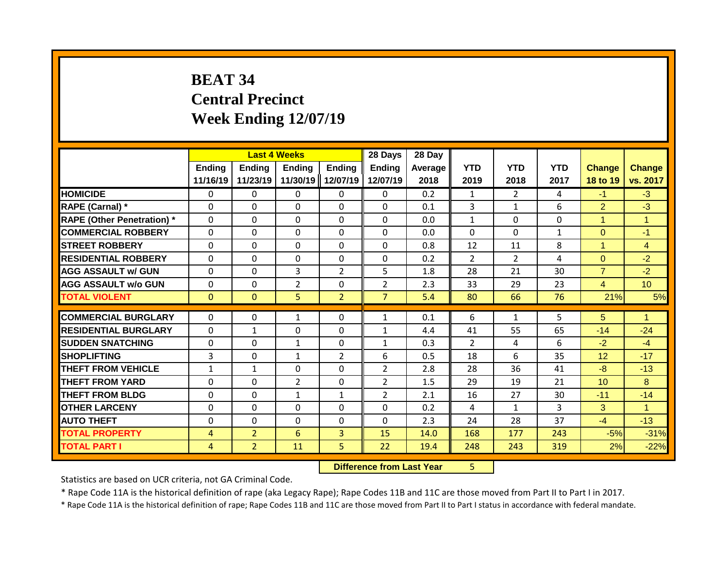# **BEAT 34 Central Precinct Week Ending 12/07/19**

|                                   |              |                | <b>Last 4 Weeks</b> |                | 28 Days        | 28 Day  |                |                |              |                |                      |
|-----------------------------------|--------------|----------------|---------------------|----------------|----------------|---------|----------------|----------------|--------------|----------------|----------------------|
|                                   | Ending       | <b>Ending</b>  | <b>Ending</b>       | <b>Ending</b>  | <b>Ending</b>  | Average | <b>YTD</b>     | <b>YTD</b>     | <b>YTD</b>   | <b>Change</b>  | <b>Change</b>        |
|                                   | 11/16/19     | 11/23/19       | 11/30/19            | 12/07/19       | 12/07/19       | 2018    | 2019           | 2018           | 2017         | 18 to 19       | vs. 2017             |
| <b>HOMICIDE</b>                   | $\mathbf{0}$ | $\mathbf{0}$   | $\mathbf{0}$        | $\mathbf{0}$   | $\mathbf{0}$   | 0.2     | $\mathbf{1}$   | $\overline{2}$ | 4            | $-1$           | $-3$                 |
| RAPE (Carnal) *                   | $\Omega$     | 0              | $\mathbf{0}$        | $\Omega$       | $\Omega$       | 0.1     | 3              | $\mathbf{1}$   | 6            | $\overline{2}$ | $-3$                 |
| <b>RAPE (Other Penetration) *</b> | $\mathbf 0$  | 0              | $\Omega$            | $\Omega$       | $\Omega$       | 0.0     | $\mathbf{1}$   | $\Omega$       | 0            | 1              | $\mathbf{1}$         |
| <b>COMMERCIAL ROBBERY</b>         | $\Omega$     | 0              | $\Omega$            | $\Omega$       | $\Omega$       | 0.0     | $\Omega$       | $\Omega$       | $\mathbf{1}$ | $\Omega$       | $-1$                 |
| <b>STREET ROBBERY</b>             | $\Omega$     | 0              | $\Omega$            | $\Omega$       | $\Omega$       | 0.8     | 12             | 11             | 8            | 1              | $\overline{4}$       |
| <b>RESIDENTIAL ROBBERY</b>        | $\Omega$     | 0              | $\Omega$            | $\Omega$       | $\Omega$       | 0.2     | $\overline{2}$ | $\overline{2}$ | 4            | $\Omega$       | $-2$                 |
| <b>AGG ASSAULT w/ GUN</b>         | $\Omega$     | 0              | 3                   | $\overline{2}$ | 5              | 1.8     | 28             | 21             | 30           | $\overline{7}$ | $-2$                 |
| <b>AGG ASSAULT w/o GUN</b>        | $\Omega$     | 0              | 2                   | 0              | $\overline{2}$ | 2.3     | 33             | 29             | 23           | $\overline{4}$ | 10 <sup>1</sup>      |
| <b>TOTAL VIOLENT</b>              | $\mathbf{0}$ | $\Omega$       | 5                   | $\overline{2}$ | $\overline{7}$ | 5.4     | 80             | 66             | 76           | 21%            | 5%                   |
|                                   |              |                |                     |                |                |         |                |                |              |                |                      |
| <b>COMMERCIAL BURGLARY</b>        | $\Omega$     | 0              | 1                   | 0              | 1              | 0.1     | 6              | $\mathbf{1}$   | 5            | 5              | -1                   |
| <b>RESIDENTIAL BURGLARY</b>       | $\Omega$     | 1              | $\mathbf 0$         | $\Omega$       | $\mathbf{1}$   | 4.4     | 41             | 55             | 65           | $-14$          | $-24$                |
| <b>SUDDEN SNATCHING</b>           | $\Omega$     | 0              | $\mathbf{1}$        | 0              | $\mathbf{1}$   | 0.3     | $\mathcal{P}$  | 4              | 6            | $-2$           | $-4$                 |
| <b>SHOPLIFTING</b>                | 3            | 0              | 1                   | $\overline{2}$ | 6              | 0.5     | 18             | 6              | 35           | 12             | $-17$                |
| <b>THEFT FROM VEHICLE</b>         | $\mathbf{1}$ | 1              | $\Omega$            | 0              | $\overline{2}$ | 2.8     | 28             | 36             | 41           | $-8$           | $-13$                |
| <b>THEFT FROM YARD</b>            | 0            | 0              | $\overline{2}$      | 0              | $\overline{2}$ | 1.5     | 29             | 19             | 21           | 10             | 8                    |
| <b>THEFT FROM BLDG</b>            | 0            | 0              | $\mathbf{1}$        | 1              | $\overline{2}$ | 2.1     | 16             | 27             | 30           | $-11$          | $-14$                |
| <b>OTHER LARCENY</b>              | $\Omega$     | 0              | $\Omega$            | 0              | $\Omega$       | 0.2     | 4              | $\mathbf{1}$   | 3            | 3              | $\blacktriangleleft$ |
| <b>AUTO THEFT</b>                 | 0            | 0              | $\Omega$            | $\Omega$       | $\Omega$       | 2.3     | 24             | 28             | 37           | $-4$           | $-13$                |
| <b>TOTAL PROPERTY</b>             | 4            | $\overline{2}$ | 6                   | 3              | 15             | 14.0    | 168            | 177            | 243          | $-5%$          | $-31%$               |
| <b>TOTAL PART I</b>               | 4            | $\overline{2}$ | 11                  | 5.             | 22             | 19.4    | 248            | 243            | 319          | 2%             | $-22%$               |

**Difference from Last Year** 5

Statistics are based on UCR criteria, not GA Criminal Code.

\* Rape Code 11A is the historical definition of rape (aka Legacy Rape); Rape Codes 11B and 11C are those moved from Part II to Part I in 2017.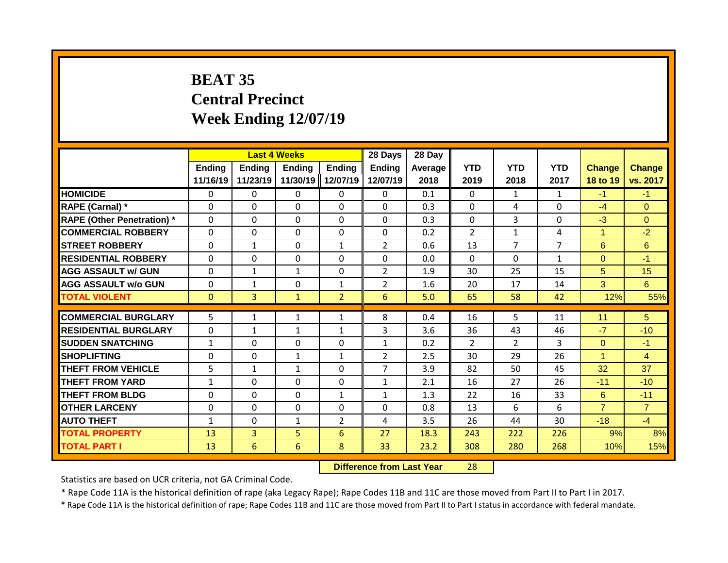# **BEAT 35 Central Precinct Week Ending 12/07/19**

|                                   |                           | <b>Last 4 Weeks</b> |                           |                           | 28 Days                   | 28 Day             |                    |                    |                    |                           |                           |
|-----------------------------------|---------------------------|---------------------|---------------------------|---------------------------|---------------------------|--------------------|--------------------|--------------------|--------------------|---------------------------|---------------------------|
|                                   | <b>Ending</b><br>11/16/19 | Ending<br>11/23/19  | <b>Ending</b><br>11/30/19 | <b>Ending</b><br>12/07/19 | <b>Ending</b><br>12/07/19 | Average   <br>2018 | <b>YTD</b><br>2019 | <b>YTD</b><br>2018 | <b>YTD</b><br>2017 | <b>Change</b><br>18 to 19 | <b>Change</b><br>vs. 2017 |
| <b>HOMICIDE</b>                   | $\mathbf{0}$              | 0                   | 0                         | $\mathbf{0}$              | 0                         | 0.1                | $\Omega$           | $\mathbf{1}$       | $\mathbf{1}$       | $-1$                      | $-1$                      |
| RAPE (Carnal) *                   | $\Omega$                  | 0                   | $\Omega$                  | $\Omega$                  | 0                         | 0.3                | $\mathbf 0$        | 4                  | 0                  | $-4$                      | $\Omega$                  |
| <b>RAPE (Other Penetration) *</b> | $\mathbf 0$               | 0                   | $\Omega$                  | 0                         | 0                         | 0.3                | $\mathbf 0$        | 3                  | 0                  | $-3$                      | $\overline{0}$            |
| <b>COMMERCIAL ROBBERY</b>         | $\Omega$                  | 0                   | 0                         | $\Omega$                  | $\Omega$                  | 0.2                | $\overline{2}$     | $\mathbf{1}$       | 4                  | 1                         | $-2$                      |
| <b>ISTREET ROBBERY</b>            | $\Omega$                  | $\mathbf 1$         | $\Omega$                  | $\mathbf{1}$              | $\overline{2}$            | 0.6                | 13                 | 7                  | $\overline{7}$     | 6                         | 6                         |
| <b>RESIDENTIAL ROBBERY</b>        | $\Omega$                  | 0                   | 0                         | 0                         | $\Omega$                  | 0.0                | $\Omega$           | $\Omega$           | $\mathbf{1}$       | $\Omega$                  | $-1$                      |
| <b>AGG ASSAULT w/ GUN</b>         | $\Omega$                  | 1                   | 1                         | $\Omega$                  | $\overline{2}$            | 1.9                | 30                 | 25                 | 15                 | 5                         | 15                        |
| <b>AGG ASSAULT w/o GUN</b>        | $\Omega$                  | 1                   | $\Omega$                  | $\mathbf{1}$              | $\overline{2}$            | 1.6                | 20                 | 17                 | 14                 | 3                         | 6                         |
| <b>TOTAL VIOLENT</b>              | $\mathbf{0}$              | $\overline{3}$      | $\mathbf{1}$              | $\overline{2}$            | 6                         | 5.0                | 65                 | 58                 | 42                 | 12%                       | 55%                       |
|                                   |                           |                     |                           |                           |                           |                    |                    |                    |                    |                           |                           |
| <b>COMMERCIAL BURGLARY</b>        | 5                         | 1                   | 1                         | $\mathbf{1}$              | 8                         | 0.4                | 16                 | 5.                 | 11                 | 11                        | 5                         |
| <b>RESIDENTIAL BURGLARY</b>       | $\Omega$                  | 1                   | 1                         | $\mathbf{1}$              | 3                         | 3.6                | 36                 | 43                 | 46                 | $-7$                      | $-10$                     |
| <b>SUDDEN SNATCHING</b>           | $\mathbf{1}$              | 0                   | $\Omega$                  | 0                         | $\mathbf{1}$              | 0.2                | $\overline{2}$     | $\overline{2}$     | 3                  | $\Omega$                  | $-1$                      |
| <b>SHOPLIFTING</b>                | $\Omega$                  | 0                   | $\mathbf{1}$              | $\mathbf{1}$              | $\overline{2}$            | 2.5                | 30                 | 29                 | 26                 | 1                         | $\overline{4}$            |
| THEFT FROM VEHICLE                | 5                         | 1                   | 1                         | 0                         | 7                         | 3.9                | 82                 | 50                 | 45                 | 32                        | 37                        |
| <b>THEFT FROM YARD</b>            | $\mathbf{1}$              | 0                   | $\Omega$                  | 0                         | $\mathbf{1}$              | 2.1                | 16                 | 27                 | 26                 | $-11$                     | $-10$                     |
| <b>THEFT FROM BLDG</b>            | 0                         | 0                   | $\Omega$                  | 1                         | $\mathbf{1}$              | 1.3                | 22                 | 16                 | 33                 | 6                         | $-11$                     |
| <b>OTHER LARCENY</b>              | 0                         | 0                   | $\mathbf{0}$              | 0                         | $\Omega$                  | 0.8                | 13                 | 6                  | 6                  | $\overline{7}$            | $\overline{7}$            |
| <b>AUTO THEFT</b>                 | $\mathbf{1}$              | 0                   | 1                         | $\overline{2}$            | 4                         | 3.5                | 26                 | 44                 | 30                 | $-18$                     | $-4$                      |
| <b>TOTAL PROPERTY</b>             | 13                        | $\overline{3}$      | 5                         | 6                         | 27                        | 18.3               | 243                | 222                | 226                | 9%                        | 8%                        |
| <b>TOTAL PART I</b>               | 13                        | 6                   | 6                         | 8                         | 33                        | 23.2               | 308                | 280                | 268                | 10%                       | 15%                       |

**Difference from Last Year** 28

Statistics are based on UCR criteria, not GA Criminal Code.

\* Rape Code 11A is the historical definition of rape (aka Legacy Rape); Rape Codes 11B and 11C are those moved from Part II to Part I in 2017.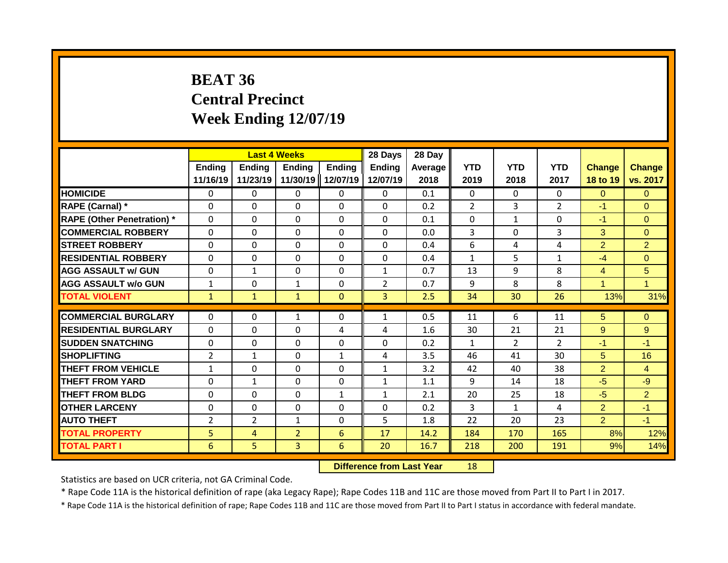# **BEAT 36 Central Precinct Week Ending 12/07/19**

|                                   |                           | <b>Last 4 Weeks</b>       |                           |                           | 28 Days                   | 28 Day          |                    |                    |                    |                           |                           |
|-----------------------------------|---------------------------|---------------------------|---------------------------|---------------------------|---------------------------|-----------------|--------------------|--------------------|--------------------|---------------------------|---------------------------|
|                                   | <b>Ending</b><br>11/16/19 | <b>Ending</b><br>11/23/19 | <b>Ending</b><br>11/30/19 | <b>Ending</b><br>12/07/19 | <b>Ending</b><br>12/07/19 | Average<br>2018 | <b>YTD</b><br>2019 | <b>YTD</b><br>2018 | <b>YTD</b><br>2017 | <b>Change</b><br>18 to 19 | <b>Change</b><br>vs. 2017 |
| <b>HOMICIDE</b>                   | 0                         | 0                         | 0                         | $\mathbf{0}$              | $\mathbf{0}$              | 0.1             | $\Omega$           | $\Omega$           | $\Omega$           | $\Omega$                  | $\Omega$                  |
| RAPE (Carnal) *                   | $\Omega$                  | $\Omega$                  | 0                         | $\mathbf 0$               | $\mathbf 0$               | 0.2             | $\overline{2}$     | 3                  | $\overline{2}$     | $-1$                      | $\mathbf{0}$              |
| <b>RAPE (Other Penetration) *</b> | $\mathbf 0$               | 0                         | 0                         | $\mathbf 0$               | $\mathbf 0$               | 0.1             | 0                  | $\mathbf{1}$       | $\Omega$           | $-1$                      | $\Omega$                  |
| <b>COMMERCIAL ROBBERY</b>         | $\Omega$                  | $\Omega$                  | $\Omega$                  | $\mathbf{0}$              | $\Omega$                  | 0.0             | 3                  | $\Omega$           | 3                  | 3                         | $\Omega$                  |
| <b>STREET ROBBERY</b>             | $\Omega$                  | $\Omega$                  | $\Omega$                  | $\mathbf 0$               | $\mathbf 0$               | 0.4             | 6                  | 4                  | 4                  | $\overline{2}$            | $\overline{2}$            |
| <b>RESIDENTIAL ROBBERY</b>        | $\mathbf{0}$              | $\Omega$                  | $\Omega$                  | $\mathbf{0}$              | $\Omega$                  | 0.4             | $\mathbf{1}$       | 5                  | $\mathbf{1}$       | $-4$                      | $\Omega$                  |
| <b>AGG ASSAULT w/ GUN</b>         | $\mathbf{0}$              | $\mathbf{1}$              | $\Omega$                  | $\Omega$                  | $\mathbf{1}$              | 0.7             | 13                 | 9                  | 8                  | $\overline{4}$            | 5                         |
| <b>AGG ASSAULT w/o GUN</b>        | $\mathbf{1}$              | 0                         | $\mathbf{1}$              | $\mathbf{0}$              | $\overline{2}$            | 0.7             | 9                  | 8                  | 8                  | 1                         | $\blacktriangleleft$      |
| <b>TOTAL VIOLENT</b>              | $\mathbf{1}$              | $\mathbf{1}$              | $\mathbf{1}$              | $\mathbf{0}$              | 3                         | 2.5             | 34                 | 30                 | 26                 | 13%                       | 31%                       |
|                                   |                           |                           |                           |                           |                           |                 |                    |                    |                    |                           |                           |
| <b>COMMERCIAL BURGLARY</b>        | $\Omega$                  | $\Omega$                  | $\mathbf{1}$              | $\mathbf{0}$              | 1                         | 0.5             | 11                 | 6                  | 11                 | 5                         | $\Omega$                  |
| <b>RESIDENTIAL BURGLARY</b>       | $\mathbf{0}$              | $\Omega$                  | 0                         | 4                         | 4                         | 1.6             | 30                 | 21                 | 21                 | 9                         | 9                         |
| <b>SUDDEN SNATCHING</b>           | $\Omega$                  | $\Omega$                  | $\Omega$                  | $\mathbf{0}$              | $\Omega$                  | 0.2             | $\mathbf{1}$       | $\overline{2}$     | $\overline{2}$     | $-1$                      | $-1$                      |
| SHOPLIFTING                       | $\overline{2}$            | $\mathbf{1}$              | $\Omega$                  | $\mathbf{1}$              | 4                         | 3.5             | 46                 | 41                 | 30                 | 5                         | 16                        |
| <b>THEFT FROM VEHICLE</b>         | $\mathbf{1}$              | 0                         | $\Omega$                  | $\mathbf{0}$              | $\mathbf{1}$              | 3.2             | 42                 | 40                 | 38                 | $\overline{2}$            | $\overline{4}$            |
| <b>THEFT FROM YARD</b>            | 0                         | $\mathbf{1}$              | $\Omega$                  | $\mathbf{0}$              | 1                         | 1.1             | 9                  | 14                 | 18                 | $-5$                      | $-9$                      |
| <b>THEFT FROM BLDG</b>            | $\Omega$                  | 0                         | $\Omega$                  | 1                         | $\mathbf{1}$              | 2.1             | 20                 | 25                 | 18                 | $-5$                      | $\overline{2}$            |
| <b>OTHER LARCENY</b>              | $\Omega$                  | 0                         | $\Omega$                  | $\mathbf{0}$              | 0                         | 0.2             | 3                  | $\mathbf{1}$       | 4                  | $\overline{2}$            | $-1$                      |
| <b>AUTO THEFT</b>                 | $\overline{a}$            | $\overline{2}$            | $\mathbf{1}$              | $\Omega$                  | 5                         | 1.8             | 22                 | 20                 | 23                 | $\overline{2}$            | $-1$                      |
| <b>TOTAL PROPERTY</b>             | 5                         | 4                         | $\overline{2}$            | 6                         | 17                        | 14.2            | 184                | 170                | 165                | 8%                        | 12%                       |
| <b>TOTAL PART I</b>               | 6                         | 5                         | 3                         | 6                         | 20                        | 16.7            | 218                | 200                | 191                | 9%                        | 14%                       |

**Difference from Last Year** 18

Statistics are based on UCR criteria, not GA Criminal Code.

\* Rape Code 11A is the historical definition of rape (aka Legacy Rape); Rape Codes 11B and 11C are those moved from Part II to Part I in 2017.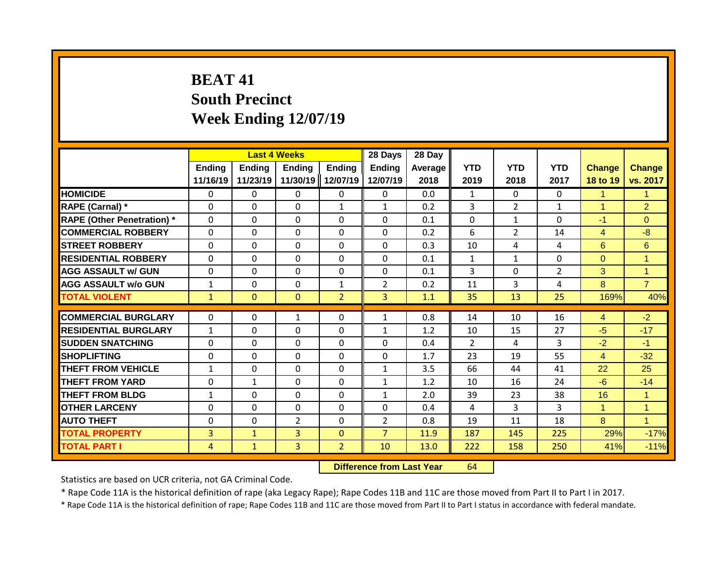## **BEAT 41 South Precinct Week Ending 12/07/19**

|                                   |                           | <b>Last 4 Weeks</b> |                           |                           | 28 Days            | 28 Day          |                    |                    |                    |                           |                           |
|-----------------------------------|---------------------------|---------------------|---------------------------|---------------------------|--------------------|-----------------|--------------------|--------------------|--------------------|---------------------------|---------------------------|
|                                   | <b>Ending</b><br>11/16/19 | Ending<br>11/23/19  | <b>Ending</b><br>11/30/19 | <b>Ending</b><br>12/07/19 | Ending<br>12/07/19 | Average<br>2018 | <b>YTD</b><br>2019 | <b>YTD</b><br>2018 | <b>YTD</b><br>2017 | <b>Change</b><br>18 to 19 | <b>Change</b><br>vs. 2017 |
| <b>HOMICIDE</b>                   | 0                         | 0                   | 0                         | $\mathbf{0}$              | $\mathbf{0}$       | 0.0             | $\mathbf{1}$       | $\Omega$           | 0                  | 1                         | $\mathbf{1}$              |
| RAPE (Carnal) *                   | $\Omega$                  | $\Omega$            | 0                         | 1                         | $\mathbf{1}$       | 0.2             | 3                  | $\overline{2}$     | $\mathbf{1}$       | 1                         | $\overline{2}$            |
| <b>RAPE (Other Penetration) *</b> | $\mathbf{0}$              | $\Omega$            | 0                         | $\mathbf{0}$              | $\Omega$           | 0.1             | $\Omega$           | $\mathbf{1}$       | $\Omega$           | $-1$                      | $\Omega$                  |
| <b>COMMERCIAL ROBBERY</b>         | $\mathbf{0}$              | $\Omega$            | $\Omega$                  | $\Omega$                  | $\Omega$           | 0.2             | 6                  | $\overline{2}$     | 14                 | $\overline{4}$            | $-8$                      |
| <b>STREET ROBBERY</b>             | $\Omega$                  | $\Omega$            | $\Omega$                  | $\mathbf{0}$              | $\Omega$           | 0.3             | 10                 | 4                  | 4                  | 6                         | 6                         |
| <b>RESIDENTIAL ROBBERY</b>        | $\Omega$                  | 0                   | 0                         | $\mathbf{0}$              | 0                  | 0.1             | $\mathbf{1}$       | $\mathbf{1}$       | 0                  | $\Omega$                  | $\overline{1}$            |
| <b>AGG ASSAULT w/ GUN</b>         | $\mathbf{0}$              | 0                   | 0                         | $\mathbf{0}$              | $\Omega$           | 0.1             | 3                  | $\Omega$           | 2                  | 3                         | $\overline{1}$            |
| <b>AGG ASSAULT w/o GUN</b>        | $\mathbf{1}$              | 0                   | $\Omega$                  | $\mathbf{1}$              | $\overline{2}$     | 0.2             | 11                 | 3                  | 4                  | 8                         | $\overline{7}$            |
| <b>TOTAL VIOLENT</b>              | $\mathbf{1}$              | $\mathbf{0}$        | $\mathbf{0}$              | $\overline{2}$            | 3 <sup>1</sup>     | 1.1             | 35                 | 13                 | 25                 | 169%                      | 40%                       |
| <b>COMMERCIAL BURGLARY</b>        | 0                         | 0                   | $\mathbf{1}$              | $\mathbf{0}$              | $\mathbf{1}$       | 0.8             | 14                 | 10                 | 16                 | 4                         | $-2$                      |
| <b>RESIDENTIAL BURGLARY</b>       | $\mathbf{1}$              | $\Omega$            | $\Omega$                  | $\mathbf{0}$              | 1                  | 1.2             | 10                 | 15                 | 27                 | $-5$                      | $-17$                     |
| <b>SUDDEN SNATCHING</b>           | $\Omega$                  | 0                   | $\Omega$                  | $\mathbf{0}$              | $\Omega$           | 0.4             | $\mathcal{P}$      | 4                  | 3                  | $-2$                      | $-1$                      |
| <b>SHOPLIFTING</b>                | $\Omega$                  | 0                   | 0                         | $\mathbf{0}$              | $\Omega$           | 1.7             | 23                 | 19                 | 55                 | $\overline{4}$            | $-32$                     |
| THEFT FROM VEHICLE                | $\mathbf{1}$              | $\Omega$            | $\Omega$                  | 0                         | $\mathbf{1}$       | 3.5             | 66                 | 44                 | 41                 | 22                        | 25                        |
| <b>THEFT FROM YARD</b>            | 0                         | $\mathbf{1}$        | $\Omega$                  | $\Omega$                  | $\mathbf{1}$       | 1.2             | 10                 | 16                 | 24                 | $-6$                      | $-14$                     |
| <b>THEFT FROM BLDG</b>            | 1                         | 0                   | 0                         | $\Omega$                  | 1                  | 2.0             | 39                 | 23                 | 38                 | 16                        | $\mathbf{1}$              |
| <b>OTHER LARCENY</b>              | 0                         | 0                   | 0                         | 0                         | 0                  | 0.4             | 4                  | 3                  | 3                  | 1                         | $\overline{1}$            |
| <b>AUTO THEFT</b>                 | 0                         | 0                   | $\overline{2}$            | 0                         | 2                  | 0.8             | 19                 | 11                 | 18                 | 8                         | $\blacktriangleleft$      |
| <b>TOTAL PROPERTY</b>             | 3                         | $\mathbf{1}$        | 3                         | $\mathbf{0}$              | $\overline{7}$     | 11.9            | 187                | 145                | 225                | 29%                       | $-17%$                    |
| <b>TOTAL PART I</b>               | 4                         | $\mathbf{1}$        | 3                         | $\overline{2}$            | 10                 | 13.0            | 222                | 158                | 250                | 41%                       |                           |
|                                   |                           |                     |                           |                           |                    |                 |                    |                    |                    |                           | $-11%$                    |

**Difference from Last Year** 64

Statistics are based on UCR criteria, not GA Criminal Code.

\* Rape Code 11A is the historical definition of rape (aka Legacy Rape); Rape Codes 11B and 11C are those moved from Part II to Part I in 2017.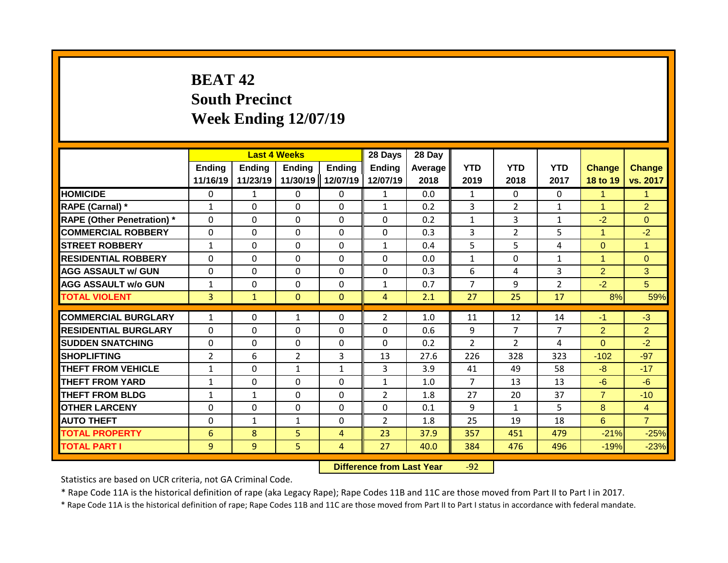# **BEAT 42 South Precinct Week Ending 12/07/19**

|                                   |                           | <b>Last 4 Weeks</b> |                           |                           | 28 Days            | 28 Day          |                    |                    |                    |                           |                           |
|-----------------------------------|---------------------------|---------------------|---------------------------|---------------------------|--------------------|-----------------|--------------------|--------------------|--------------------|---------------------------|---------------------------|
|                                   | <b>Ending</b><br>11/16/19 | Ending<br>11/23/19  | <b>Ending</b><br>11/30/19 | <b>Ending</b><br>12/07/19 | Ending<br>12/07/19 | Average<br>2018 | <b>YTD</b><br>2019 | <b>YTD</b><br>2018 | <b>YTD</b><br>2017 | <b>Change</b><br>18 to 19 | <b>Change</b><br>vs. 2017 |
| <b>HOMICIDE</b>                   | $\Omega$                  | 1                   | 0                         | $\mathbf{0}$              | 1                  | 0.0             | $\mathbf{1}$       | $\Omega$           | 0                  | 1                         | $\mathbf{1}$              |
| RAPE (Carnal) *                   | $\mathbf{1}$              | $\Omega$            | 0                         | $\Omega$                  | $\mathbf{1}$       | 0.2             | 3                  | $\overline{2}$     | $\mathbf{1}$       | 1                         | $\overline{2}$            |
| <b>RAPE (Other Penetration) *</b> | $\mathbf{0}$              | $\Omega$            | 0                         | $\mathbf{0}$              | $\Omega$           | 0.2             | $\mathbf{1}$       | 3                  | 1                  | $-2$                      | $\Omega$                  |
| <b>COMMERCIAL ROBBERY</b>         | $\mathbf{0}$              | $\Omega$            | $\Omega$                  | $\Omega$                  | $\Omega$           | 0.3             | 3                  | $\overline{2}$     | 5                  | $\mathbf{1}$              | $-2$                      |
| <b>STREET ROBBERY</b>             | $\mathbf{1}$              | 0                   | $\Omega$                  | $\mathbf{0}$              | $\mathbf{1}$       | 0.4             | 5                  | 5                  | 4                  | $\Omega$                  | $\mathbf{1}$              |
| <b>RESIDENTIAL ROBBERY</b>        | 0                         | 0                   | 0                         | $\mathbf{0}$              | 0                  | 0.0             | $\mathbf{1}$       | 0                  | 1                  | 1                         | $\Omega$                  |
| <b>AGG ASSAULT w/ GUN</b>         | $\Omega$                  | 0                   | 0                         | $\mathbf{0}$              | $\Omega$           | 0.3             | 6                  | 4                  | 3                  | $\overline{2}$            | 3                         |
| <b>AGG ASSAULT w/o GUN</b>        | $\mathbf{1}$              | 0                   | $\Omega$                  | $\mathbf{0}$              | $\mathbf{1}$       | 0.7             | $\overline{7}$     | 9                  | $\overline{2}$     | $-2$                      | 5                         |
| <b>TOTAL VIOLENT</b>              | 3                         | $\mathbf{1}$        | $\mathbf{0}$              | $\mathbf{0}$              | 4                  | 2.1             | 27                 | 25                 | 17                 | 8%                        | 59%                       |
| <b>COMMERCIAL BURGLARY</b>        |                           |                     |                           |                           | $\overline{2}$     | 1.0             |                    | 12                 | 14                 | $-1$                      |                           |
|                                   | $\mathbf{1}$              | 0                   | $\mathbf{1}$              | $\mathbf{0}$              |                    |                 | 11                 |                    |                    |                           | $-3$                      |
| <b>RESIDENTIAL BURGLARY</b>       | $\Omega$                  | $\Omega$            | $\Omega$                  | $\mathbf{0}$              | $\Omega$           | 0.6             | 9                  | 7                  | 7                  | $\overline{2}$            | $\overline{2}$            |
| <b>SUDDEN SNATCHING</b>           | $\Omega$                  | 0                   | $\Omega$                  | $\mathbf{0}$              | $\Omega$           | 0.2             | $\mathcal{P}$      | $\mathcal{P}$      | 4                  | $\Omega$                  | $-2$                      |
| <b>SHOPLIFTING</b>                | $\overline{2}$            | 6                   | $\overline{2}$            | 3                         | 13                 | 27.6            | 226                | 328                | 323                | $-102$                    | $-97$                     |
| THEFT FROM VEHICLE                | $\mathbf{1}$              | $\Omega$            | $\mathbf{1}$              | $\mathbf{1}$              | 3                  | 3.9             | 41                 | 49                 | 58                 | $-8$                      | $-17$                     |
| <b>THEFT FROM YARD</b>            | $\mathbf{1}$              | $\Omega$            | $\Omega$                  | $\Omega$                  | $\mathbf{1}$       | 1.0             | $\overline{7}$     | 13                 | 13                 | $-6$                      | $-6$                      |
| <b>THEFT FROM BLDG</b>            | 1                         | 1                   | 0                         | $\Omega$                  | $\overline{2}$     | 1.8             | 27                 | 20                 | 37                 | $\overline{7}$            | $-10$                     |
| <b>OTHER LARCENY</b>              | 0                         | 0                   | 0                         | 0                         | 0                  | 0.1             | 9                  | $\mathbf{1}$       | 5.                 | 8                         | $\overline{4}$            |
| <b>AUTO THEFT</b>                 | 0                         | 1                   | $\mathbf{1}$              | 0                         | 2                  | 1.8             | 25                 | 19                 | 18                 | 6                         | $\overline{7}$            |
| <b>TOTAL PROPERTY</b>             | 6                         | 8                   | 5                         | 4                         | 23                 | 37.9            | 357                | 451                | 479                | $-21%$                    | $-25%$                    |
| <b>TOTAL PART I</b>               | 9                         | 9                   | 5                         | 4                         | 27                 | 40.0            | 384                | 476                | 496                | $-19%$                    | $-23%$                    |

**Difference from Last Year** -92

Statistics are based on UCR criteria, not GA Criminal Code.

\* Rape Code 11A is the historical definition of rape (aka Legacy Rape); Rape Codes 11B and 11C are those moved from Part II to Part I in 2017.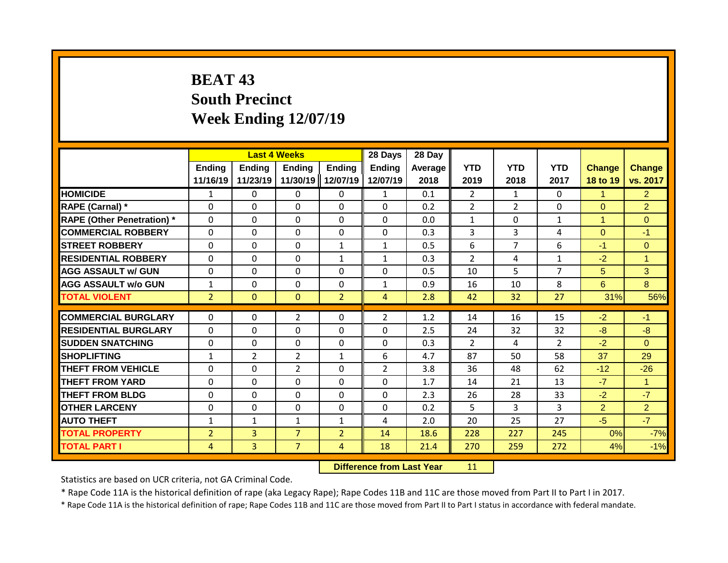# **BEAT 43 South Precinct Week Ending 12/07/19**

|                                   |                    | <b>Last 4 Weeks</b> |                    |                           | 28 Days            | 28 Day          |                    |                    |                    |                           |                           |
|-----------------------------------|--------------------|---------------------|--------------------|---------------------------|--------------------|-----------------|--------------------|--------------------|--------------------|---------------------------|---------------------------|
|                                   | Ending<br>11/16/19 | Ending<br>11/23/19  | Ending<br>11/30/19 | <b>Ending</b><br>12/07/19 | Ending<br>12/07/19 | Average<br>2018 | <b>YTD</b><br>2019 | <b>YTD</b><br>2018 | <b>YTD</b><br>2017 | <b>Change</b><br>18 to 19 | <b>Change</b><br>vs. 2017 |
| <b>HOMICIDE</b>                   | 1                  | 0                   | $\mathbf{0}$       | 0                         | 1                  | 0.1             | $\overline{2}$     | $\mathbf{1}$       | 0                  | 1                         | $\overline{2}$            |
| RAPE (Carnal) *                   | $\Omega$           | 0                   | $\mathbf{0}$       | $\Omega$                  | $\Omega$           | 0.2             | $\overline{2}$     | $\overline{2}$     | 0                  | $\Omega$                  | $\overline{2}$            |
| <b>RAPE (Other Penetration) *</b> | $\Omega$           | 0                   | $\Omega$           | $\Omega$                  | $\Omega$           | 0.0             | 1                  | $\Omega$           | $\mathbf{1}$       | 1                         | $\Omega$                  |
| <b>COMMERCIAL ROBBERY</b>         | $\Omega$           | 0                   | $\Omega$           | $\Omega$                  | $\Omega$           | 0.3             | 3                  | 3                  | 4                  | $\Omega$                  | $-1$                      |
| <b>STREET ROBBERY</b>             | $\Omega$           | 0                   | $\Omega$           | $\mathbf{1}$              | $\mathbf{1}$       | 0.5             | 6                  | $\overline{7}$     | 6                  | $-1$                      | $\Omega$                  |
| <b>RESIDENTIAL ROBBERY</b>        | $\Omega$           | 0                   | $\Omega$           | 1                         | $\mathbf{1}$       | 0.3             | 2                  | 4                  | $\mathbf{1}$       | $-2$                      | $\overline{1}$            |
| <b>AGG ASSAULT w/ GUN</b>         | $\Omega$           | 0                   | $\mathbf{0}$       | 0                         | 0                  | 0.5             | 10                 | 5                  | 7                  | 5                         | 3                         |
| <b>AGG ASSAULT w/o GUN</b>        | $\mathbf{1}$       | 0                   | $\Omega$           | 0                         | $\mathbf{1}$       | 0.9             | 16                 | 10                 | 8                  | 6                         | 8                         |
| <b>TOTAL VIOLENT</b>              | $\overline{2}$     | 0                   | $\mathbf{0}$       | $\overline{2}$            | $\overline{4}$     | 2.8             | 42                 | 32                 | 27                 | 31%                       | 56%                       |
| <b>COMMERCIAL BURGLARY</b>        | $\Omega$           | 0                   | $\overline{2}$     | 0                         | $\overline{2}$     | 1.2             | 14                 | 16                 | 15                 | $-2$                      | $-1$                      |
| <b>RESIDENTIAL BURGLARY</b>       | $\Omega$           | 0                   | $\Omega$           | $\Omega$                  | $\Omega$           | 2.5             | 24                 | 32                 | 32                 | $-8$                      | -8                        |
| <b>SUDDEN SNATCHING</b>           | $\Omega$           | 0                   | $\Omega$           | $\Omega$                  | $\Omega$           | 0.3             | $\mathcal{P}$      | 4                  | $\mathcal{P}$      | $-2$                      | $\Omega$                  |
| <b>SHOPLIFTING</b>                | $\mathbf{1}$       | 2                   | $\overline{2}$     | 1                         | 6                  | 4.7             | 87                 | 50                 | 58                 | 37                        | 29                        |
| <b>THEFT FROM VEHICLE</b>         | $\Omega$           | 0                   | $\overline{2}$     | 0                         | $\overline{2}$     | 3.8             | 36                 | 48                 | 62                 | $-12$                     | $-26$                     |
| <b>THEFT FROM YARD</b>            | 0                  | 0                   | $\Omega$           | $\Omega$                  | $\Omega$           | 1.7             | 14                 | 21                 | 13                 | $-7$                      | $\mathbf{1}$              |
| <b>THEFT FROM BLDG</b>            | 0                  | 0                   | $\Omega$           | 0                         | $\Omega$           | 2.3             | 26                 | 28                 | 33                 | $-2$                      | $-7$                      |
| <b>OTHER LARCENY</b>              | $\Omega$           | 0                   | $\mathbf{0}$       | 0                         | 0                  | 0.2             | 5                  | 3                  | 3                  | $\overline{2}$            | $\overline{2}$            |
| <b>AUTO THEFT</b>                 | $\mathbf{1}$       | 1                   | 1                  | $\mathbf{1}$              | 4                  | 2.0             | 20                 | 25                 | 27                 | $-5$                      | $-7$                      |
| <b>TOTAL PROPERTY</b>             | $\overline{2}$     | $\overline{3}$      | $\overline{7}$     | $\overline{2}$            | 14                 | 18.6            | 228                | 227                | 245                | 0%                        | $-7%$                     |
| <b>TOTAL PART I</b>               | 4                  | $\overline{3}$      | $\overline{7}$     | 4                         | 18                 | 21.4            | 270                | 259                | 272                | 4%                        | $-1%$                     |

**Difference from Last Year** 11

Statistics are based on UCR criteria, not GA Criminal Code.

\* Rape Code 11A is the historical definition of rape (aka Legacy Rape); Rape Codes 11B and 11C are those moved from Part II to Part I in 2017.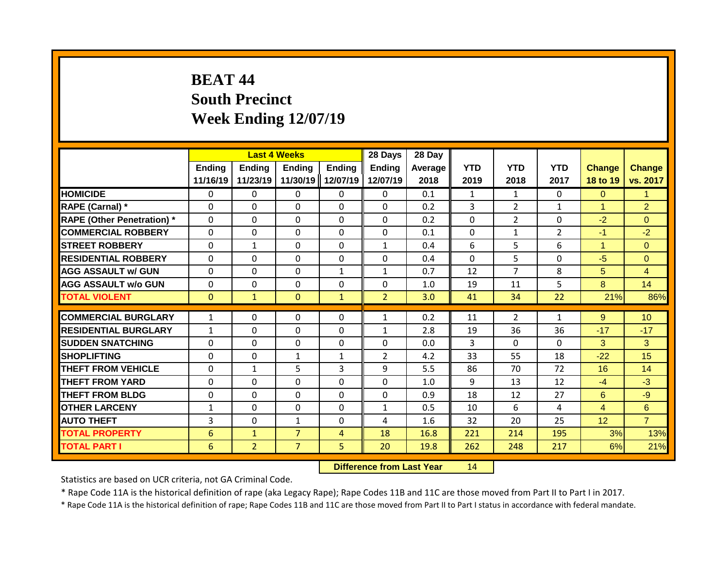# **BEAT 44 South Precinct Week Ending 12/07/19**

|                                   |                           | <b>Last 4 Weeks</b>       |                           |                           | 28 Days                   | 28 Day          |                    |                    |                    |                           |                           |
|-----------------------------------|---------------------------|---------------------------|---------------------------|---------------------------|---------------------------|-----------------|--------------------|--------------------|--------------------|---------------------------|---------------------------|
|                                   | <b>Ending</b><br>11/16/19 | <b>Ending</b><br>11/23/19 | <b>Ending</b><br>11/30/19 | <b>Ending</b><br>12/07/19 | <b>Ending</b><br>12/07/19 | Average<br>2018 | <b>YTD</b><br>2019 | <b>YTD</b><br>2018 | <b>YTD</b><br>2017 | <b>Change</b><br>18 to 19 | <b>Change</b><br>vs. 2017 |
| <b>HOMICIDE</b>                   | $\Omega$                  | 0                         | 0                         | $\mathbf{0}$              | $\mathbf{0}$              | 0.1             | $\mathbf{1}$       | $\mathbf{1}$       | $\Omega$           | $\Omega$                  | $\mathbf{1}$              |
| RAPE (Carnal) *                   | $\Omega$                  | $\Omega$                  | 0                         | $\mathbf{0}$              | $\Omega$                  | 0.2             | 3                  | $\overline{2}$     | $\mathbf{1}$       | 1                         | $\overline{2}$            |
| <b>RAPE (Other Penetration) *</b> | $\mathbf{0}$              | $\Omega$                  | $\Omega$                  | $\mathbf{0}$              | $\Omega$                  | 0.2             | $\Omega$           | $\overline{2}$     | $\Omega$           | $-2$                      | $\Omega$                  |
| <b>COMMERCIAL ROBBERY</b>         | $\mathbf 0$               | $\Omega$                  | 0                         | $\mathbf 0$               | $\mathbf 0$               | 0.1             | $\mathbf 0$        | $\mathbf{1}$       | $\overline{2}$     | $-1$                      | $-2$                      |
| <b>STREET ROBBERY</b>             | $\Omega$                  | $\mathbf{1}$              | $\Omega$                  | $\Omega$                  | $\mathbf{1}$              | 0.4             | 6                  | 5                  | 6                  | 1                         | $\Omega$                  |
| <b>RESIDENTIAL ROBBERY</b>        | $\Omega$                  | 0                         | $\Omega$                  | $\mathbf{0}$              | $\Omega$                  | 0.4             | $\Omega$           | 5.                 | $\Omega$           | $-5$                      | $\Omega$                  |
| <b>AGG ASSAULT w/ GUN</b>         | $\Omega$                  | 0                         | 0                         | $\mathbf{1}$              | $\mathbf{1}$              | 0.7             | 12                 | 7                  | 8                  | 5                         | $\overline{4}$            |
| <b>AGG ASSAULT w/o GUN</b>        | $\Omega$                  | $\Omega$                  | $\Omega$                  | $\Omega$                  | $\Omega$                  | 1.0             | 19                 | 11                 | 5                  | 8                         | 14                        |
| <b>TOTAL VIOLENT</b>              | $\mathbf{0}$              | $\mathbf{1}$              | $\Omega$                  | $\mathbf{1}$              | $\overline{2}$            | 3.0             | 41                 | 34                 | 22                 | 21%                       | 86%                       |
| <b>COMMERCIAL BURGLARY</b>        | $\mathbf{1}$              | 0                         | $\Omega$                  | $\Omega$                  | 1                         |                 |                    | $\overline{2}$     | 1                  | 9                         | 10 <sup>1</sup>           |
| <b>RESIDENTIAL BURGLARY</b>       |                           |                           | $\Omega$                  | $\mathbf{0}$              |                           | 0.2             | 11                 | 36                 | 36                 | $-17$                     | $-17$                     |
| <b>SUDDEN SNATCHING</b>           | $\mathbf{1}$<br>$\Omega$  | 0                         | $\Omega$                  | $\mathbf{0}$              | 1<br>0                    | 2.8<br>0.0      | 19<br>3            | $\Omega$           | $\Omega$           | 3                         | 3                         |
| <b>SHOPLIFTING</b>                | $\mathbf{0}$              | 0<br>0                    |                           |                           | $\overline{2}$            | 4.2             | 33                 | 55                 | 18                 | $-22$                     | 15                        |
| <b>THEFT FROM VEHICLE</b>         | $\Omega$                  |                           | $\mathbf{1}$<br>5         | 1<br>3                    | 9                         | 5.5             | 86                 | 70                 | 72                 | 16                        | 14                        |
| <b>THEFT FROM YARD</b>            | $\Omega$                  | $\mathbf{1}$<br>$\Omega$  | 0                         | 0                         | $\Omega$                  | 1.0             | 9                  | 13                 | 12                 | $-4$                      | $-3$                      |
| <b>THEFT FROM BLDG</b>            | $\Omega$                  | 0                         | 0                         | $\Omega$                  | $\Omega$                  | 0.9             | 18                 | 12                 | 27                 | 6                         | $-9$                      |
| <b>OTHER LARCENY</b>              | 1                         | 0                         | 0                         | 0                         | 1                         | 0.5             | 10                 | 6                  | 4                  | 4                         | 6                         |
| <b>AUTO THEFT</b>                 | 3                         | $\Omega$                  | $\mathbf{1}$              | $\Omega$                  | 4                         | 1.6             | 32                 | 20                 | 25                 | 12                        | $\overline{7}$            |
| <b>TOTAL PROPERTY</b>             | 6                         | $\mathbf{1}$              | $\overline{7}$            | 4                         | 18                        | 16.8            | 221                | 214                | 195                | 3%                        | 13%                       |
|                                   |                           |                           | $\overline{7}$            |                           |                           |                 |                    |                    |                    |                           |                           |
| <b>TOTAL PART I</b>               | 6                         | $\overline{2}$            |                           | 5                         | 20                        | 19.8            | 262                | 248                | 217                | 6%                        | 21%                       |

**Difference from Last Year** 14

Statistics are based on UCR criteria, not GA Criminal Code.

\* Rape Code 11A is the historical definition of rape (aka Legacy Rape); Rape Codes 11B and 11C are those moved from Part II to Part I in 2017.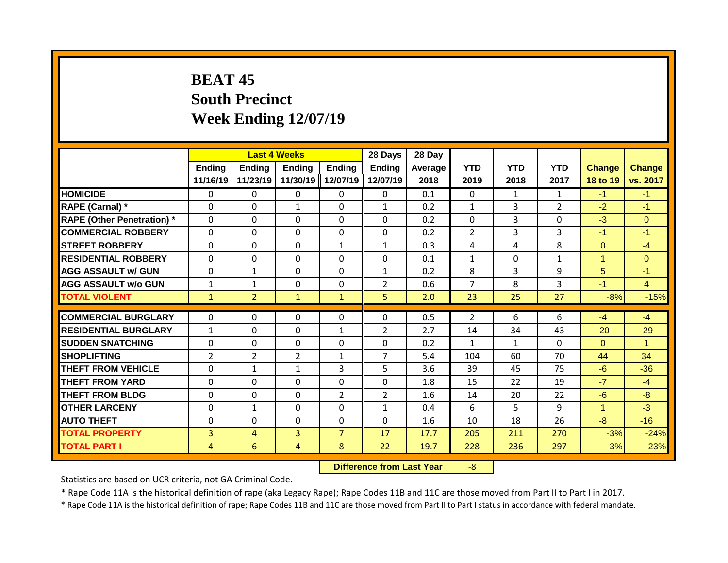## **BEAT 45 South Precinct Week Ending 12/07/19**

|                                   |                | <b>Last 4 Weeks</b> |               |                | 28 Days        | 28 Day  |                |              |                |                |                      |
|-----------------------------------|----------------|---------------------|---------------|----------------|----------------|---------|----------------|--------------|----------------|----------------|----------------------|
|                                   | Ending         | <b>Ending</b>       | <b>Ending</b> | <b>Ending</b>  | <b>Ending</b>  | Average | <b>YTD</b>     | <b>YTD</b>   | <b>YTD</b>     | <b>Change</b>  | <b>Change</b>        |
|                                   | 11/16/19       | 11/23/19            | 11/30/19      | 12/07/19       | 12/07/19       | 2018    | 2019           | 2018         | 2017           | 18 to 19       | vs. 2017             |
| <b>HOMICIDE</b>                   | $\mathbf{0}$   | $\mathbf{0}$        | $\mathbf{0}$  | $\mathbf{0}$   | $\mathbf{0}$   | 0.1     | $\Omega$       | $\mathbf{1}$ | $\mathbf{1}$   | $-1$           | $-1$                 |
| RAPE (Carnal) *                   | $\Omega$       | 0                   | $\mathbf{1}$  | $\Omega$       | $\mathbf{1}$   | 0.2     | $\mathbf{1}$   | 3            | $\overline{2}$ | $-2$           | $-1$                 |
| <b>RAPE (Other Penetration) *</b> | $\Omega$       | 0                   | $\Omega$      | $\Omega$       | $\Omega$       | 0.2     | $\mathbf{0}$   | 3            | 0              | $-3$           | $\Omega$             |
| <b>COMMERCIAL ROBBERY</b>         | $\Omega$       | 0                   | $\Omega$      | $\Omega$       | $\Omega$       | 0.2     | $\overline{2}$ | 3            | 3              | $-1$           | $-1$                 |
| <b>STREET ROBBERY</b>             | $\Omega$       | 0                   | $\Omega$      | $\mathbf{1}$   | $\mathbf{1}$   | 0.3     | 4              | 4            | 8              | $\overline{0}$ | $-4$                 |
| <b>RESIDENTIAL ROBBERY</b>        | $\Omega$       | 0                   | $\Omega$      | $\Omega$       | $\Omega$       | 0.1     | $\mathbf{1}$   | $\Omega$     | $\mathbf{1}$   | 4              | $\Omega$             |
| <b>AGG ASSAULT w/ GUN</b>         | $\Omega$       | 1                   | $\Omega$      | 0              | $\mathbf{1}$   | 0.2     | 8              | 3            | 9              | 5              | $-1$                 |
| <b>AGG ASSAULT w/o GUN</b>        | 1              | 1                   | 0             | 0              | $\overline{2}$ | 0.6     | $\overline{7}$ | 8            | 3              | $-1$           | $\overline{4}$       |
| <b>TOTAL VIOLENT</b>              | $\mathbf{1}$   | $\overline{2}$      | $\mathbf{1}$  | $\mathbf{1}$   | 5              | 2.0     | 23             | 25           | 27             | $-8%$          | $-15%$               |
|                                   |                |                     |               |                |                |         |                |              |                |                |                      |
| <b>COMMERCIAL BURGLARY</b>        | $\Omega$       | 0                   | 0             | 0              | $\Omega$       | 0.5     | $\overline{2}$ | 6            | 6              | $-4$           | $-4$                 |
| <b>RESIDENTIAL BURGLARY</b>       | $\mathbf{1}$   | 0                   | $\mathbf 0$   | $\mathbf{1}$   | $\overline{2}$ | 2.7     | 14             | 34           | 43             | $-20$          | $-29$                |
| <b>SUDDEN SNATCHING</b>           | $\Omega$       | 0                   | $\Omega$      | 0              | $\Omega$       | 0.2     | $\mathbf{1}$   | $\mathbf{1}$ | 0              | $\Omega$       | $\blacktriangleleft$ |
| <b>SHOPLIFTING</b>                | $\overline{2}$ | $\overline{2}$      | 2             | $\mathbf{1}$   | $\overline{7}$ | 5.4     | 104            | 60           | 70             | 44             | 34                   |
| <b>THEFT FROM VEHICLE</b>         | 0              | 1                   | 1             | 3              | 5              | 3.6     | 39             | 45           | 75             | $-6$           | $-36$                |
| <b>THEFT FROM YARD</b>            | 0              | 0                   | $\Omega$      | 0              | $\Omega$       | 1.8     | 15             | 22           | 19             | $-7$           | $-4$                 |
| <b>THEFT FROM BLDG</b>            | 0              | 0                   | $\Omega$      | $\overline{2}$ | $\overline{2}$ | 1.6     | 14             | 20           | 22             | $-6$           | $-8$                 |
| <b>OTHER LARCENY</b>              | $\Omega$       | $\mathbf{1}$        | $\Omega$      | 0              | $\mathbf{1}$   | 0.4     | 6              | 5.           | 9              | 1              | $-3$                 |
| <b>AUTO THEFT</b>                 | $\Omega$       | 0                   | $\Omega$      | 0              | $\Omega$       | 1.6     | 10             | 18           | 26             | $-8$           | $-16$                |
| <b>TOTAL PROPERTY</b>             | 3              | 4                   | 3             | $\overline{7}$ | 17             | 17.7    | 205            | 211          | 270            | $-3%$          | $-24%$               |
| <b>TOTAL PART I</b>               | 4              | 6                   | 4             | 8              | 22             | 19.7    | 228            | 236          | 297            | $-3%$          | $-23%$               |

**Difference from Last Year** -8

Statistics are based on UCR criteria, not GA Criminal Code.

\* Rape Code 11A is the historical definition of rape (aka Legacy Rape); Rape Codes 11B and 11C are those moved from Part II to Part I in 2017.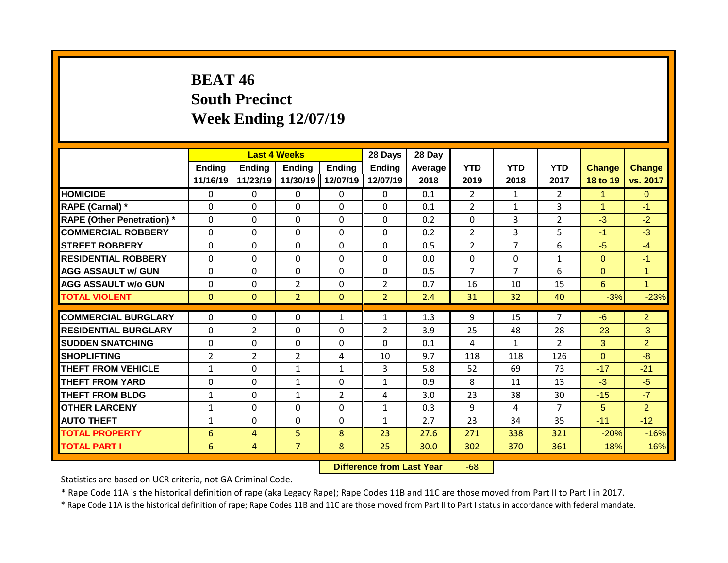## **BEAT 46 South Precinct Week Ending 12/07/19**

|                                   |                           |                           | <b>Last 4 Weeks</b>       |                    | 28 Days                   | 28 Day          |                    |                    |                    |                           |                           |
|-----------------------------------|---------------------------|---------------------------|---------------------------|--------------------|---------------------------|-----------------|--------------------|--------------------|--------------------|---------------------------|---------------------------|
|                                   | <b>Ending</b><br>11/16/19 | <b>Ending</b><br>11/23/19 | <b>Ending</b><br>11/30/19 | Ending<br>12/07/19 | <b>Ending</b><br>12/07/19 | Average<br>2018 | <b>YTD</b><br>2019 | <b>YTD</b><br>2018 | <b>YTD</b><br>2017 | <b>Change</b><br>18 to 19 | <b>Change</b><br>vs. 2017 |
| <b>HOMICIDE</b>                   | $\mathbf{0}$              | 0                         | 0                         | $\mathbf{0}$       | $\mathbf{0}$              | 0.1             | $\overline{2}$     | 1                  | $\mathcal{P}$      | $\mathbf{1}$              | $\Omega$                  |
| <b>RAPE (Carnal) *</b>            | $\Omega$                  | 0                         | 0                         | $\mathbf{0}$       | 0                         | 0.1             | $\overline{2}$     | $\mathbf{1}$       | 3                  | $\blacktriangleleft$      | $-1$                      |
| <b>RAPE (Other Penetration) *</b> | $\Omega$                  | 0                         | 0                         | $\mathbf{0}$       | $\Omega$                  | 0.2             | 0                  | 3                  | $\overline{2}$     | $-3$                      | $-2$                      |
| <b>COMMERCIAL ROBBERY</b>         | $\mathbf 0$               | 0                         | $\Omega$                  | $\mathbf{0}$       | $\Omega$                  | 0.2             | $\overline{2}$     | 3                  | 5                  | $-1$                      | $-3$                      |
| <b>STREET ROBBERY</b>             | $\Omega$                  | 0                         | $\Omega$                  | $\Omega$           | $\Omega$                  | 0.5             | $\overline{2}$     | 7                  | 6                  | $-5$                      | $-4$                      |
| <b>RESIDENTIAL ROBBERY</b>        | $\Omega$                  | 0                         | 0                         | $\mathbf{0}$       | 0                         | 0.0             | $\Omega$           | $\Omega$           | $\mathbf{1}$       | $\Omega$                  | $-1$                      |
| <b>AGG ASSAULT w/ GUN</b>         | $\Omega$                  | 0                         | $\Omega$                  | $\mathbf{0}$       | $\Omega$                  | 0.5             | $\overline{7}$     | 7                  | 6                  | $\Omega$                  | $\overline{1}$            |
| <b>AGG ASSAULT w/o GUN</b>        | $\Omega$                  | 0                         | $\overline{2}$            | $\mathbf{0}$       | $\overline{2}$            | 0.7             | 16                 | 10                 | 15                 | 6                         | $\blacksquare$            |
| <b>TOTAL VIOLENT</b>              | $\mathbf{0}$              | $\mathbf{0}$              | $\overline{2}$            | $\mathbf{0}$       | $\overline{2}$            | 2.4             | 31                 | 32                 | 40                 | $-3%$                     | $-23%$                    |
| <b>COMMERCIAL BURGLARY</b>        | $\Omega$                  | 0                         | $\Omega$                  | 1                  | 1                         | 1.3             | 9                  | 15                 | 7                  | $-6$                      | $\overline{2}$            |
| <b>RESIDENTIAL BURGLARY</b>       | $\Omega$                  | 2                         | $\Omega$                  | $\mathbf{0}$       | $\overline{2}$            | 3.9             | 25                 | 48                 | 28                 | $-23$                     | $-3$                      |
| <b>SUDDEN SNATCHING</b>           | $\Omega$                  | 0                         | $\Omega$                  | 0                  | $\Omega$                  | 0.1             | 4                  | 1                  | $\overline{2}$     | 3                         | $\overline{2}$            |
| <b>SHOPLIFTING</b>                | $\overline{2}$            | $\overline{2}$            | $\overline{2}$            | 4                  | 10                        | 9.7             | 118                | 118                | 126                | $\Omega$                  | $-8$                      |
| <b>THEFT FROM VEHICLE</b>         | $\mathbf{1}$              | 0                         | $\mathbf{1}$              | $\mathbf{1}$       | 3                         | 5.8             | 52                 | 69                 | 73                 | $-17$                     | $-21$                     |
| THEFT FROM YARD                   | 0                         | 0                         | $\mathbf{1}$              | 0                  | $\mathbf{1}$              | 0.9             | 8                  | 11                 | 13                 | $-3$                      | $-5$                      |
| <b>THEFT FROM BLDG</b>            | $\mathbf{1}$              | 0                         | 1                         | $\overline{2}$     | 4                         | 3.0             | 23                 | 38                 | 30                 | $-15$                     | $-7$                      |
| <b>OTHER LARCENY</b>              | $\mathbf{1}$              | 0                         | 0                         | 0                  | 1                         | 0.3             | 9                  | 4                  | $\overline{7}$     | 5                         | $\overline{2}$            |
| <b>AUTO THEFT</b>                 | $\mathbf{1}$              | 0                         | 0                         | $\Omega$           | 1                         | 2.7             | 23                 | 34                 | 35                 | $-11$                     | $-12$                     |
| <b>TOTAL PROPERTY</b>             | 6                         | 4                         | 5                         | 8                  | 23                        | 27.6            | 271                | 338                | 321                | $-20%$                    | $-16%$                    |
| <b>TOTAL PART I</b>               | 6                         | 4                         | $\overline{7}$            | 8                  | 25                        | 30.0            | 302                | 370                | 361                | $-18%$                    | $-16%$                    |

**Difference from Last Year** -68

Statistics are based on UCR criteria, not GA Criminal Code.

\* Rape Code 11A is the historical definition of rape (aka Legacy Rape); Rape Codes 11B and 11C are those moved from Part II to Part I in 2017.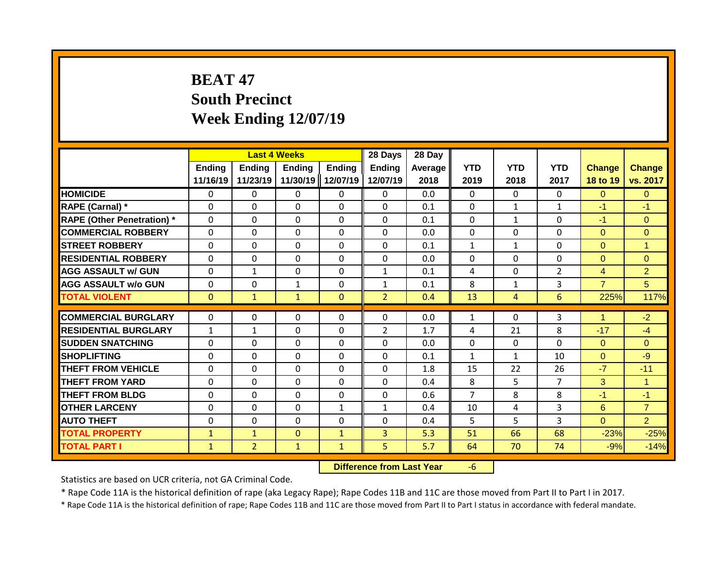# **BEAT 47 South Precinct Week Ending 12/07/19**

|                                   |                           | <b>Last 4 Weeks</b> |                           |                           | 28 Days                   | 28 Day          |                    |                    |                    |                           |                           |
|-----------------------------------|---------------------------|---------------------|---------------------------|---------------------------|---------------------------|-----------------|--------------------|--------------------|--------------------|---------------------------|---------------------------|
|                                   | <b>Ending</b><br>11/16/19 | Ending<br>11/23/19  | <b>Ending</b><br>11/30/19 | <b>Ending</b><br>12/07/19 | <b>Ending</b><br>12/07/19 | Average<br>2018 | <b>YTD</b><br>2019 | <b>YTD</b><br>2018 | <b>YTD</b><br>2017 | <b>Change</b><br>18 to 19 | <b>Change</b><br>vs. 2017 |
| <b>HOMICIDE</b>                   | 0                         | 0                   | 0                         | $\mathbf{0}$              | $\mathbf{0}$              | 0.0             | $\mathbf{0}$       | $\Omega$           | $\Omega$           | $\Omega$                  | $\overline{0}$            |
| RAPE (Carnal) *                   | $\Omega$                  | $\Omega$            | 0                         | $\Omega$                  | $\Omega$                  | 0.1             | $\mathbf{0}$       | $\mathbf{1}$       | $\mathbf{1}$       | $-1$                      | $-1$                      |
| <b>RAPE (Other Penetration)</b> * | $\mathbf{0}$              | $\Omega$            | 0                         | $\mathbf 0$               | $\mathbf 0$               | 0.1             | $\mathbf{0}$       | $\mathbf{1}$       | $\Omega$           | $-1$                      | $\Omega$                  |
| <b>COMMERCIAL ROBBERY</b>         | $\Omega$                  | $\Omega$            | $\Omega$                  | $\Omega$                  | $\Omega$                  | 0.0             | $\Omega$           | $\Omega$           | $\Omega$           | $\Omega$                  | $\Omega$                  |
| <b>STREET ROBBERY</b>             | $\Omega$                  | $\Omega$            | $\Omega$                  | $\Omega$                  | $\Omega$                  | 0.1             | $\mathbf{1}$       | $\mathbf{1}$       | $\Omega$           | $\Omega$                  | $\overline{1}$            |
| <b>RESIDENTIAL ROBBERY</b>        | $\Omega$                  | $\Omega$            | $\Omega$                  | $\mathbf{0}$              | $\Omega$                  | 0.0             | $\Omega$           | $\Omega$           | $\Omega$           | $\Omega$                  | $\Omega$                  |
| <b>AGG ASSAULT w/ GUN</b>         | $\mathbf{0}$              | $\mathbf{1}$        | $\Omega$                  | $\mathbf{0}$              | $\mathbf{1}$              | 0.1             | 4                  | $\Omega$           | $\overline{2}$     | $\overline{4}$            | $\overline{2}$            |
| <b>AGG ASSAULT w/o GUN</b>        | $\mathbf{0}$              | $\Omega$            | $\mathbf{1}$              | $\mathbf{0}$              | $\mathbf{1}$              | 0.1             | 8                  | $\mathbf{1}$       | 3                  | $\overline{7}$            | 5                         |
| <b>TOTAL VIOLENT</b>              | $\Omega$                  | $\mathbf{1}$        | $\mathbf{1}$              | $\mathbf{0}$              | $\overline{2}$            | 0.4             | 13                 | 4                  | 6                  | 225%                      | 117%                      |
|                                   |                           |                     |                           |                           |                           |                 |                    |                    |                    | 4                         |                           |
| <b>COMMERCIAL BURGLARY</b>        | $\mathbf{0}$              | 0                   | 0                         | $\Omega$                  | 0                         | 0.0             | $\mathbf{1}$       | $\Omega$           | 3                  |                           | $-2$                      |
| <b>RESIDENTIAL BURGLARY</b>       | $\mathbf{1}$              | $\mathbf{1}$        | 0                         | $\mathbf 0$               | $\overline{2}$            | 1.7             | 4                  | 21                 | 8                  | $-17$                     | $-4$                      |
| <b>SUDDEN SNATCHING</b>           | $\Omega$                  | 0                   | 0                         | $\mathbf{0}$              | $\Omega$                  | 0.0             | $\Omega$           | $\Omega$           | $\Omega$           | $\Omega$                  | $\Omega$                  |
| <b>SHOPLIFTING</b>                | $\Omega$                  | 0                   | 0                         | $\mathbf{0}$              | $\mathbf{0}$              | 0.1             | $\mathbf{1}$       | $\mathbf{1}$       | 10                 | $\Omega$                  | $-9$                      |
| THEFT FROM VEHICLE                | $\Omega$                  | $\Omega$            | $\Omega$                  | $\mathbf{0}$              | $\Omega$                  | 1.8             | 15                 | 22                 | 26                 | $-7$                      | $-11$                     |
| <b>THEFT FROM YARD</b>            | 0                         | 0                   | 0                         | 0                         | $\mathbf 0$               | 0.4             | 8                  | 5                  | 7                  | 3                         | $\overline{1}$            |
| <b>THEFT FROM BLDG</b>            | $\Omega$                  | 0                   | 0                         | $\Omega$                  | $\Omega$                  | 0.6             | 7                  | 8                  | 8                  | $-1$                      | $-1$                      |
| <b>OTHER LARCENY</b>              | $\Omega$                  | 0                   | $\Omega$                  | 1                         | $\mathbf{1}$              | 0.4             | 10                 | 4                  | 3                  | 6                         | $\overline{7}$            |
| <b>AUTO THEFT</b>                 | 0                         | 0                   | $\Omega$                  | $\Omega$                  | $\Omega$                  | 0.4             | 5                  | 5                  | 3                  | $\Omega$                  | $\overline{2}$            |
| <b>TOTAL PROPERTY</b>             | 1                         | $\mathbf{1}$        | $\Omega$                  | $\mathbf{1}$              | 3                         | 5.3             | 51                 | 66                 | 68                 | $-23%$                    | $-25%$                    |
| <b>TOTAL PART I</b>               | $\mathbf{1}$              | $\overline{2}$      | $\mathbf{1}$              | $\mathbf{1}$              | 5                         | 5.7             | 64                 | 70                 | 74                 | $-9%$                     | $-14%$                    |

**Difference from Last Year** -6

Statistics are based on UCR criteria, not GA Criminal Code.

\* Rape Code 11A is the historical definition of rape (aka Legacy Rape); Rape Codes 11B and 11C are those moved from Part II to Part I in 2017.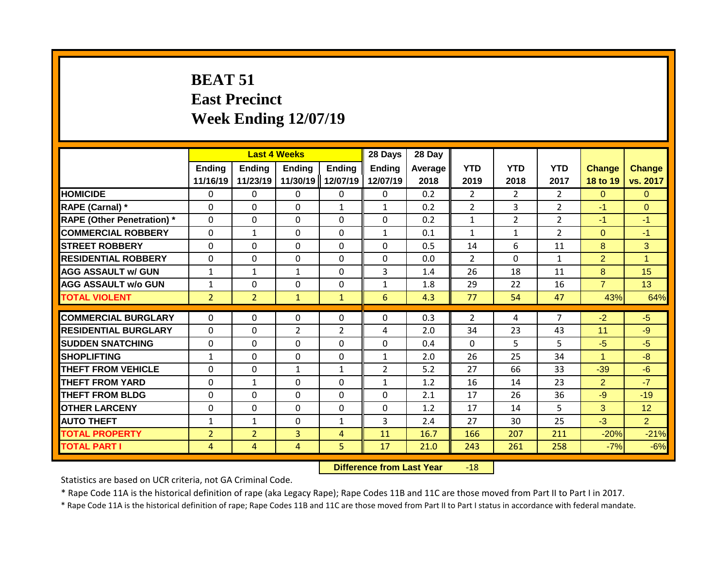# **BEAT 51 East Precinct Week Ending 12/07/19**

|                                   |                |                | <b>Last 4 Weeks</b> |                | 28 Days        | 28 Day  |                |                |                |                |                |
|-----------------------------------|----------------|----------------|---------------------|----------------|----------------|---------|----------------|----------------|----------------|----------------|----------------|
|                                   | <b>Ending</b>  | Ending         | Ending              | Ending         | <b>Ending</b>  | Average | <b>YTD</b>     | <b>YTD</b>     | <b>YTD</b>     | <b>Change</b>  | <b>Change</b>  |
|                                   | 11/16/19       | 11/23/19       | 11/30/19            | 12/07/19       | 12/07/19       | 2018    | 2019           | 2018           | 2017           | 18 to 19       | vs. 2017       |
| <b>HOMICIDE</b>                   | $\mathbf 0$    | 0              | 0                   | $\mathbf{0}$   | $\mathbf{0}$   | 0.2     | $\overline{2}$ | $\overline{2}$ | $\overline{2}$ | $\Omega$       | $\mathbf{0}$   |
| RAPE (Carnal) *                   | $\Omega$       | 0              | $\Omega$            | 1              | $\mathbf{1}$   | 0.2     | $\overline{2}$ | 3              | $\overline{2}$ | $-1$           | $\Omega$       |
| <b>RAPE (Other Penetration)</b> * | $\mathbf 0$    | $\Omega$       | 0                   | $\mathbf{0}$   | $\Omega$       | 0.2     | $\mathbf{1}$   | $\overline{2}$ | $\overline{2}$ | $-1$           | $-1$           |
| <b>COMMERCIAL ROBBERY</b>         | $\Omega$       | $\mathbf{1}$   | $\Omega$            | $\mathbf{0}$   | $\mathbf{1}$   | 0.1     | $\mathbf{1}$   | $\mathbf{1}$   | $\overline{2}$ | $\Omega$       | $-1$           |
| <b>STREET ROBBERY</b>             | $\mathbf{0}$   | 0              | $\Omega$            | $\mathbf{0}$   | $\Omega$       | 0.5     | 14             | 6              | 11             | 8              | 3              |
| <b>RESIDENTIAL ROBBERY</b>        | $\mathbf{0}$   | $\Omega$       | $\Omega$            | $\mathbf{0}$   | $\Omega$       | 0.0     | $\overline{2}$ | $\Omega$       | $\mathbf{1}$   | $\overline{2}$ | $\overline{1}$ |
| <b>AGG ASSAULT w/ GUN</b>         | $\mathbf{1}$   | $\mathbf{1}$   | $\mathbf{1}$        | $\mathbf{0}$   | 3              | 1.4     | 26             | 18             | 11             | 8              | 15             |
| <b>AGG ASSAULT w/o GUN</b>        | $\mathbf{1}$   | 0              | 0                   | $\mathbf 0$    | $\mathbf{1}$   | 1.8     | 29             | 22             | 16             | $\overline{7}$ | 13             |
| <b>TOTAL VIOLENT</b>              | $\overline{2}$ | $\overline{2}$ | $\mathbf{1}$        | $\mathbf{1}$   | 6              | 4.3     | 77             | 54             | 47             | 43%            | 64%            |
|                                   |                |                |                     |                |                |         |                |                |                |                |                |
| <b>COMMERCIAL BURGLARY</b>        | $\Omega$       | 0              | 0                   | $\Omega$       | 0              | 0.3     | 2              | 4              | 7              | $-2$           | $-5$           |
| <b>RESIDENTIAL BURGLARY</b>       | $\Omega$       | 0              | $\overline{2}$      | $\overline{2}$ | 4              | 2.0     | 34             | 23             | 43             | 11             | $-9$           |
| <b>SUDDEN SNATCHING</b>           | $\mathbf{0}$   | $\Omega$       | $\Omega$            | $\Omega$       | $\Omega$       | 0.4     | $\Omega$       | 5.             | 5.             | $-5$           | $-5$           |
| <b>SHOPLIFTING</b>                | $\mathbf{1}$   | 0              | $\Omega$            | $\mathbf{0}$   | 1              | 2.0     | 26             | 25             | 34             | 1              | $-8$           |
| THEFT FROM VEHICLE                | $\Omega$       | $\Omega$       | $\mathbf{1}$        | 1              | $\overline{2}$ | 5.2     | 27             | 66             | 33             | $-39$          | $-6$           |
| THEFT FROM YARD                   | 0              | $\mathbf{1}$   | $\Omega$            | $\mathbf{0}$   | $\mathbf{1}$   | 1.2     | 16             | 14             | 23             | $\overline{2}$ | $-7$           |
| <b>THEFT FROM BLDG</b>            | 0              | $\Omega$       | $\Omega$            | $\mathbf{0}$   | $\Omega$       | 2.1     | 17             | 26             | 36             | $-9$           | $-19$          |
| <b>OTHER LARCENY</b>              | 0              | $\Omega$       | $\Omega$            | 0              | $\Omega$       | 1.2     | 17             | 14             | 5              | 3              | 12             |
| <b>AUTO THEFT</b>                 | $\mathbf{1}$   | $\mathbf{1}$   | $\Omega$            | $\mathbf{1}$   | 3              | 2.4     | 27             | 30             | 25             | $-3$           | $\overline{2}$ |
| <b>TOTAL PROPERTY</b>             | $\overline{2}$ | $\overline{2}$ | 3                   | 4              | 11             | 16.7    | 166            | 207            | 211            | $-20%$         | $-21%$         |
| <b>TOTAL PART I</b>               | 4              | 4              | 4                   | 5              | 17             | 21.0    | 243            | 261            | 258            | $-7%$          | $-6%$          |

**Difference from Last Year** -18

Statistics are based on UCR criteria, not GA Criminal Code.

\* Rape Code 11A is the historical definition of rape (aka Legacy Rape); Rape Codes 11B and 11C are those moved from Part II to Part I in 2017.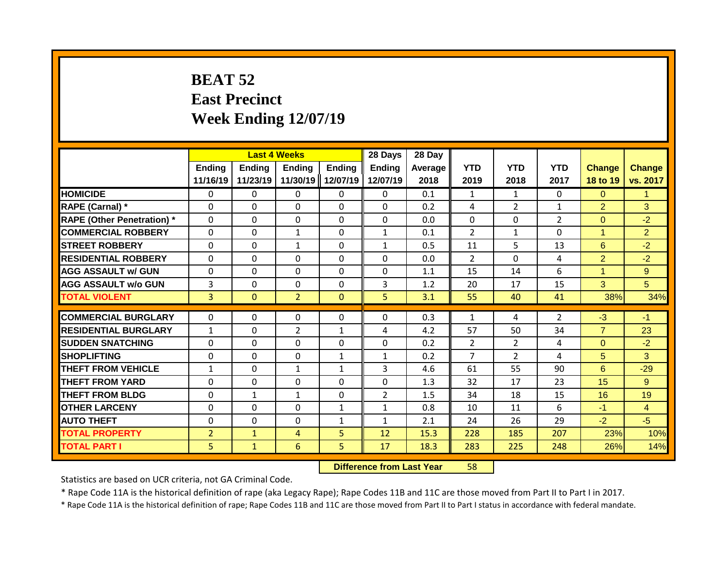# **BEAT 52 East Precinct Week Ending 12/07/19**

|                                   |                    | <b>Last 4 Weeks</b> |                    |                           | 28 Days            | 28 Day          |                    |                    |                    |                           |                           |
|-----------------------------------|--------------------|---------------------|--------------------|---------------------------|--------------------|-----------------|--------------------|--------------------|--------------------|---------------------------|---------------------------|
|                                   | Ending<br>11/16/19 | Ending<br>11/23/19  | Ending<br>11/30/19 | <b>Ending</b><br>12/07/19 | Ending<br>12/07/19 | Average<br>2018 | <b>YTD</b><br>2019 | <b>YTD</b><br>2018 | <b>YTD</b><br>2017 | <b>Change</b><br>18 to 19 | <b>Change</b><br>vs. 2017 |
| <b>HOMICIDE</b>                   | $\mathbf{0}$       | 0                   | $\mathbf{0}$       | 0                         | $\mathbf{0}$       | 0.1             | $\mathbf{1}$       | $\mathbf{1}$       | 0                  | $\Omega$                  | $\mathbf{1}$              |
| RAPE (Carnal) *                   | $\Omega$           | 0                   | $\mathbf{0}$       | $\Omega$                  | $\Omega$           | 0.2             | 4                  | $\overline{2}$     | $\mathbf{1}$       | $\overline{2}$            | 3                         |
| <b>RAPE (Other Penetration) *</b> | $\Omega$           | 0                   | $\Omega$           | $\Omega$                  | $\Omega$           | 0.0             | $\mathbf{0}$       | $\Omega$           | $\overline{2}$     | $\Omega$                  | $-2$                      |
| <b>COMMERCIAL ROBBERY</b>         | $\Omega$           | 0                   | $\mathbf{1}$       | $\Omega$                  | $\mathbf{1}$       | 0.1             | $\overline{2}$     | $\mathbf{1}$       | $\Omega$           | 1                         | $\overline{2}$            |
| <b>STREET ROBBERY</b>             | $\Omega$           | 0                   | $\mathbf{1}$       | $\Omega$                  | $\mathbf{1}$       | 0.5             | 11                 | 5                  | 13                 | 6                         | $-2$                      |
| <b>RESIDENTIAL ROBBERY</b>        | $\Omega$           | 0                   | $\mathbf{0}$       | 0                         | 0                  | 0.0             | 2                  | $\Omega$           | 4                  | $\overline{2}$            | $-2$                      |
| <b>AGG ASSAULT w/ GUN</b>         | $\Omega$           | 0                   | $\mathbf{0}$       | 0                         | 0                  | 1.1             | 15                 | 14                 | 6                  | 1                         | 9                         |
| <b>AGG ASSAULT w/o GUN</b>        | 3                  | 0                   | $\Omega$           | 0                         | 3                  | 1.2             | 20                 | 17                 | 15                 | 3                         | 5                         |
| <b>TOTAL VIOLENT</b>              | $\overline{3}$     | 0                   | $\overline{2}$     | $\mathbf{0}$              | 5                  | 3.1             | 55                 | 40                 | 41                 | 38%                       | 34%                       |
|                                   |                    |                     |                    |                           |                    |                 |                    |                    |                    |                           |                           |
| <b>COMMERCIAL BURGLARY</b>        | $\Omega$           | 0                   | $\mathbf{0}$       | 0                         | $\Omega$           | 0.3             | $\mathbf{1}$       | 4                  | 2                  | $-3$                      | $-1$                      |
| <b>RESIDENTIAL BURGLARY</b>       | $\mathbf{1}$       | 0                   | $\overline{2}$     | $\mathbf{1}$              | 4                  | 4.2             | 57                 | 50                 | 34                 | $\overline{7}$            | 23                        |
| <b>SUDDEN SNATCHING</b>           | $\Omega$           | 0                   | $\Omega$           | 0                         | $\Omega$           | 0.2             | $\overline{2}$     | $\overline{2}$     | 4                  | $\Omega$                  | $-2$                      |
| <b>SHOPLIFTING</b>                | $\Omega$           | 0                   | $\mathbf{0}$       | $\mathbf{1}$              | $\mathbf{1}$       | 0.2             | $\overline{7}$     | $\overline{2}$     | 4                  | 5                         | 3                         |
| <b>THEFT FROM VEHICLE</b>         | $\mathbf{1}$       | 0                   | $\mathbf{1}$       | $\mathbf{1}$              | 3                  | 4.6             | 61                 | 55                 | 90                 | 6                         | $-29$                     |
| <b>THEFT FROM YARD</b>            | $\Omega$           | 0                   | $\Omega$           | 0                         | $\Omega$           | 1.3             | 32                 | 17                 | 23                 | 15                        | 9                         |
| <b>THEFT FROM BLDG</b>            | 0                  | 1                   | 1                  | 0                         | $\overline{2}$     | 1.5             | 34                 | 18                 | 15                 | 16                        | 19                        |
| <b>OTHER LARCENY</b>              | 0                  | 0                   | $\mathbf{0}$       | $\mathbf{1}$              | $\mathbf{1}$       | 0.8             | 10                 | 11                 | 6                  | $-1$                      | $\overline{4}$            |
| <b>AUTO THEFT</b>                 | 0                  | 0                   | $\mathbf{0}$       | $\mathbf{1}$              | $\mathbf{1}$       | 2.1             | 24                 | 26                 | 29                 | $-2$                      | $-5$                      |
| <b>TOTAL PROPERTY</b>             | $\overline{2}$     | $\mathbf{1}$        | 4                  | 5                         | 12                 | 15.3            | 228                | 185                | 207                | 23%                       | 10%                       |
| <b>TOTAL PART I</b>               | 5                  | $\mathbf{1}$        | 6                  | 5.                        | 17                 | 18.3            | 283                | 225                | 248                | 26%                       | 14%                       |

#### **Difference from Last Year** 58

Statistics are based on UCR criteria, not GA Criminal Code.

\* Rape Code 11A is the historical definition of rape (aka Legacy Rape); Rape Codes 11B and 11C are those moved from Part II to Part I in 2017.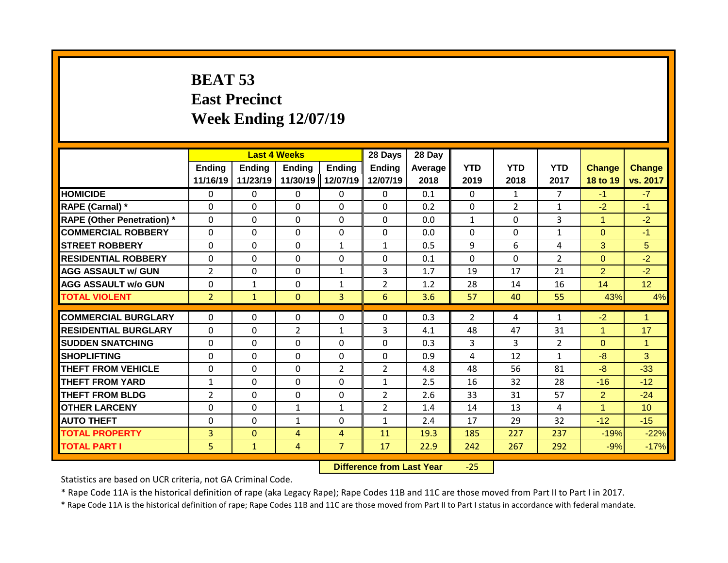## **BEAT 53 East Precinct Week Ending 12/07/19**

|                                   |                           | <b>Last 4 Weeks</b> |                           |                           | 28 Days                   | 28 Day             |                    |                    |                    |                           |                           |
|-----------------------------------|---------------------------|---------------------|---------------------------|---------------------------|---------------------------|--------------------|--------------------|--------------------|--------------------|---------------------------|---------------------------|
|                                   | <b>Ending</b><br>11/16/19 | Ending<br>11/23/19  | <b>Ending</b><br>11/30/19 | <b>Ending</b><br>12/07/19 | <b>Ending</b><br>12/07/19 | Average   <br>2018 | <b>YTD</b><br>2019 | <b>YTD</b><br>2018 | <b>YTD</b><br>2017 | <b>Change</b><br>18 to 19 | <b>Change</b><br>vs. 2017 |
| <b>HOMICIDE</b>                   | $\mathbf{0}$              | 0                   | $\mathbf{0}$              | $\mathbf{0}$              | 0                         | 0.1                | $\Omega$           | $\mathbf{1}$       | $\overline{7}$     | $-1$                      | $-7$                      |
| RAPE (Carnal) *                   | $\Omega$                  | 0                   | $\Omega$                  | 0                         | 0                         | 0.2                | $\mathbf 0$        | $\overline{2}$     | $\mathbf{1}$       | $-2$                      | $-1$                      |
| <b>RAPE (Other Penetration) *</b> | $\mathbf 0$               | 0                   | $\Omega$                  | 0                         | 0                         | 0.0                | $\mathbf{1}$       | $\mathbf 0$        | 3                  | $\overline{1}$            | $-2$                      |
| <b>COMMERCIAL ROBBERY</b>         | $\Omega$                  | 0                   | $\mathbf{0}$              | $\Omega$                  | $\Omega$                  | 0.0                | $\Omega$           | $\Omega$           | $\mathbf{1}$       | $\Omega$                  | $-1$                      |
| <b>STREET ROBBERY</b>             | $\Omega$                  | 0                   | $\Omega$                  | $\mathbf{1}$              | $\mathbf{1}$              | 0.5                | 9                  | 6                  | 4                  | 3                         | 5                         |
| <b>RESIDENTIAL ROBBERY</b>        | $\Omega$                  | 0                   | $\Omega$                  | 0                         | $\Omega$                  | 0.1                | $\mathbf{0}$       | $\Omega$           | $\overline{2}$     | $\Omega$                  | $-2$                      |
| <b>AGG ASSAULT w/ GUN</b>         | $\overline{2}$            | 0                   | $\Omega$                  | $\mathbf{1}$              | 3                         | 1.7                | 19                 | 17                 | 21                 | $\overline{2}$            | $-2$                      |
| <b>AGG ASSAULT w/o GUN</b>        | $\Omega$                  | 1                   | $\Omega$                  | $\mathbf{1}$              | $\overline{2}$            | 1.2                | 28                 | 14                 | 16                 | 14                        | 12 <sup>°</sup>           |
| <b>TOTAL VIOLENT</b>              | $\overline{2}$            | $\mathbf{1}$        | $\Omega$                  | 3                         | 6                         | 3.6                | 57                 | 40                 | 55                 | 43%                       | 4%                        |
|                                   |                           |                     |                           |                           |                           |                    |                    |                    |                    |                           |                           |
| <b>COMMERCIAL BURGLARY</b>        | $\Omega$                  | 0                   | $\Omega$                  | 0                         | $\Omega$                  | 0.3                | 2                  | 4                  | $\mathbf{1}$       | $-2$                      | -1                        |
| <b>RESIDENTIAL BURGLARY</b>       | $\Omega$                  | 0                   | $\overline{2}$            | 1                         | 3                         | 4.1                | 48                 | 47                 | 31                 | 1                         | 17                        |
| <b>SUDDEN SNATCHING</b>           | $\Omega$                  | 0                   | $\Omega$                  | 0                         | $\Omega$                  | 0.3                | 3                  | 3                  | $\overline{2}$     | $\Omega$                  | $\blacktriangleleft$      |
| <b>SHOPLIFTING</b>                | $\Omega$                  | 0                   | $\Omega$                  | $\Omega$                  | 0                         | 0.9                | 4                  | 12                 | $\mathbf{1}$       | $-8$                      | 3                         |
| <b>THEFT FROM VEHICLE</b>         | $\Omega$                  | 0                   | $\mathbf{0}$              | $\overline{2}$            | $\overline{2}$            | 4.8                | 48                 | 56                 | 81                 | -8                        | $-33$                     |
| <b>THEFT FROM YARD</b>            | $\mathbf{1}$              | 0                   | $\Omega$                  | 0                         | $\mathbf{1}$              | 2.5                | 16                 | 32                 | 28                 | $-16$                     | $-12$                     |
| <b>THEFT FROM BLDG</b>            | $\overline{2}$            | 0                   | $\Omega$                  | 0                         | $\overline{2}$            | 2.6                | 33                 | 31                 | 57                 | $\overline{2}$            | $-24$                     |
| <b>OTHER LARCENY</b>              | $\Omega$                  | 0                   | 1                         | 1                         | $\overline{2}$            | 1.4                | 14                 | 13                 | 4                  | 1                         | 10 <sup>1</sup>           |
| <b>AUTO THEFT</b>                 | $\Omega$                  | 0                   | 1                         | 0                         | $\mathbf{1}$              | 2.4                | 17                 | 29                 | 32                 | $-12$                     | $-15$                     |
| <b>TOTAL PROPERTY</b>             | 3                         | $\Omega$            | $\overline{4}$            | 4                         | 11                        | 19.3               | 185                | 227                | 237                | $-19%$                    | $-22%$                    |
| <b>TOTAL PART I</b>               | 5.                        | $\mathbf{1}$        | 4                         | $\overline{7}$            | 17                        | 22.9               | 242                | 267                | 292                | $-9%$                     | $-17%$                    |

**Difference from Last Year** -25

Statistics are based on UCR criteria, not GA Criminal Code.

\* Rape Code 11A is the historical definition of rape (aka Legacy Rape); Rape Codes 11B and 11C are those moved from Part II to Part I in 2017.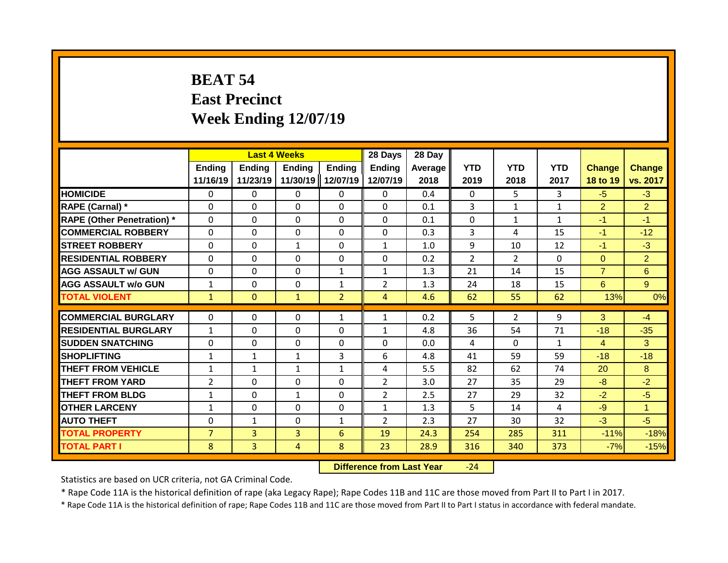## **BEAT 54 East Precinct Week Ending 12/07/19**

|                                   |                    |                    | <b>Last 4 Weeks</b> |                           | 28 Days            | 28 Day          |                    |                    |                    |                           |                           |
|-----------------------------------|--------------------|--------------------|---------------------|---------------------------|--------------------|-----------------|--------------------|--------------------|--------------------|---------------------------|---------------------------|
|                                   | Ending<br>11/16/19 | Ending<br>11/23/19 | Ending<br>11/30/19  | <b>Ending</b><br>12/07/19 | Ending<br>12/07/19 | Average<br>2018 | <b>YTD</b><br>2019 | <b>YTD</b><br>2018 | <b>YTD</b><br>2017 | <b>Change</b><br>18 to 19 | <b>Change</b><br>vs. 2017 |
| <b>HOMICIDE</b>                   | $\mathbf{0}$       | 0                  | $\mathbf{0}$        | 0                         | $\mathbf{0}$       | 0.4             | $\Omega$           | 5                  | 3                  | $-5$                      | $-3$                      |
| RAPE (Carnal) *                   | $\Omega$           | 0                  | $\Omega$            | $\Omega$                  | $\Omega$           | 0.1             | 3                  | $\mathbf{1}$       | $\mathbf{1}$       | $\overline{2}$            | $\overline{2}$            |
| <b>RAPE (Other Penetration) *</b> | $\Omega$           | 0                  | $\Omega$            | $\Omega$                  | $\Omega$           | 0.1             | $\mathbf{0}$       | $\mathbf{1}$       | $\mathbf{1}$       | $-1$                      | $-1$                      |
| <b>COMMERCIAL ROBBERY</b>         | $\Omega$           | 0                  | $\Omega$            | $\Omega$                  | $\Omega$           | 0.3             | 3                  | 4                  | 15                 | $-1$                      | $-12$                     |
| <b>STREET ROBBERY</b>             | $\Omega$           | 0                  | $\mathbf{1}$        | $\Omega$                  | $\mathbf{1}$       | 1.0             | 9                  | 10                 | 12                 | $-1$                      | $-3$                      |
| <b>RESIDENTIAL ROBBERY</b>        | $\Omega$           | 0                  | $\mathbf{0}$        | 0                         | 0                  | 0.2             | 2                  | $\overline{2}$     | 0                  | $\Omega$                  | $\overline{2}$            |
| <b>AGG ASSAULT w/ GUN</b>         | $\Omega$           | 0                  | $\mathbf{0}$        | $\mathbf{1}$              | $\mathbf{1}$       | 1.3             | 21                 | 14                 | 15                 | $\overline{7}$            | 6                         |
| <b>AGG ASSAULT w/o GUN</b>        | $\mathbf{1}$       | 0                  | $\Omega$            | $\mathbf{1}$              | $\overline{2}$     | 1.3             | 24                 | 18                 | 15                 | 6                         | 9 <sup>°</sup>            |
| <b>TOTAL VIOLENT</b>              | $\mathbf{1}$       | 0                  | $\mathbf{1}$        | $\overline{2}$            | $\overline{4}$     | 4.6             | 62                 | 55                 | 62                 | 13%                       | 0%                        |
| <b>COMMERCIAL BURGLARY</b>        | $\Omega$           | 0                  | $\mathbf{0}$        | 1                         | 1                  | 0.2             | 5                  | $\overline{2}$     | 9                  | 3                         | $-4$                      |
| <b>RESIDENTIAL BURGLARY</b>       | $\mathbf{1}$       | 0                  | $\Omega$            | $\Omega$                  | $\mathbf{1}$       | 4.8             | 36                 | 54                 | 71                 | $-18$                     | $-35$                     |
| <b>SUDDEN SNATCHING</b>           | $\Omega$           | 0                  | $\Omega$            | 0                         | $\Omega$           | 0.0             | 4                  | $\Omega$           | $\mathbf{1}$       | 4                         | 3                         |
| <b>SHOPLIFTING</b>                | $\mathbf{1}$       | 1                  | 1                   | 3                         | 6                  | 4.8             | 41                 | 59                 | 59                 | $-18$                     | $-18$                     |
| <b>THEFT FROM VEHICLE</b>         | $\mathbf{1}$       | $\mathbf{1}$       | $\mathbf{1}$        | $\mathbf{1}$              | 4                  | 5.5             | 82                 | 62                 | 74                 | 20                        | 8                         |
| <b>THEFT FROM YARD</b>            | $\overline{2}$     | 0                  | $\Omega$            | 0                         | $\overline{2}$     | 3.0             | 27                 | 35                 | 29                 | $-8$                      | $-2$                      |
| <b>THEFT FROM BLDG</b>            | 1                  | 0                  | 1                   | 0                         | $\overline{2}$     | 2.5             | 27                 | 29                 | 32                 | $-2$                      | $-5$                      |
| <b>OTHER LARCENY</b>              | $\mathbf{1}$       | 0                  | $\mathbf{0}$        | 0                         | $\mathbf{1}$       | 1.3             | 5                  | 14                 | 4                  | $-9$                      | $\mathbf{1}$              |
| <b>AUTO THEFT</b>                 | 0                  | 1                  | $\mathbf{0}$        | $\mathbf{1}$              | $\overline{2}$     | 2.3             | 27                 | 30                 | 32                 | $-3$                      | $-5$                      |
| <b>TOTAL PROPERTY</b>             | $\overline{7}$     | $\overline{3}$     | 3                   | 6                         | 19                 | 24.3            | 254                | 285                | 311                | $-11%$                    | $-18%$                    |
| <b>TOTAL PART I</b>               | 8                  | $\overline{3}$     | 4                   | 8                         | 23                 | 28.9            | 316                | 340                | 373                | $-7%$                     | $-15%$                    |

**Difference from Last Year** -24

Statistics are based on UCR criteria, not GA Criminal Code.

\* Rape Code 11A is the historical definition of rape (aka Legacy Rape); Rape Codes 11B and 11C are those moved from Part II to Part I in 2017.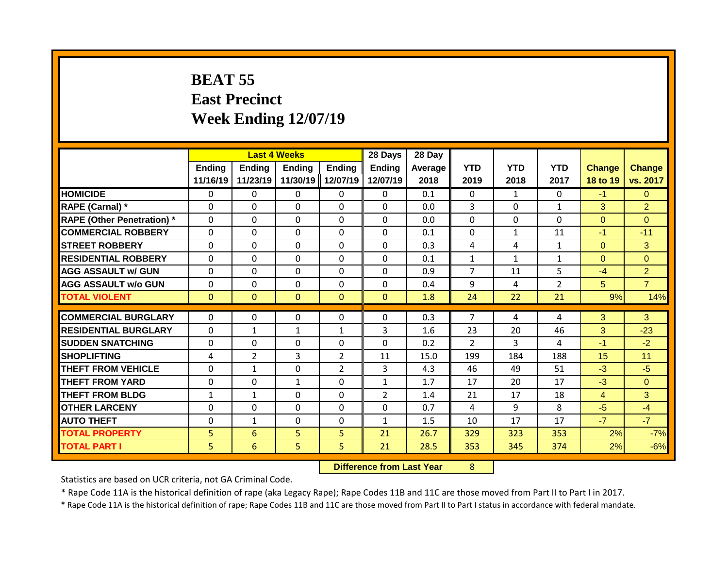### **BEAT 55 East Precinct Week Ending 12/07/19**

|                                   |                    | <b>Last 4 Weeks</b> |                    |                           | 28 Days                   | 28 Day          |                    |                    |                    |                           |                           |
|-----------------------------------|--------------------|---------------------|--------------------|---------------------------|---------------------------|-----------------|--------------------|--------------------|--------------------|---------------------------|---------------------------|
|                                   | Ending<br>11/16/19 | Ending<br>11/23/19  | Ending<br>11/30/19 | <b>Ending</b><br>12/07/19 | <b>Ending</b><br>12/07/19 | Average<br>2018 | <b>YTD</b><br>2019 | <b>YTD</b><br>2018 | <b>YTD</b><br>2017 | <b>Change</b><br>18 to 19 | <b>Change</b><br>vs. 2017 |
| <b>HOMICIDE</b>                   | $\mathbf{0}$       | 0                   | $\mathbf{0}$       | $\mathbf{0}$              | $\mathbf{0}$              | 0.1             | $\Omega$           | $\mathbf{1}$       | 0                  | $-1$                      | $\Omega$                  |
| RAPE (Carnal) *                   | $\Omega$           | 0                   | $\Omega$           | $\Omega$                  | $\Omega$                  | 0.0             | 3                  | $\Omega$           | $\mathbf{1}$       | 3                         | $\overline{2}$            |
| <b>RAPE (Other Penetration) *</b> | $\Omega$           | 0                   | $\Omega$           | $\Omega$                  | $\Omega$                  | 0.0             | $\mathbf{0}$       | $\Omega$           | $\Omega$           | $\Omega$                  | $\Omega$                  |
| <b>COMMERCIAL ROBBERY</b>         | $\Omega$           | 0                   | $\Omega$           | $\Omega$                  | $\Omega$                  | 0.1             | $\mathbf{0}$       | $\mathbf{1}$       | 11                 | $-1$                      | $-11$                     |
| <b>STREET ROBBERY</b>             | $\Omega$           | 0                   | $\Omega$           | $\Omega$                  | $\Omega$                  | 0.3             | 4                  | 4                  | $\mathbf{1}$       | $\Omega$                  | 3                         |
| <b>RESIDENTIAL ROBBERY</b>        | $\Omega$           | 0                   | $\Omega$           | 0                         | 0                         | 0.1             | $\mathbf{1}$       | $\mathbf{1}$       | $\mathbf{1}$       | $\Omega$                  | $\Omega$                  |
| <b>AGG ASSAULT w/ GUN</b>         | $\Omega$           | 0                   | $\mathbf{0}$       | 0                         | $\Omega$                  | 0.9             | $\overline{7}$     | 11                 | 5                  | $-4$                      | $\overline{2}$            |
| <b>AGG ASSAULT w/o GUN</b>        | $\Omega$           | 0                   | $\Omega$           | 0                         | $\Omega$                  | 0.4             | 9                  | 4                  | $\overline{2}$     | 5                         | $\overline{7}$            |
| <b>TOTAL VIOLENT</b>              | $\mathbf{0}$       | 0                   | $\mathbf{0}$       | $\mathbf{0}$              | $\Omega$                  | 1.8             | 24                 | 22                 | 21                 | 9%                        | 14%                       |
| <b>COMMERCIAL BURGLARY</b>        | $\Omega$           | 0                   | $\mathbf{0}$       | 0                         | $\Omega$                  | 0.3             | 7                  | 4                  | 4                  | 3                         | 3                         |
| <b>RESIDENTIAL BURGLARY</b>       | $\Omega$           | 1                   | 1                  | $\mathbf{1}$              | 3                         | 1.6             | 23                 | 20                 | 46                 | 3                         | $-23$                     |
| <b>SUDDEN SNATCHING</b>           | $\Omega$           | 0                   | $\Omega$           | 0                         | $\Omega$                  | 0.2             | $\mathcal{P}$      | 3                  | 4                  | $-1$                      | $-2$                      |
| <b>SHOPLIFTING</b>                | 4                  | 2                   | 3                  | $\overline{2}$            | 11                        | 15.0            | 199                | 184                | 188                | 15                        | 11                        |
| <b>THEFT FROM VEHICLE</b>         | $\Omega$           | $\mathbf{1}$        | $\Omega$           | $\overline{2}$            | 3                         | 4.3             | 46                 | 49                 | 51                 | $-3$                      | $-5$                      |
| <b>THEFT FROM YARD</b>            | 0                  | 0                   | $\mathbf{1}$       | 0                         | $\mathbf{1}$              | 1.7             | 17                 | 20                 | 17                 | $-3$                      | $\Omega$                  |
| <b>THEFT FROM BLDG</b>            | 1                  | 1                   | $\Omega$           | 0                         | $\overline{2}$            | 1.4             | 21                 | 17                 | 18                 | 4                         | 3                         |
| <b>OTHER LARCENY</b>              | 0                  | 0                   | $\mathbf{0}$       | 0                         | 0                         | 0.7             | 4                  | 9                  | 8                  | $-5$                      | $-4$                      |
| <b>AUTO THEFT</b>                 | 0                  | 1                   | $\Omega$           | 0                         | $\mathbf{1}$              | 1.5             | 10                 | 17                 | 17                 | $-7$                      | $-7$                      |
| <b>TOTAL PROPERTY</b>             | 5                  | 6                   | 5                  | 5                         | 21                        | 26.7            | 329                | 323                | 353                | 2%                        | $-7%$                     |
| <b>TOTAL PART I</b>               | 5                  | 6                   | 5                  | 5.                        | 21                        | 28.5            | 353                | 345                | 374                | 2%                        | $-6%$                     |

**Difference from Last Year** 8

Statistics are based on UCR criteria, not GA Criminal Code.

\* Rape Code 11A is the historical definition of rape (aka Legacy Rape); Rape Codes 11B and 11C are those moved from Part II to Part I in 2017.